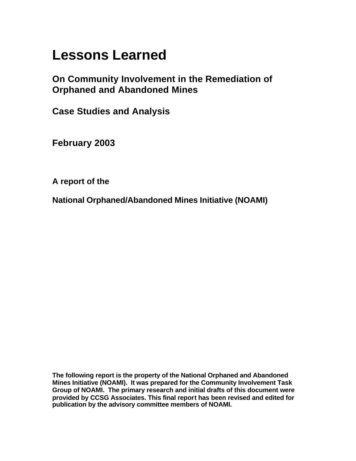# **Lessons Learned**

**On Community Involvement in the Remediation of Orphaned and Abandoned Mines**

**Case Studies and Analysis**

**February 2003**

**A report of the** 

**National Orphaned/Abandoned Mines Initiative (NOAMI)**

**The following report is the property of the National Orphaned and Abandoned Mines Initiative (NOAMI). It was prepared for the Community Involvement Task Group of NOAMI. The primary research and initial drafts of this document were provided by CCSG Associates. This final report has been revised and edited for publication by the advisory committee members of NOAMI.**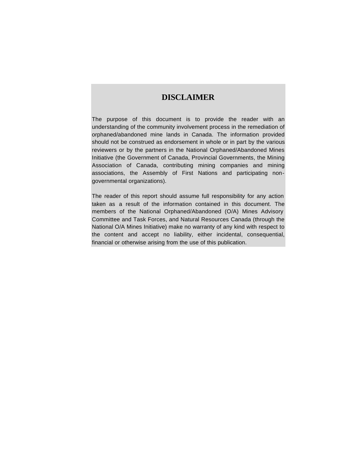# **DISCLAIMER**

The purpose of this document is to provide the reader with an understanding of the community involvement process in the remediation of orphaned/abandoned mine lands in Canada. The information provided should not be construed as endorsement in whole or in part by the various reviewers or by the partners in the National Orphaned/Abandoned Mines Initiative (the Government of Canada, Provincial Governments, the Mining Association of Canada, contributing mining companies and mining associations, the Assembly of First Nations and participating nongovernmental organizations).

The reader of this report should assume full responsibility for any action taken as a result of the information contained in this document. The members of the National Orphaned/Abandoned (O/A) Mines Advisory Committee and Task Forces, and Natural Resources Canada (through the National O/A Mines Initiative) make no warranty of any kind with respect to the content and accept no liability, either incidental, consequential, financial or otherwise arising from the use of this publication.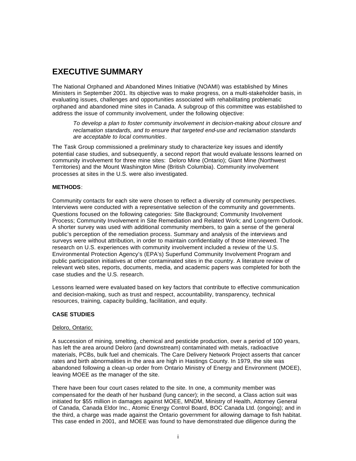# **EXECUTIVE SUMMARY**

The National Orphaned and Abandoned Mines Initiative (NOAMI) was established by Mines Ministers in September 2001. Its objective was to make progress, on a multi-stakeholder basis, in evaluating issues, challenges and opportunities associated with rehabilitating problematic orphaned and abandoned mine sites in Canada. A subgroup of this committee was established to address the issue of community involvement, under the following objective:

*To develop a plan to foster community involvement in decision-making about closure and reclamation standards, and to ensure that targeted end-use and reclamation standards are acceptable to local communities*.

The Task Group commissioned a preliminary study to characterize key issues and identify potential case studies, and subsequently, a second report that would evaluate lessons learned on community involvement for three mine sites: Deloro Mine (Ontario); Giant Mine (Northwest Territories) and the Mount Washington Mine (British Columbia). Community involvement processes at sites in the U.S. were also investigated.

#### **METHODS**:

Community contacts for each site were chosen to reflect a diversity of community perspectives. Interviews were conducted with a representative selection of the community and governments. Questions focused on the following categories: Site Background; Community Involvement Process; Community Involvement in Site Remediation and Related Work; and Long-term Outlook. A shorter survey was used with additional community members, to gain a sense of the general public's perception of the remediation process. Summary and analysis of the interviews and surveys were without attribution, in order to maintain confidentiality of those interviewed. The research on U.S. experiences with community involvement included a review of the U.S. Environmental Protection Agency's (EPA's) Superfund Community Involvement Program and public participation initiatives at other contaminated sites in the country. A literature review of relevant web sites, reports, documents, media, and academic papers was completed for both the case studies and the U.S. research.

Lessons learned were evaluated based on key factors that contribute to effective communication and decision-making, such as trust and respect, accountability, transparency, technical resources, training, capacity building, facilitation, and equity.

#### **CASE STUDIES**

#### Deloro, Ontario:

A succession of mining, smelting, chemical and pesticide production, over a period of 100 years, has left the area around Deloro (and downstream) contaminated with metals, radioactive materials, PCBs, bulk fuel and chemicals. The Care Delivery Network Project asserts that cancer rates and birth abnormalities in the area are high in Hastings County. In 1979, the site was abandoned following a clean-up order from Ontario Ministry of Energy and Environment (MOEE), leaving MOEE as the manager of the site.

There have been four court cases related to the site. In one, a community member was compensated for the death of her husband (lung cancer); in the second, a Class action suit was initiated for \$55 million in damages against MOEE, MNDM, Ministry of Health, Attorney General of Canada, Canada Eldor Inc., Atomic Energy Control Board, BOC Canada Ltd. (ongoing); and in the third, a charge was made against the Ontario government for allowing damage to fish habitat. This case ended in 2001, and MOEE was found to have demonstrated due diligence during the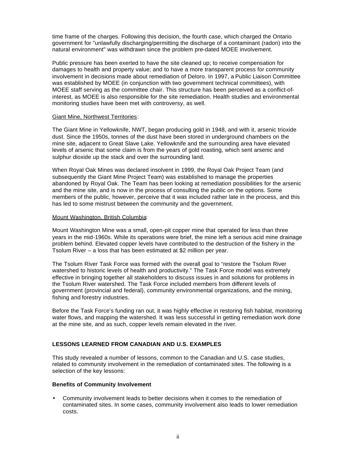time frame of the charges. Following this decision, the fourth case, which charged the Ontario government for "unlawfully discharging/permitting the discharge of a contaminant (radon) into the natural environment" was withdrawn since the problem pre-dated MOEE involvement.

Public pressure has been exerted to have the site cleaned up; to receive compensation for damages to health and property value; and to have a more transparent process for community involvement in decisions made about remediation of Deloro. In 1997, a Public Liaison Committee was established by MOEE (in conjunction with two government technical committees), with MOEE staff serving as the committee chair. This structure has been perceived as a conflict-ofinterest, as MOEE is also responsible for the site remediation. Health studies and environmental monitoring studies have been met with controversy, as well.

#### Giant Mine, Northwest Territories:

The Giant Mine in Yellowknife, NWT, began producing gold in 1948, and with it, arsenic trioxide dust. Since the 1950s, tonnes of the dust have been stored in underground chambers on the mine site, adjacent to Great Slave Lake. Yellowknife and the surrounding area have elevated levels of arsenic that some claim is from the years of gold roasting, which sent arsenic and sulphur dioxide up the stack and over the surrounding land.

When Royal Oak Mines was declared insolvent in 1999, the Royal Oak Project Team (and subsequently the Giant Mine Project Team) was established to manage the properties abandoned by Royal Oak. The Team has been looking at remediation possibilities for the arsenic and the mine site, and is now in the process of consulting the public on the options. Some members of the public, however, perceive that it was included rather late in the process, and this has led to some mistrust between the community and the government.

#### Mount Washington, British Columbia:

Mount Washington Mine was a small, open-pit copper mine that operated for less than three years in the mid-1960s. While its operations were brief, the mine left a serious acid mine drainage problem behind. Elevated copper levels have contributed to the destruction of the fishery in the Tsolum River – a loss that has been estimated at \$2 million per year.

The Tsolum River Task Force was formed with the overall goal to "restore the Tsolum River watershed to historic levels of health and productivity." The Task Force model was extremely effective in bringing together all stakeholders to discuss issues in and solutions for problems in the Tsolum River watershed. The Task Force included members from different levels of government (provincial and federal), community environmental organizations, and the mining, fishing and forestry industries.

Before the Task Force's funding ran out, it was highly effective in restoring fish habitat, monitoring water flows, and mapping the watershed. It was less successful in getting remediation work done at the mine site, and as such, copper levels remain elevated in the river.

#### **LESSONS LEARNED FROM CANADIAN AND U.S. EXAMPLES**

This study revealed a number of lessons, common to the Canadian and U.S. case studies, related to community involvement in the remediation of contaminated sites. The following is a selection of the key lessons:

#### **Benefits of Community Involvement**

• Community involvement leads to better decisions when it comes to the remediation of contaminated sites. In some cases, community involvement also leads to lower remediation costs.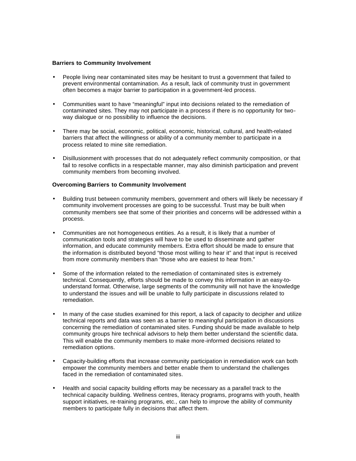#### **Barriers to Community Involvement**

- People living near contaminated sites may be hesitant to trust a government that failed to prevent environmental contamination. As a result, lack of community trust in government often becomes a major barrier to participation in a government-led process.
- Communities want to have "meaningful" input into decisions related to the remediation of contaminated sites. They may not participate in a process if there is no opportunity for twoway dialogue or no possibility to influence the decisions.
- There may be social, economic, political, economic, historical, cultural, and health-related barriers that affect the willingness or ability of a community member to participate in a process related to mine site remediation.
- Disillusionment with processes that do not adequately reflect community composition, or that fail to resolve conflicts in a respectable manner, may also diminish participation and prevent community members from becoming involved.

#### **Overcoming Barriers to Community Involvement**

- Building trust between community members, government and others will likely be necessary if community involvement processes are going to be successful. Trust may be built when community members see that some of their priorities and concerns will be addressed within a process.
- Communities are not homogeneous entities. As a result, it is likely that a number of communication tools and strategies will have to be used to disseminate and gather information, and educate community members. Extra effort should be made to ensure that the information is distributed beyond "those most willing to hear it" and that input is received from more community members than "those who are easiest to hear from."
- Some of the information related to the remediation of contaminated sites is extremely technical. Consequently, efforts should be made to convey this information in an easy-tounderstand format. Otherwise, large segments of the community will not have the knowledge to understand the issues and will be unable to fully participate in discussions related to remediation.
- In many of the case studies examined for this report, a lack of capacity to decipher and utilize technical reports and data was seen as a barrier to meaningful participation in discussions concerning the remediation of contaminated sites. Funding should be made available to help community groups hire technical advisors to help them better understand the scientific data. This will enable the community members to make more-informed decisions related to remediation options.
- Capacity-building efforts that increase community participation in remediation work can both empower the community members and better enable them to understand the challenges faced in the remediation of contaminated sites.
- Health and social capacity building efforts may be necessary as a parallel track to the technical capacity building. Wellness centres, literacy programs, programs with youth, health support initiatives, re-training programs, etc., can help to improve the ability of community members to participate fully in decisions that affect them.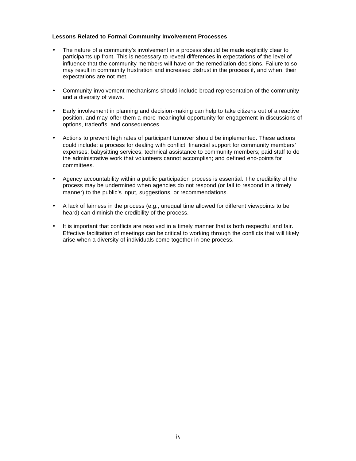#### **Lessons Related to Formal Community Involvement Processes**

- The nature of a community's involvement in a process should be made explicitly clear to participants up front. This is necessary to reveal differences in expectations of the level of influence that the community members will have on the remediation decisions. Failure to so may result in community frustration and increased distrust in the process if, and when, their expectations are not met.
- Community involvement mechanisms should include broad representation of the community and a diversity of views.
- Early involvement in planning and decision-making can help to take citizens out of a reactive position, and may offer them a more meaningful opportunity for engagement in discussions of options, tradeoffs, and consequences.
- Actions to prevent high rates of participant turnover should be implemented. These actions could include: a process for dealing with conflict; financial support for community members' expenses; babysitting services; technical assistance to community members; paid staff to do the administrative work that volunteers cannot accomplish; and defined end-points for committees.
- Agency accountability within a public participation process is essential. The credibility of the process may be undermined when agencies do not respond (or fail to respond in a timely manner) to the public's input, suggestions, or recommendations.
- A lack of fairness in the process (e.g., unequal time allowed for different viewpoints to be heard) can diminish the credibility of the process.
- It is important that conflicts are resolved in a timely manner that is both respectful and fair. Effective facilitation of meetings can be critical to working through the conflicts that will likely arise when a diversity of individuals come together in one process.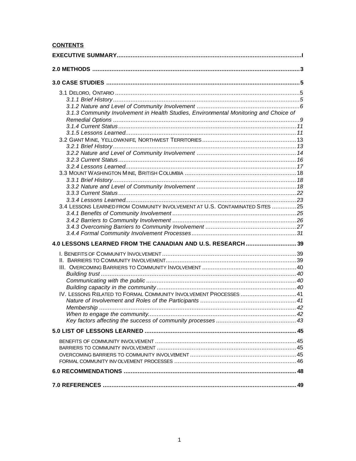# **CONTENTS**

| 3.1.3 Community Involvement in Health Studies, Environmental Monitoring and Choice of |  |
|---------------------------------------------------------------------------------------|--|
|                                                                                       |  |
|                                                                                       |  |
|                                                                                       |  |
|                                                                                       |  |
|                                                                                       |  |
|                                                                                       |  |
|                                                                                       |  |
|                                                                                       |  |
|                                                                                       |  |
|                                                                                       |  |
|                                                                                       |  |
|                                                                                       |  |
| 3.4 LESSONS LEARNED FROM COMMUNITY INVOLVEMENT AT U.S. CONTAMINATED SITES 25          |  |
|                                                                                       |  |
|                                                                                       |  |
|                                                                                       |  |
|                                                                                       |  |
|                                                                                       |  |
| 4.0 LESSONS LEARNED FROM THE CANADIAN AND U.S. RESEARCH  39                           |  |
|                                                                                       |  |
|                                                                                       |  |
|                                                                                       |  |
|                                                                                       |  |
|                                                                                       |  |
|                                                                                       |  |
| IV. LESSONS RELATED TO FORMAL COMMUNITY INVOLVEMENT PROCESSES  41                     |  |
|                                                                                       |  |
|                                                                                       |  |
|                                                                                       |  |
|                                                                                       |  |
|                                                                                       |  |
|                                                                                       |  |
|                                                                                       |  |
|                                                                                       |  |
|                                                                                       |  |
|                                                                                       |  |
|                                                                                       |  |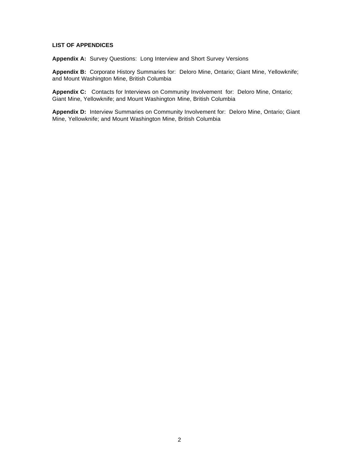#### **LIST OF APPENDICES**

**Appendix A:** Survey Questions: Long Interview and Short Survey Versions

**Appendix B:** Corporate History Summaries for: Deloro Mine, Ontario; Giant Mine, Yellowknife; and Mount Washington Mine, British Columbia

**Appendix C:** Contacts for Interviews on Community Involvement for: Deloro Mine, Ontario; Giant Mine, Yellowknife; and Mount Washington Mine, British Columbia

**Appendix D:** Interview Summaries on Community Involvement for: Deloro Mine, Ontario; Giant Mine, Yellowknife; and Mount Washington Mine, British Columbia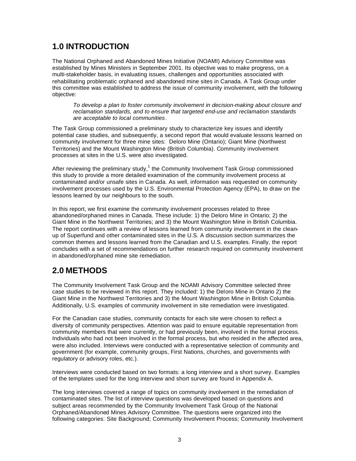# **1.0 INTRODUCTION**

The National Orphaned and Abandoned Mines Initiative (NOAMI) Advisory Committee was established by Mines Ministers in September 2001. Its objective was to make progress, on a multi-stakeholder basis, in evaluating issues, challenges and opportunities associated with rehabilitating problematic orphaned and abandoned mine sites in Canada. A Task Group under this committee was established to address the issue of community involvement, with the following objective:

*To develop a plan to foster community involvement in decision-making about closure and reclamation standards, and to ensure that targeted end-use and reclamation standards are acceptable to local communities*.

The Task Group commissioned a preliminary study to characterize key issues and identify potential case studies, and subsequently, a second report that would evaluate lessons learned on community involvement for three mine sites: Deloro Mine (Ontario); Giant Mine (Northwest Territories) and the Mount Washington Mine (British Columbia). Community involvement processes at sites in the U.S. were also investigated.

After reviewing the preliminary study, $1$  the Community Involvement Task Group commissioned this study to provide a more detailed examination of the community involvement process at contaminated and/or unsafe sites in Canada. As well, information was requested on community involvement processes used by the U.S. Environmental Protection Agency (EPA), to draw on the lessons learned by our neighbours to the south.

In this report, we first examine the community involvement processes related to three abandoned/orphaned mines in Canada. These include: 1) the Deloro Mine in Ontario; 2) the Giant Mine in the Northwest Territories; and 3) the Mount Washington Mine in British Columbia. The report continues with a review of lessons learned from community involvement in the cleanup of Superfund and other contaminated sites in the U.S. A discussion section summarizes the common themes and lessons learned from the Canadian and U.S. examples. Finally, the report concludes with a set of recommendations on further research required on community involvement in abandoned/orphaned mine site remediation.

# **2.0 METHODS**

The Community Involvement Task Group and the NOAMI Advisory Committee selected three case studies to be reviewed in this report. They included: 1) the Deloro Mine in Ontario 2) the Giant Mine in the Northwest Territories and 3) the Mount Washington Mine in British Columbia. Additionally, U.S. examples of community involvement in site remediation were investigated.

For the Canadian case studies, community contacts for each site were chosen to reflect a diversity of community perspectives. Attention was paid to ensure equitable representation from community members that were currently, or had previously been, involved in the formal process. Individuals who had not been involved in the formal process, but who resided in the affected area, were also included. Interviews were conducted with a representative selection of community and government (for example, community groups, First Nations, churches, and governments with regulatory or advisory roles, etc.).

Interviews were conducted based on two formats: a long interview and a short survey. Examples of the templates used for the long interview and short survey are found in Appendix A.

The long interviews covered a range of topics on community involvement in the remediation of contaminated sites. The list of interview questions was developed based on questions and subject areas recommended by the Community Involvement Task Group of the National Orphaned/Abandoned Mines Advisory Committee. The questions were organized into the following categories: Site Background; Community Involvement Process; Community Involvement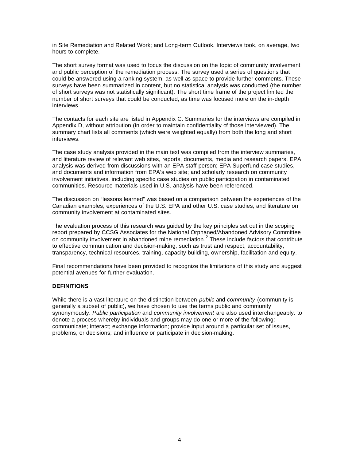in Site Remediation and Related Work; and Long-term Outlook. Interviews took, on average, two hours to complete.

The short survey format was used to focus the discussion on the topic of community involvement and public perception of the remediation process. The survey used a series of questions that could be answered using a ranking system, as well as space to provide further comments. These surveys have been summarized in content, but no statistical analysis was conducted (the number of short surveys was not statistically significant). The short time frame of the project limited the number of short surveys that could be conducted, as time was focused more on the in-depth interviews.

The contacts for each site are listed in Appendix C. Summaries for the interviews are compiled in Appendix D, without attribution (in order to maintain confidentiality of those interviewed). The summary chart lists all comments (which were weighted equally) from both the long and short interviews.

The case study analysis provided in the main text was compiled from the interview summaries, and literature review of relevant web sites, reports, documents, media and research papers. EPA analysis was derived from discussions with an EPA staff person; EPA Superfund case studies, and documents and information from EPA's web site; and scholarly research on community involvement initiatives, including specific case studies on public participation in contaminated communities. Resource materials used in U.S. analysis have been referenced.

The discussion on "lessons learned" was based on a comparison between the experiences of the Canadian examples, experiences of the U.S. EPA and other U.S. case studies, and literature on community involvement at contaminated sites.

The evaluation process of this research was guided by the key principles set out in the scoping report prepared by CCSG Associates for the National Orphaned/Abandoned Advisory Committee on community involvement in abandoned mine remediation.<sup>2</sup> These include factors that contribute to effective communication and decision-making, such as trust and respect, accountability, transparency, technical resources, training, capacity building, ownership, facilitation and equity.

Final recommendations have been provided to recognize the limitations of this study and suggest potential avenues for further evaluation.

#### **DEFINITIONS**

While there is a vast literature on the distinction between *public* and *community* (community is generally a subset of public), we have chosen to use the terms public and community synonymously. *Public participation* and *community involvement* are also used interchangeably*,* to denote a process whereby individuals and groups may do one or more of the following: communicate; interact; exchange information; provide input around a particular set of issues, problems, or decisions; and influence or participate in decision-making.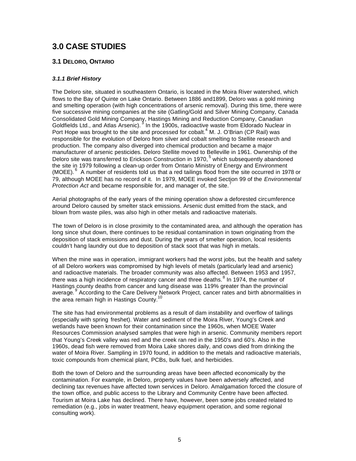# **3.0 CASE STUDIES**

# **3.1 DELORO, ONTARIO**

## *3.1.1 Brief History*

The Deloro site, situated in southeastern Ontario, is located in the Moira River watershed, which flows to the Bay of Quinte on Lake Ontario. Between 1886 and1899, Deloro was a gold mining and smelting operation (with high concentrations of arsenic removal). During this time, there were five successive mining companies at the site (Gatling/Gold and Silver Mining Company, Canada Consolidated Gold Mining Company, Hastings Mining and Reduction Company, Canadian Goldfields Ltd., and Atlas Arsenic).<sup>3</sup> In the 1900s, radioactive waste from Eldorado Nuclear in Port Hope was brought to the site and processed for cobalt.<sup>4</sup> M. J. O'Brian (CP Rail) was responsible for the evolution of Deloro from silver and cobalt smelting to Stellite research and production. The company also diverged into chemical production and became a major manufacturer of arsenic pesticides. Deloro Stellite moved to Belleville in 1961. Ownership of the Deloro site was transferred to Erickson Construction in 1970,<sup>5</sup> which subsequently abandoned the site in 1979 following a clean-up order from Ontario Ministry of Energy and Environment (MOEE). <sup>6</sup> A number of residents told us that a red tailings flood from the site occurred in 1978 or 79, although MOEE has no record of it. In 1979, MOEE invoked Section 99 of the *Environmental Protection Act* and became responsible for, and manager of, the site.<sup>1</sup>

Aerial photographs of the early years of the mining operation show a deforested circumference around Deloro caused by smelter stack emissions. Arsenic dust emitted from the stack, and blown from waste piles, was also high in other metals and radioactive materials.

The town of Deloro is in close proximity to the contaminated area, and although the operation has long since shut down, there continues to be residual contamination in town originating from the deposition of stack emissions and dust. During the years of smelter operation, local residents couldn't hang laundry out due to deposition of stack soot that was high in metals.

When the mine was in operation, immigrant workers had the worst jobs, but the health and safety of all Deloro workers was compromised by high levels of metals (particularly lead and arsenic) and radioactive materials. The broader community was also affected. Between 1953 and 1957, there was a high incidence of respiratory cancer and three deaths.  $8$  In 1974, the number of Hastings county deaths from cancer and lung disease was 119% greater than the provincial average. <sup>9</sup> According to the Care Delivery Network Project, cancer rates and birth abnormalities in the area remain high in Hastings County.<sup>1</sup>

The site has had environmental problems as a result of dam instability and overflow of tailings (especially with spring freshet). Water and sediment of the Moira River, Young's Creek and wetlands have been known for their contamination since the 1960s, when MOEE Water Resources Commission analysed samples that were high in arsenic. Community members report that Young's Creek valley was red and the creek ran red in the 1950's and 60's. Also in the 1960s, dead fish were removed from Moira Lake shores daily, and cows died from drinking the water of Moira River. Sampling in 1970 found, in addition to the metals and radioactive materials, toxic compounds from chemical plant, PCBs, bulk fuel, and herbicides.

Both the town of Deloro and the surrounding areas have been affected economically by the contamination. For example, in Deloro, property values have been adversely affected, and declining tax revenues have affected town services in Deloro. Amalgamation forced the closure of the town office, and public access to the Library and Community Centre have been affected. Tourism at Moira Lake has declined. There have, however, been some jobs created related to remediation (e.g., jobs in water treatment, heavy equipment operation, and some regional consulting work).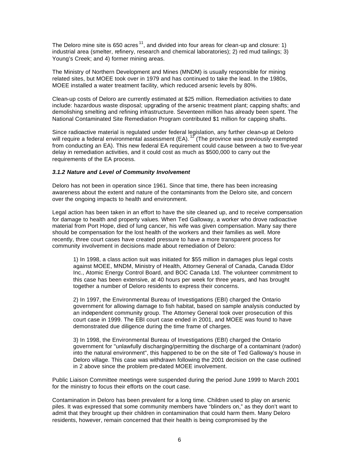The Deloro mine site is 650 acres<sup>11</sup>, and divided into four areas for clean-up and closure: 1) industrial area (smelter, refinery, research and chemical laboratories); 2) red mud tailings; 3) Young's Creek; and 4) former mining areas.

The Ministry of Northern Development and Mines (MNDM) is usually responsible for mining related sites, but MOEE took over in 1979 and has continued to take the lead. In the 1980s, MOEE installed a water treatment facility, which reduced arsenic levels by 80%.

Clean-up costs of Deloro are currently estimated at \$25 million. Remediation activities to date include: hazardous waste disposal; upgrading of the arsenic treatment plant; capping shafts; and demolishing smelting and refining infrastructure. Seventeen million has already been spent. The National Contaminated Site Remediation Program contributed \$1 million for capping shafts.

Since radioactive material is regulated under federal legislation, any further clean-up at Deloro will require a federal environmental assessment (EA). <sup>12</sup> (The province was previously exempted from conducting an EA). This new federal EA requirement could cause between a two to five-year delay in remediation activities, and it could cost as much as \$500,000 to carry out the requirements of the EA process.

#### *3.1.2 Nature and Level of Community Involvement*

Deloro has not been in operation since 1961. Since that time, there has been increasing awareness about the extent and nature of the contaminants from the Deloro site, and concern over the ongoing impacts to health and environment.

Legal action has been taken in an effort to have the site cleaned up, and to receive compensation for damage to health and property values. When Ted Galloway, a worker who drove radioactive material from Port Hope, died of lung cancer, his wife was given compensation. Many say there should be compensation for the lost health of the workers and their families as well. More recently, three court cases have created pressure to have a more transparent process for community involvement in decisions made about remediation of Deloro:

1) In 1998, a class action suit was initiated for \$55 million in damages plus legal costs against MOEE, MNDM, Ministry of Health, Attorney General of Canada, Canada Eldor Inc., Atomic Energy Control Board, and BOC Canada Ltd. The volunteer commitment to this case has been extensive, at 40 hours per week for three years, and has brought together a number of Deloro residents to express their concerns.

2) In 1997, the Environmental Bureau of Investigations (EBI) charged the Ontario government for allowing damage to fish habitat, based on sample analysis conducted by an independent community group. The Attorney General took over prosecution of this court case in 1999. The EBI court case ended in 2001, and MOEE was found to have demonstrated due diligence during the time frame of charges.

3) In 1998, the Environmental Bureau of Investigations (EBI) charged the Ontario government for "unlawfully discharging/permitting the discharge of a contaminant (radon) into the natural environment", this happened to be on the site of Ted Galloway's house in Deloro village. This case was withdrawn following the 2001 decision on the case outlined in 2 above since the problem pre-dated MOEE involvement.

Public Liaison Committee meetings were suspended during the period June 1999 to March 2001 for the ministry to focus their efforts on the court case.

Contamination in Deloro has been prevalent for a long time. Children used to play on arsenic piles. It was expressed that some community members have "blinders on," as they don't want to admit that they brought up their children in contamination that could harm them. Many Deloro residents, however, remain concerned that their health is being compromised by the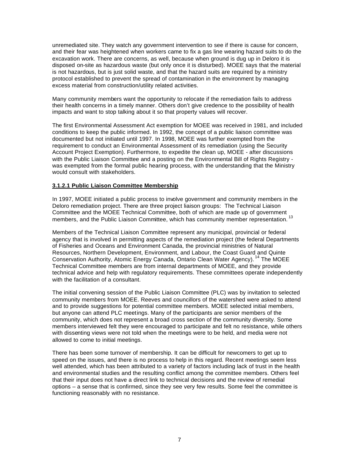unremediated site. They watch any government intervention to see if there is cause for concern, and their fear was heightened when workers came to fix a gas line wearing hazard suits to do the excavation work. There are concerns, as well, because when ground is dug up in Deloro it is disposed on-site as hazardous waste (but only once it is disturbed). MOEE says that the material is not hazardous, but is just solid waste, and that the hazard suits are required by a ministry protocol established to prevent the spread of contamination in the environment by managing excess material from construction/utility related activities.

Many community members want the opportunity to relocate if the remediation fails to address their health concerns in a timely manner. Others don't give credence to the possibility of health impacts and want to stop talking about it so that property values will recover.

The first Environmental Assessment Act exemption for MOEE was received in 1981, and included conditions to keep the public informed. In 1992, the concept of a public liaison committee was documented but not initiated until 1997. In 1998, MOEE was further exempted from the requirement to conduct an Environmental Assessment of its remediation (using the Security Account Project Exemption). Furthermore, to expedite the clean up, MOEE - after discussions with the Public Liaison Committee and a posting on the Environmental Bill of Rights Registry was exempted from the formal public hearing process, with the understanding that the Ministry would consult with stakeholders.

#### **3.1.2.1 Public Liaison Committee Membership**

In 1997, MOEE initiated a public process to involve government and community members in the Deloro remediation project. There are three project liaison groups: The Technical Liaison Committee and the MOEE Technical Committee, both of which are made up of government members, and the Public Liaison Committee, which has community member representation.<sup>13</sup>

Members of the Technical Liaison Committee represent any municipal, provincial or federal agency that is involved in permitting aspects of the remediation project (the federal Departments of Fisheries and Oceans and Environment Canada, the provincial ministries of Natural Resources, Northern Development, Environment, and Labour, the Coast Guard and Quinte Conservation Authority, Atomic Energy Canada, Ontario Clean Water Agency).<sup>14</sup> The MOEE Technical Committee members are from internal departments of MOEE, and they provide technical advice and help with regulatory requirements. These committees operate independently with the facilitation of a consultant.

The initial convening session of the Public Liaison Committee (PLC) was by invitation to selected community members from MOEE. Reeves and councillors of the watershed were asked to attend and to provide suggestions for potential committee members. MOEE selected initial members, but anyone can attend PLC meetings. Many of the participants are senior members of the community, which does not represent a broad cross section of the community diversity. Some members interviewed felt they were encouraged to participate and felt no resistance, while others with dissenting views were not told when the meetings were to be held, and media were not allowed to come to initial meetings.

There has been some turnover of membership. It can be difficult for newcomers to get up to speed on the issues, and there is no process to help in this regard. Recent meetings seem less well attended, which has been attributed to a variety of factors including lack of trust in the health and environmental studies and the resulting conflict among the committee members. Others feel that their input does not have a direct link to technical decisions and the review of remedial options – a sense that is confirmed, since they see very few results. Some feel the committee is functioning reasonably with no resistance.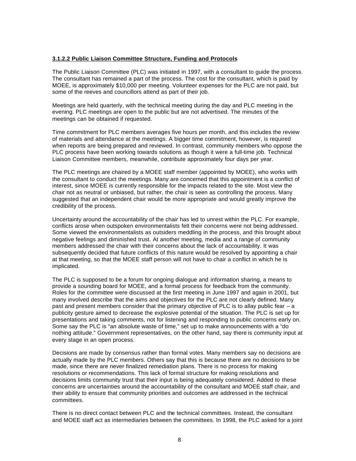#### **3.1.2.2 Public Liaison Committee Structure, Funding and Protocols**

The Public Liaison Committee (PLC) was initiated in 1997, with a consultant to guide the process. The consultant has remained a part of the process. The cost for the consultant, which is paid by MOEE, is approximately \$10,000 per meeting. Volunteer expenses for the PLC are not paid, but some of the reeves and councillors attend as part of their job.

Meetings are held quarterly, with the technical meeting during the day and PLC meeting in the evening. PLC meetings are open to the public but are not advertised. The minutes of the meetings can be obtained if requested.

Time commitment for PLC members averages five hours per month, and this includes the review of materials and attendance at the meetings. A bigger time commitment, however, is required when reports are being prepared and reviewed. In contrast, community members who oppose the PLC process have been working towards solutions as though it were a full-time job. Technical Liaison Committee members, meanwhile, contribute approximately four days per year.

The PLC meetings are chaired by a MOEE staff member (appointed by MOEE), who works with the consultant to conduct the meetings. Many are concerned that this appointment is a conflict of interest, since MOEE is currently responsible for the impacts related to the site. Most view the chair not as neutral or unbiased, but rather, the chair is seen as controlling the process. Many suggested that an independent chair would be more appropriate and would greatly improve the credibility of the process.

Uncertainty around the accountability of the chair has led to unrest within the PLC. For example, conflicts arose when outspoken environmentalists felt their concerns were not being addressed. Some viewed the environmentalists as outsiders meddling in the process, and this brought about negative feelings and diminished trust. At another meeting, media and a range of community members addressed the chair with their concerns about the lack of accountability. It was subsequently decided that future conflicts of this nature would be resolved by appointing a chair at that meeting, so that the MOEE staff person will not have to chair a conflict in which he is implicated.

The PLC is supposed to be a forum for ongoing dialogue and information sharing, a means to provide a sounding board for MOEE, and a formal process for feedback from the community. Roles for the committee were discussed at the first meeting in June 1997 and again in 2001, but many involved describe that the aims and objectives for the PLC are not clearly defined. Many past and present members consider that the primary objective of PLC is to allay public fear – a publicity gesture aimed to decrease the explosive potential of the situation. The PLC is set up for presentations and taking comments, not for listening and responding to public concerns early on. Some say the PLC is "an absolute waste of time," set up to make announcements with a "do nothing attitude." Government representatives, on the other hand, say there is community input at every stage in an open process.

Decisions are made by consensus rather than formal votes. Many members say no decisions are actually made by the PLC members. Others say that this is because there are no decisions to be made, since there are never finalized remediation plans. There is no process for making resolutions or recommendations. This lack of formal structure for making resolutions and decisions limits community trust that their input is being adequately considered. Added to these concerns are uncertainties around the accountability of the consultant and MOEE staff chair, and their ability to ensure that community priorities and outcomes are addressed in the technical committees.

There is no direct contact between PLC and the technical committees. Instead, the consultant and MOEE staff act as intermediaries between the committees. In 1998, the PLC asked for a joint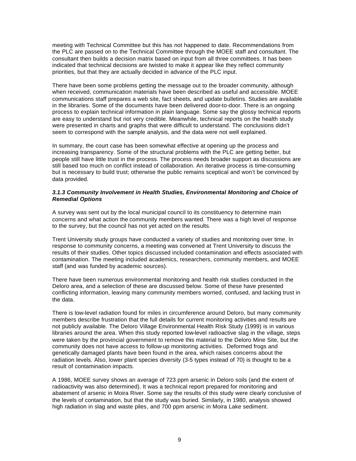meeting with Technical Committee but this has not happened to date. Recommendations from the PLC are passed on to the Technical Committee through the MOEE staff and consultant. The consultant then builds a decision matrix based on input from all three committees. It has been indicated that technical decisions are twisted to make it appear like they reflect community priorities, but that they are actually decided in advance of the PLC input.

There have been some problems getting the message out to the broader community, although when received, communication materials have been described as useful and accessible. MOEE communications staff prepares a web site, fact sheets, and update bulletins. Studies are available in the libraries. Some of the documents have been delivered door-to-door. There is an ongoing process to explain technical information in plain language. Some say the glossy technical reports are easy to understand but not very credible. Meanwhile, technical reports on the health study were presented in charts and graphs that were difficult to understand. The conclusions didn't seem to correspond with the sample analysis, and the data were not well explained.

In summary, the court case has been somewhat effective at opening up the process and increasing transparency. Some of the structural problems with the PLC are getting better, but people still have little trust in the process. The process needs broader support as discussions are still based too much on conflict instead of collaboration. An iterative process is time-consuming but is necessary to build trust; otherwise the public remains sceptical and won't be convinced by data provided.

#### *3.1.3 Community Involvement in Health Studies, Environmental Monitoring and Choice of Remedial Options*

A survey was sent out by the local municipal council to its constituency to determine main concerns and what action the community members wanted. There was a high level of response to the survey, but the council has not yet acted on the results.

Trent University study groups have conducted a variety of studies and monitoring over time. In response to community concerns, a meeting was convened at Trent University to discuss the results of their studies. Other topics discussed included contamination and effects associated with contamination. The meeting included academics, researchers, community members, and MOEE staff (and was funded by academic sources).

There have been numerous environmental monitoring and health risk studies conducted in the Deloro area, and a selection of these are discussed below. Some of these have presented conflicting information, leaving many community members worried, confused, and lacking trust in the data.

There is low-level radiation found for miles in circumference around Deloro, but many community members describe frustration that the full details for current monitoring activities and results are not publicly available. The Deloro Village Environmental Health Risk Study (1999) is in various libraries around the area. When this study reported low-level radioactive slag in the village, steps were taken by the provincial government to remove this material to the Deloro Mine Site, but the community does not have access to follow-up monitoring activities. Deformed frogs and genetically damaged plants have been found in the area, which raises concerns about the radiation levels. Also, lower plant species diversity (3-5 types instead of 70) is thought to be a result of contamination impacts.

A 1986, MOEE survey shows an average of 723 ppm arsenic in Deloro soils (and the extent of radioactivity was also determined). It was a technical report prepared for monitoring and abatement of arsenic in Moira River. Some say the results of this study were clearly conclusive of the levels of contamination, but that the study was buried. Similarly, in 1980, analysis showed high radiation in slag and waste piles, and 700 ppm arsenic in Moira Lake sediment.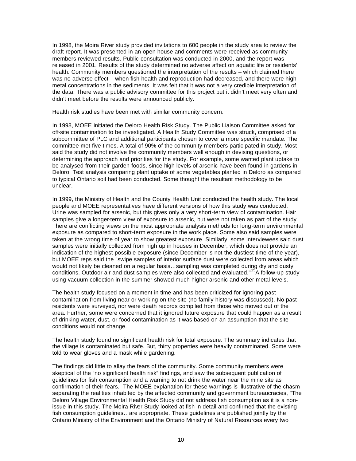In 1998, the Moira River study provided invitations to 600 people in the study area to review the draft report. It was presented in an open house and comments were received as community members reviewed results. Public consultation was conducted in 2000, and the report was released in 2001. Results of the study determined no adverse affect on aquatic life or residents' health. Community members questioned the interpretation of the results – which claimed there was no adverse effect – when fish health and reproduction had decreased, and there were high metal concentrations in the sediments. It was felt that it was not a very credible interpretation of the data. There was a public advisory committee for this project but it didn't meet very often and didn't meet before the results were announced publicly.

Health risk studies have been met with similar community concern.

In 1998, MOEE initiated the Deloro Health Risk Study. The Public Liaison Committee asked for off-site contamination to be investigated. A Health Study Committee was struck, comprised of a subcommittee of PLC and additional participants chosen to cover a more specific mandate. The committee met five times. A total of 90% of the community members participated in study. Most said the study did not involve the community members well enough in devising questions, or determining the approach and priorities for the study. For example, some wanted plant uptake to be analysed from their garden foods, since high levels of arsenic have been found in gardens in Deloro. Test analysis comparing plant uptake of some vegetables planted in Deloro as compared to typical Ontario soil had been conducted. Some thought the resultant methodology to be unclear.

In 1999, the Ministry of Health and the County Health Unit conducted the health study. The local people and MOEE representatives have different versions of how this study was conducted. Urine was sampled for arsenic, but this gives only a very short-term view of contamination. Hair samples give a longer-term view of exposure to arsenic, but were not taken as part of the study. There are conflicting views on the most appropriate analysis methods for long-term environmental exposure as compared to short-term exposure in the work place. Some also said samples were taken at the wrong time of year to show greatest exposure. Similarly, some interviewees said dust samples were initially collected from high up in houses in December, which does not provide an indication of the highest possible exposure (since December is not the dustiest time of the year), but MOEE reps said the "swipe samples of interior surface dust were collected from areas which would not likely be cleaned on a regular basis...sampling was completed during dry and dusty conditions. Outdoor air and dust samples were also collected and evaluated."<sup>15</sup>A follow-up study using vacuum collection in the summer showed much higher arsenic and other metal levels.

The health study focused on a moment in time and has been criticized for ignoring past contamination from living near or working on the site (no family history was discussed). No past residents were surveyed, nor were death records compiled from those who moved out of the area. Further, some were concerned that it ignored future exposure that could happen as a result of drinking water, dust, or food contamination as it was based on an assumption that the site conditions would not change.

The health study found no significant health risk for total exposure. The summary indicates that the village is contaminated but safe. But, thirty properties were heavily contaminated. Some were told to wear gloves and a mask while gardening.

The findings did little to allay the fears of the community. Some community members were skeptical of the "no significant health risk" findings, and saw the subsequent publication of guidelines for fish consumption and a warning to not drink the water near the mine site as confirmation of their fears. The MOEE explanation for these warnings is illustrative of the chasm separating the realities inhabited by the affected community and government bureaucracies, "The Deloro Village Environmental Health Risk Study did not address fish consumption as it is a nonissue in this study. The Moira River Study looked at fish in detail and confirmed that the existing fish consumption guidelines…are appropriate. These guidelines are published jointly by the Ontario Ministry of the Environment and the Ontario Ministry of Natural Resources every two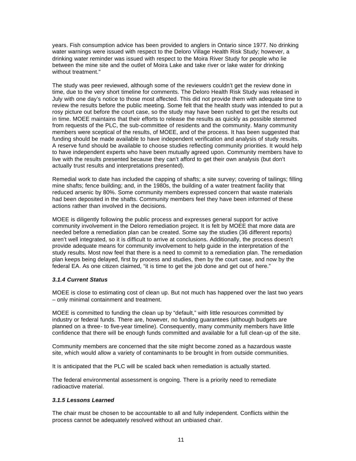years. Fish consumption advice has been provided to anglers in Ontario since 1977. No drinking water warnings were issued with respect to the Deloro Village Health Risk Study; however, a drinking water reminder was issued with respect to the Moira River Study for people who lie between the mine site and the outlet of Moira Lake and take river or lake water for drinking without treatment."

The study was peer reviewed, although some of the reviewers couldn't get the review done in time, due to the very short timeline for comments. The Deloro Health Risk Study was released in July with one day's notice to those most affected. This did not provide them with adequate time to review the results before the public meeting. Some felt that the health study was intended to put a rosy picture out before the court case, so the study may have been rushed to get the results out in time. MOEE maintains that their efforts to release the results as quickly as possible stemmed from requests of the PLC, the sub-committee of residents and the community. Many community members were sceptical of the results, of MOEE, and of the process. It has been suggested that funding should be made available to have independent verification and analysis of study results. A reserve fund should be available to choose studies reflecting community priorities. It would help to have independent experts who have been mutually agreed upon. Community members have to live with the results presented because they can't afford to get their own analysis (but don't actually trust results and interpretations presented).

Remedial work to date has included the capping of shafts; a site survey; covering of tailings; filling mine shafts; fence building; and, in the 1980s, the building of a water treatment facility that reduced arsenic by 80%. Some community members expressed concern that waste materials had been deposited in the shafts. Community members feel they have been informed of these actions rather than involved in the decisions.

MOEE is diligently following the public process and expresses general support for active community involvement in the Deloro remediation project. It is felt by MOEE that more data are needed before a remediation plan can be created. Some say the studies (36 different reports) aren't well integrated, so it is difficult to arrive at conclusions. Additionally, the process doesn't provide adequate means for community involvement to help guide in the interpretation of the study results. Most now feel that there is a need to commit to a remediation plan. The remediation plan keeps being delayed, first by process and studies, then by the court case, and now by the federal EA. As one citizen claimed, "it is time to get the job done and get out of here."

### *3.1.4 Current Status*

MOEE is close to estimating cost of clean up. But not much has happened over the last two years – only minimal containment and treatment.

MOEE is committed to funding the clean up by "default," with little resources committed by industry or federal funds. There are, however, no funding guarantees (although budgets are planned on a three- to five-year timeline). Consequently, many community members have little confidence that there will be enough funds committed and available for a full clean-up of the site.

Community members are concerned that the site might become zoned as a hazardous waste site, which would allow a variety of contaminants to be brought in from outside communities.

It is anticipated that the PLC will be scaled back when remediation is actually started.

The federal environmental assessment is ongoing. There is a priority need to remediate radioactive material.

#### *3.1.5 Lessons Learned*

The chair must be chosen to be accountable to all and fully independent. Conflicts within the process cannot be adequately resolved without an unbiased chair.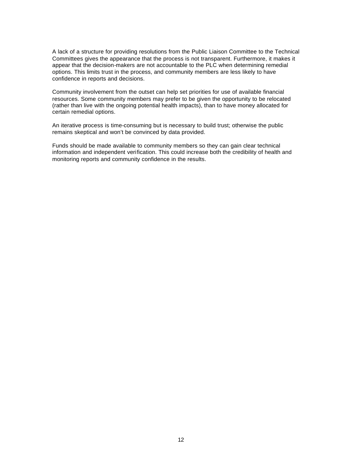A lack of a structure for providing resolutions from the Public Liaison Committee to the Technical Committees gives the appearance that the process is not transparent. Furthermore, it makes it appear that the decision-makers are not accountable to the PLC when determining remedial options. This limits trust in the process, and community members are less likely to have confidence in reports and decisions.

Community involvement from the outset can help set priorities for use of available financial resources. Some community members may prefer to be given the opportunity to be relocated (rather than live with the ongoing potential health impacts), than to have money allocated for certain remedial options.

An iterative process is time-consuming but is necessary to build trust; otherwise the public remains skeptical and won't be convinced by data provided.

Funds should be made available to community members so they can gain clear technical information and independent verification. This could increase both the credibility of health and monitoring reports and community confidence in the results.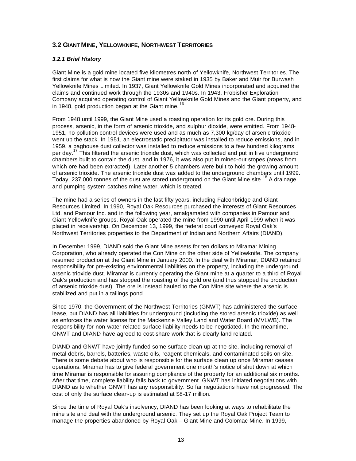# **3.2 GIANT MINE, YELLOWKNIFE, NORTHWEST TERRITORIES**

#### *3.2.1 Brief History*

Giant Mine is a gold mine located five kilometres north of Yellowknife, Northwest Territories. The first claims for what is now the Giant mine were staked in 1935 by Baker and Muir for Burwash Yellowknife Mines Limited. In 1937, Giant Yellowknife Gold Mines incorporated and acquired the claims and continued work through the 1930s and 1940s. In 1943, Frobisher Exploration Company acquired operating control of Giant Yellowknife Gold Mines and the Giant property, and in 1948, gold production began at the Giant mine.<sup>16</sup>

From 1948 until 1999, the Giant Mine used a roasting operation for its gold ore. During this process, arsenic, in the form of arsenic trioxide, and sulphur dioxide, were emitted. From 1948- 1951, no pollution control devices were used and as much as 7,300 kg/day of arsenic trioxide went up the stack. In 1951, an electrostatic precipitator was installed to reduce emissions, and in 1959, a baghouse dust collector was installed to reduce emissions to a few hundred kilograms per day.<sup>17</sup> This filtered the arsenic trioxide dust, which was collected and put in five underground chambers built to contain the dust, and in 1976, it was also put in mined-out stopes (areas from which ore had been extracted). Later another 5 chambers were built to hold the growing amount of arsenic trioxide. The arsenic trioxide dust was added to the underground chambers until 1999. Today, 237,000 tonnes of the dust are stored underground on the Giant Mine site.<sup>18</sup> A drainage and pumping system catches mine water, which is treated.

The mine had a series of owners in the last fifty years, including Falconbridge and Giant Resources Limited. In 1990, Royal Oak Resources purchased the interests of Giant Resources Ltd. and Pamour Inc. and in the following year, amalgamated with companies in Pamour and Giant Yellowknife groups. Royal Oak operated the mine from 1990 until April 1999 when it was placed in receivership. On December 13, 1999, the federal court conveyed Royal Oak's Northwest Territories properties to the Department of Indian and Northern Affairs (DIAND).

In December 1999, DIAND sold the Giant Mine assets for ten dollars to Miramar Mining Corporation, who already operated the Con Mine on the other side of Yellowknife. The company resumed production at the Giant Mine in January 2000. In the deal with Miramar, DIAND retained responsibility for pre-existing environmental liabilities on the property, including the underground arsenic trioxide dust. Miramar is currently operating the Giant mine at a quarter to a third of Royal Oak's production and has stopped the roasting of the gold ore (and thus stopped the production of arsenic trioxide dust). The ore is instead hauled to the Con Mine site where the arsenic is stabilized and put in a tailings pond.

Since 1970, the Government of the Northwest Territories (GNWT) has administered the surface lease, but DIAND has all liabilities for underground (including the stored arsenic trioxide) as well as enforces the water license for the Mackenzie Valley Land and Water Board (MVLWB). The responsibility for non-water related surface liability needs to be negotiated. In the meantime, GNWT and DIAND have agreed to cost-share work that is clearly land related.

DIAND and GNWT have jointly funded some surface clean up at the site, including removal of metal debris, barrels, batteries, waste oils, reagent chemicals, and contaminated soils on site. There is some debate about who is responsible for the surface clean up once Miramar ceases operations. Miramar has to give federal government one month's notice of shut down at which time Miramar is responsible for assuring compliance of the property for an additional six months. After that time, complete liability falls back to government. GNWT has initiated negotiations with DIAND as to whether GNWT has any responsibility. So far negotiations have not progressed. The cost of only the surface clean-up is estimated at \$8-17 million.

Since the time of Royal Oak's insolvency, DIAND has been looking at ways to rehabilitate the mine site and deal with the underground arsenic. They set up the Royal Oak Project Team to manage the properties abandoned by Royal Oak – Giant Mine and Colomac Mine. In 1999,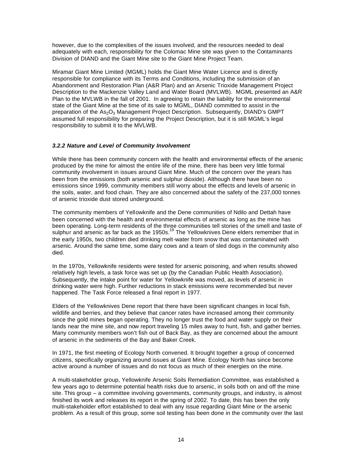however, due to the complexities of the issues involved, and the resources needed to deal adequately with each, responsibility for the Colomac Mine site was given to the Contaminants Division of DIAND and the Giant Mine site to the Giant Mine Project Team.

Miramar Giant Mine Limited (MGML) holds the Giant Mine Water Licence and is directly responsible for compliance with its Terms and Conditions, including the submission of an Abandonment and Restoration Plan (A&R Plan) and an Arsenic Trioxide Management Project Description to the Mackenzie Valley Land and Water Board (MVLWB). MGML presented an A&R Plan to the MVLWB in the fall of 2001. In agreeing to retain the liability for the environmental state of the Giant Mine at the time of its sale to MGML, DIAND committed to assist in the preparation of the As<sub>2</sub>O<sub>3</sub> Management Project Description. Subsequently, DIAND's GMPT assumed full responsibility for preparing the Project Description, but it is still MGML's legal responsibility to submit it to the MVLWB.

#### *3.2.2 Nature and Level of Community Involvement*

While there has been community concern with the health and environmental effects of the arsenic produced by the mine for almost the entire life of the mine, there has been very little formal community involvement in issues around Giant Mine. Much of the concern over the years has been from the emissions (both arsenic and sulphur dioxide). Although there have been no emissions since 1999, community members still worry about the effects and levels of arsenic in the soils, water, and food chain. They are also concerned about the safety of the 237,000 tonnes of arsenic trioxide dust stored underground.

The community members of Yellowknife and the Dene communities of Ndilo and Dettah have been concerned with the health and environmental effects of arsenic as long as the mine has been operating. Long-term residents of the three communities tell stories of the smell and taste of such openancy. Early term residents of the thrown is communities to the strike of the entitled test of sulphur and arsenic as far back as the 1950s.<sup>19</sup> The Yellowknives Dene elders remember that in the early 1950s, two children died drinking melt-water from snow that was contaminated with arsenic. Around the same time, some dairy cows and a team of sled dogs in the community also died.

In the 1970s, Yellowknife residents were tested for arsenic poisoning, and when results showed relatively high levels, a task force was set up (by the Canadian Public Health Association). Subsequently, the intake point for water for Yellowknife was moved, as levels of arsenic in drinking water were high. Further reductions in stack emissions were recommended but never happened. The Task Force released a final report in 1977.

Elders of the Yellowknives Dene report that there have been significant changes in local fish, wildlife and berries, and they believe that cancer rates have increased among their community since the gold mines began operating. They no longer trust the food and water supply on their lands near the mine site, and now report traveling 15 miles away to hunt, fish, and gather berries. Many community members won't fish out of Back Bay, as they are concerned about the amount of arsenic in the sediments of the Bay and Baker Creek.

In 1971, the first meeting of Ecology North convened. It brought together a group of concerned citizens, specifically organizing around issues at Giant Mine. Ecology North has since become active around a number of issues and do not focus as much of their energies on the mine.

A multi-stakeholder group, Yellowknife Arsenic Soils Remediation Committee, was established a few years ago to determine potential health risks due to arsenic, in soils both on and off the mine site. This group – a committee involving governments, community groups, and industry, is almost finished its work and releases its report in the spring of 2002. To date, this has been the only multi-stakeholder effort established to deal with any issue regarding Giant Mine or the arsenic problem. As a result of this group, some soil testing has been done in the community over the last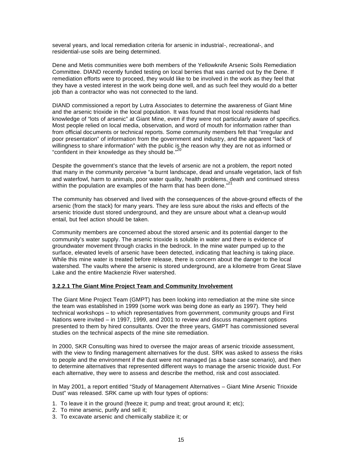several years, and local remediation criteria for arsenic in industrial-, recreational-, and residential-use soils are being determined.

Dene and Metis communities were both members of the Yellowknife Arsenic Soils Remediation Committee. DIAND recently funded testing on local berries that was carried out by the Dene. If remediation efforts were to proceed, they would like to be involved in the work as they feel that they have a vested interest in the work being done well, and as such feel they would do a better job than a contractor who was not connected to the land.

DIAND commissioned a report by Lutra Associates to determine the awareness of Giant Mine and the arsenic trioxide in the local population. It was found that most local residents had knowledge of "lots of arsenic" at Giant Mine, even if they were not particularly aware of specifics. Most people relied on local media, observation, and word of mouth for information rather than from official documents or technical reports. Some community members felt that "irregular and poor presentation" of information from the government and industry, and the apparent "lack of willingness to share information" with the public is the reason why they are not as informed or "confident in their knowledge as they should be."<sup>20</sup>

Despite the government's stance that the levels of arsenic are not a problem, the report noted that many in the community perceive "a burnt landscape, dead and unsafe vegetation, lack of fish and waterfowl, harm to animals, poor water quality, health problems, death and continued stress within the population are examples of the harm that has been done."

The community has observed and lived with the consequences of the above-ground effects of the arsenic (from the stack) for many years. They are less sure about the risks and effects of the arsenic trioxide dust stored underground, and they are unsure about what a clean-up would entail, but feel action should be taken.

Community members are concerned about the stored arsenic and its potential danger to the community's water supply. The arsenic trioxide is soluble in water and there is evidence of groundwater movement through cracks in the bedrock. In the mine water pumped up to the surface, elevated levels of arsenic have been detected, indicating that leaching is taking place. While this mine water is treated before release, there is concern about the danger to the local watershed. The vaults where the arsenic is stored underground, are a kilometre from Great Slave Lake and the entire Mackenzie River watershed.

#### **3.2.2.1 The Giant Mine Project Team and Community Involvement**

The Giant Mine Project Team (GMPT) has been looking into remediation at the mine site since the team was established in 1999 (some work was being done as early as 1997). They held technical workshops – to which representatives from government, community groups and First Nations were invited – in 1997, 1999, and 2001 to review and discuss management options presented to them by hired consultants. Over the three years, GMPT has commissioned several studies on the technical aspects of the mine site remediation.

In 2000, SKR Consulting was hired to oversee the major areas of arsenic trioxide assessment, with the view to finding management alternatives for the dust. SRK was asked to assess the risks to people and the environment if the dust were not managed (as a base case scenario), and then to determine alternatives that represented different ways to manage the arsenic trioxide dust. For each alternative, they were to assess and describe the method, risk and cost associated.

In May 2001, a report entitled "Study of Management Alternatives – Giant Mine Arsenic Trioxide Dust" was released. SRK came up with four types of options:

- 1. To leave it in the ground (freeze it; pump and treat; grout around it; etc);
- 2. To mine arsenic, purify and sell it;
- 3. To excavate arsenic and chemically stabilize it; or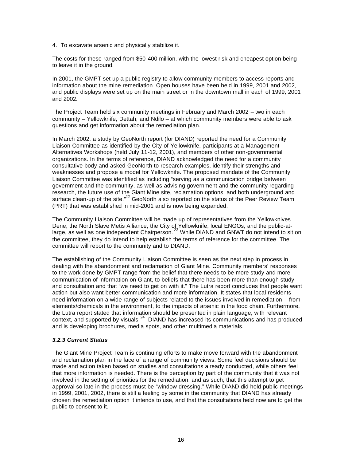4. To excavate arsenic and physically stabilize it.

The costs for these ranged from \$50-400 million, with the lowest risk and cheapest option being to leave it in the ground.

In 2001, the GMPT set up a public registry to allow community members to access reports and information about the mine remediation. Open houses have been held in 1999, 2001 and 2002, and public displays were set up on the main street or in the downtown mall in each of 1999, 2001 and 2002.

The Project Team held six community meetings in February and March 2002 – two in each community – Yellowknife, Dettah, and Ndilo – at which community members were able to ask questions and get information about the remediation plan.

In March 2002, a study by GeoNorth report (for DIAND) reported the need for a Community Liaison Committee as identified by the City of Yellowknife, participants at a Management Alternatives Workshops (held July 11-12, 2001), and members of other non-governmental organizations. In the terms of reference, DIAND acknowledged the need for a community consultative body and asked GeoNorth to research examples, identify their strengths and weaknesses and propose a model for Yellowknife. The proposed mandate of the Community Liaison Committee was identified as including "serving as a communication bridge between government and the community, as well as advising government and the community regarding research, the future use of the Giant Mine site, reclamation options, and both underground and surface clean-up of the site."<sup>22</sup> GeoNorth also reported on the status of the Peer Review Team (PRT) that was established in mid-2001 and is now being expanded.

The Community Liaison Committee will be made up of representatives from the Yellowknives Dene, the North Slave Metis Alliance, the City of Yellowknife, local ENGOs, and the public-atlarge, as well as one independent Chairperson. <sup>23</sup> While DIAND and GNWT do not intend to sit on the committee, they do intend to help establish the terms of reference for the committee. The committee will report to the community and to DIAND.

The establishing of the Community Liaison Committee is seen as the next step in process in dealing with the abandonment and reclamation of Giant Mine. Community members' responses to the work done by GMPT range from the belief that there needs to be more study and more communication of information on Giant, to beliefs that there has been more than enough study and consultation and that "we need to get on with it." The Lutra report concludes that people want action but also want better communication and more information. It states that local residents need information on a wide range of subjects related to the issues involved in remediation – from elements/chemicals in the environment, to the impacts of arsenic in the food chain. Furthermore, the Lutra report stated that information should be presented in plain language, with relevant context, and supported by visuals.<sup>24</sup> DIAND has increased its communications and has produced and is developing brochures, media spots, and other multimedia materials.

#### *3.2.3 Current Status*

The Giant Mine Project Team is continuing efforts to make move forward with the abandonment and reclamation plan in the face of a range of community views. Some feel decisions should be made and action taken based on studies and consultations already conducted, while others feel that more information is needed. There is the perception by part of the community that it was not involved in the setting of priorities for the remediation, and as such, that this attempt to get approval so late in the process must be "window dressing." While DIAND did hold public meetings in 1999, 2001, 2002, there is still a feeling by some in the community that DIAND has already chosen the remediation option it intends to use, and that the consultations held now are to get the public to consent to it.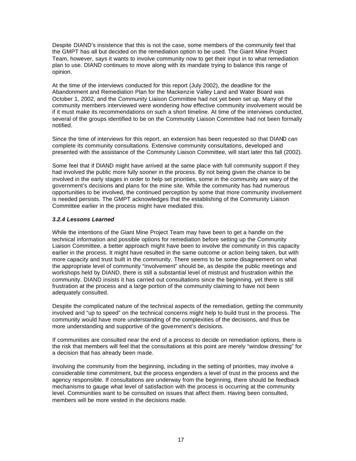Despite DIAND's insistence that this is not the case, some members of the community feel that the GMPT has all but decided on the remediation option to be used. The Giant Mine Project Team, however, says it wants to involve community now to get their input in to what remediation plan to use. DIAND continues to move along with its mandate trying to balance this range of opinion.

At the time of the interviews conducted for this report (July 2002), the deadline for the Abandonment and Remediation Plan for the Mackenzie Valley Land and Water Board was October 1, 2002, and the Community Liaison Committee had not yet been set up. Many of the community members interviewed were wondering how effective community involvement would be if it must make its recommendations on such a short timeline. At time of the interviews conducted, several of the groups identified to be on the Community Liaison Committee had not been formally notified.

Since the time of interviews for this report, an extension has been requested so that DIAND can complete its community consultations. Extensive community consultations, developed and presented with the assistance of the Community Liaison Committee, will start later this fall (2002).

Some feel that if DIAND might have arrived at the same place with full community support if they had involved the public more fully sooner in the process. By not being given the chance to be involved in the early stages in order to help set priorities, some in the community are wary of the government's decisions and plans for the mine site. While the community has had numerous opportunities to be involved, the continued perception by some that more community involvement is needed persists. The GMPT acknowledges that the establishing of the Community Liaison Committee earlier in the process might have mediated this.

#### *3.2.4 Lessons Learned*

While the intentions of the Giant Mine Project Team may have been to get a handle on the technical information and possible options for remediation before setting up the Community Liaison Committee, a better approach might have been to involve the community in this capacity earlier in the process. It might have resulted in the same outcome or action being taken, but with more capacity and trust built in the community. There seems to be some disagreement on what the appropriate level of community "involvement" should be, as despite the public meetings and workshops held by DIAND, there is still a substantial level of mistrust and frustration within the community. DIAND insists it has carried out consultations since the beginning, yet there is still frustration at the process and a large portion of the community claiming to have not been adequately consulted.

Despite the complicated nature of the technical aspects of the remediation, getting the community involved and "up to speed" on the technical concerns might help to build trust in the process. The community would have more understanding of the complexities of the decisions, and thus be more understanding and supportive of the government's decisions.

If communities are consulted near the end of a process to decide on remediation options, there is the risk that members will feel that the consultations at this point are merely "window dressing" for a decision that has already been made.

Involving the community from the beginning, including in the setting of priorities, may involve a considerable time commitment, but the process engenders a level of trust in the process and the agency responsible. If consultations are underway from the beginning, there should be feedback mechanisms to gauge what level of satisfaction with the process is occurring at the community level. Communities want to be consulted on issues that affect them. Having been consulted, members will be more vested in the decisions made.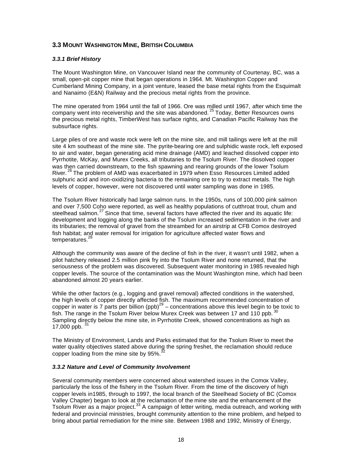# **3.3 MOUNT WASHINGTON MINE, BRITISH COLUMBIA**

#### *3.3.1 Brief History*

The Mount Washington Mine, on Vancouver Island near the community of Courtenay, BC, was a small, open-pit copper mine that began operations in 1964. Mt. Washington Copper and Cumberland Mining Company, in a joint venture, leased the base metal rights from the Esquimalt and Nanaimo (E&N) Railway and the precious metal rights from the province.

The mine operated from 1964 until the fall of 1966. Ore was milled until 1967, after which time the company went into receivership and the site was abandoned.<sup>25</sup> Today, Better Resources owns the precious metal rights, TimberWest has surface rights, and Canadian Pacific Railway has the subsurface rights.

Large piles of ore and waste rock were left on the mine site, and mill tailings were left at the mill site 4 km southeast of the mine site. The pyrite-bearing ore and sulphidic waste rock, left exposed to air and water, began generating acid mine drainage (AMD) and leached dissolved copper into Pyrrhotite, McKay, and Murex Creeks, all tributaries to the Tsolum River. The dissolved copper was then carried downstream, to the fish spawning and rearing grounds of the lower Tsolum River.<sup>26</sup> The problem of AMD was exacerbated in 1979 when Esso Resources Limited added sulphuric acid and iron-oxidizing bacteria to the remaining ore to try to extract metals. The high levels of copper, however, were not discovered until water sampling was done in 1985.

The Tsolum River historically had large salmon runs. In the 1950s, runs of 100,000 pink salmon and over 7,500 Coho were reported, as well as healthy populations of cutthroat trout, chum and steelhead salmon.<sup>27</sup> Since that time, several factors have affected the river and its aquatic life: development and logging along the banks of the Tsolum increased sedimentation in the river and its tributaries; the removal of gravel from the streambed for an airstrip at CFB Comox destroyed fish habitat; and water removal for irrigation for agriculture affected water flows and temperatures.<sup>28</sup>

Although the community was aware of the decline of fish in the river, it wasn't until 1982, when a pilot hatchery released 2.5 million pink fry into the Tsolum River and none returned, that the seriousness of the problem was discovered. Subsequent water monitoring in 1985 revealed high copper levels. The source of the contamination was the Mount Washington mine, which had been abandoned almost 20 years earlier.

While the other factors (e.g., logging and gravel removal) affected conditions in the watershed, the high levels of copper directly affected fish. The maximum recommended concentration of copper in water is 7 parts per billion (ppb)<sup>29</sup> – concentrations above this level begin to be toxic to fish. The range in the Tsolum River below Murex Creek was between 17 and 110 ppb. 30 Sampling directly below the mine site, in Pyrrhotite Creek, showed concentrations as high as 17,000 ppb.  $\frac{3}{1}$ 

The Ministry of Environment, Lands and Parks estimated that for the Tsolum River to meet the water quality objectives stated above during the spring freshet, the reclamation should reduce copper loading from the mine site by  $95\%$ .

#### *3.3.2 Nature and Level of Community Involvement*

Several community members were concerned about watershed issues in the Comox Valley, particularly the loss of the fishery in the Tsolum River. From the time of the discovery of high copper levels in1985, through to 1997, the local branch of the Steelhead Society of BC (Comox Valley Chapter) began to look at the reclamation of the mine site and the enhancement of the Tsolum River as a major project.<sup>33</sup> A campaign of letter writing, media outreach, and working with federal and provincial ministries, brought community attention to the mine problem, and helped to bring about partial remediation for the mine site. Between 1988 and 1992, Ministry of Energy,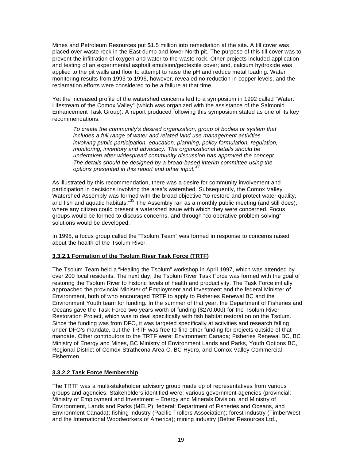Mines and Petroleum Resources put \$1.5 million into remediation at the site. A till cover was placed over waste rock in the East dump and lower North pit. The purpose of this till cover was to prevent the infiltration of oxygen and water to the waste rock. Other projects included application and testing of an experimental asphalt emulsion/geotextile cover; and, calcium hydroxide was applied to the pit walls and floor to attempt to raise the pH and reduce metal loading. Water monitoring results from 1993 to 1996, however, revealed no reduction in copper levels, and the reclamation efforts were considered to be a failure at that time.

Yet the increased profile of the watershed concerns led to a symposium in 1992 called "Water: Lifestream of the Comox Valley" (which was organized with the assistance of the Salmonid Enhancement Task Group). A report produced following this symposium stated as one of its key recommendations:

*To create the community's desired organization, group of bodies or system that includes a full range of water and related land use management activities involving public participation, education, planning, policy formulation, regulation, monitoring, inventory and advocacy. The organizational details should be undertaken after widespread community discussion has approved the concept. The details should be designed by a broad-based interim committee using the options presented in this report and other input.<sup>34</sup>*

As illustrated by this recommendation, there was a desire for community involvement and participation in decisions involving the area's watershed. Subsequently, the Comox Valley Watershed Assembly was formed with the broad objective "to restore and protect water quality. and fish and aquatic habitats."<sup>35</sup> The Assembly ran as a monthly public meeting (and still does), where any citizen could present a watershed issue with which they were concerned. Focus groups would be formed to discuss concerns, and through "co-operative problem-solving" solutions would be developed.

In 1995, a focus group called the "Tsolum Team" was formed in response to concerns raised about the health of the Tsolum River.

### **3.3.2.1 Formation of the Tsolum River Task Force (TRTF)**

The Tsolum Team held a "Healing the Tsolum" workshop in April 1997, which was attended by over 200 local residents. The next day, the Tsolum River Task Force was formed with the goal of restoring the Tsolum River to historic levels of health and productivity. The Task Force initially approached the provincial Minister of Employment and Investment and the federal Minister of Environment, both of who encouraged TRTF to apply to Fisheries Renewal BC and the Environment Youth team for funding. In the summer of that year, the Department of Fisheries and Oceans gave the Task Force two years worth of funding (\$270,000) for the Tsolum River Restoration Project, which was to deal specifically with fish habitat restoration on the Tsolum. Since the funding was from DFO, it was targeted specifically at activities and research falling under DFO's mandate, but the TRTF was free to find other funding for projects outside of that mandate. Other contributors to the TRTF were: Environment Canada; Fisheries Renewal BC, BC Ministry of Energy and Mines, BC Ministry of Environment Lands and Parks, Youth Options BC, Regional District of Comox-Strathcona Area C, BC Hydro, and Comox Valley Commercial Fishermen.

#### **3.3.2.2 Task Force Membership**

The TRTF was a multi-stakeholder advisory group made up of representatives from various groups and agencies. Stakeholders identified were: various government agencies (provincial: Ministry of Employment and Investment – Energy and Minerals Division, and Ministry of Environment, Lands and Parks (MELP); federal: Department of Fisheries and Oceans, and Environment Canada); fishing industry (Pacific Trollers Association); forest industry (TimberWest and the International Woodworkers of America); mining industry (Better Resources Ltd.,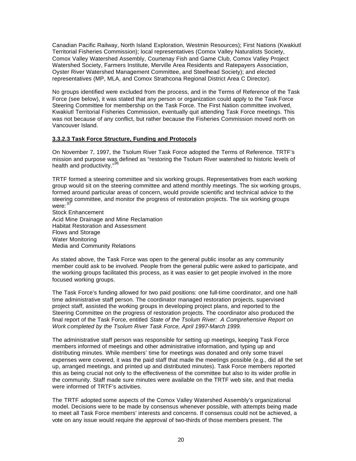Canadian Pacific Railway, North Island Exploration, Westmin Resources); First Nations (Kwakiutl Territorial Fisheries Commission); local representatives (Comox Valley Naturalists Society, Comox Valley Watershed Assembly, Courtenay Fish and Game Club, Comox Valley Project Watershed Society, Farmers Institute, Merville Area Residents and Ratepayers Association, Oyster River Watershed Management Committee, and Steelhead Society); and elected representatives (MP, MLA, and Comox Strathcona Regional District Area C Director).

No groups identified were excluded from the process, and in the Terms of Reference of the Task Force (see below), it was stated that any person or organization could apply to the Task Force Steering Committee for membership on the Task Force. The First Nation committee involved, Kwakiutl Territorial Fisheries Commission, eventually quit attending Task Force meetings. This was not because of any conflict, but rather because the Fisheries Commission moved north on Vancouver Island.

#### **3.3.2.3 Task Force Structure, Funding and Protocols**

On November 7, 1997, the Tsolum River Task Force adopted the Terms of Reference. TRTF's mission and purpose was defined as "restoring the Tsolum River watershed to historic levels of health and productivity."<sup>36</sup>

TRTF formed a steering committee and six working groups. Representatives from each working group would sit on the steering committee and attend monthly meetings. The six working groups, formed around particular areas of concern, would provide scientific and technical advice to the steering committee, and monitor the progress of restoration projects. The six working groups were: <sup>37</sup>

Stock Enhancement Acid Mine Drainage and Mine Reclamation Habitat Restoration and Assessment Flows and Storage Water Monitoring Media and Community Relations

As stated above, the Task Force was open to the general public insofar as any community member could ask to be involved. People from the general public were asked to participate, and the working groups facilitated this process, as it was easier to get people involved in the more focused working groups.

The Task Force's funding allowed for two paid positions: one full-time coordinator, and one halftime administrative staff person. The coordinator managed restoration projects, supervised project staff, assisted the working groups in developing project plans, and reported to the Steering Committee on the progress of restoration projects. The coordinator also produced the final report of the Task Force, entitled *State of the Tsolum River: A Comprehensive Report on Work completed by the Tsolum River Task Force, April 1997-March 1999.*

The administrative staff person was responsible for setting up meetings, keeping Task Force members informed of meetings and other administrative information, and typing up and distributing minutes. While members' time for meetings was donated and only some travel expenses were covered, it was the paid staff that made the meetings possible (e.g., did all the set up, arranged meetings, and printed up and distributed minutes). Task Force members reported this as being crucial not only to the effectiveness of the committee but also to its wider profile in the community. Staff made sure minutes were available on the TRTF web site, and that media were informed of TRTF's activities.

The TRTF adopted some aspects of the Comox Valley Watershed Assembly's organizational model. Decisions were to be made by consensus whenever possible, with attempts being made to meet all Task Force members' interests and concerns. If consensus could not be achieved, a vote on any issue would require the approval of two-thirds of those members present. The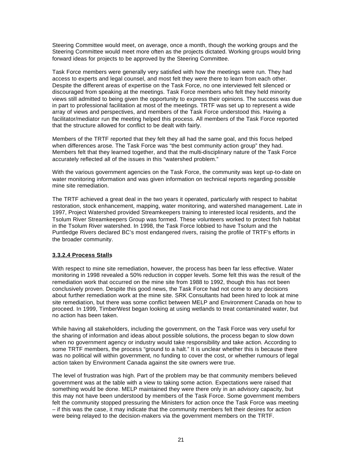Steering Committee would meet, on average, once a month, though the working groups and the Steering Committee would meet more often as the projects dictated. Working groups would bring forward ideas for projects to be approved by the Steering Committee.

Task Force members were generally very satisfied with how the meetings were run. They had access to experts and legal counsel, and most felt they were there to learn from each other. Despite the different areas of expertise on the Task Force, no one interviewed felt silenced or discouraged from speaking at the meetings. Task Force members who felt they held minority views still admitted to being given the opportunity to express their opinions. The success was due in part to professional facilitation at most of the meetings. TRTF was set up to represent a wide array of views and perspectives, and members of the Task Force understood this. Having a facilitator/mediator run the meeting helped this process. All members of the Task Force reported that the structure allowed for conflict to be dealt with fairly.

Members of the TRTF reported that they felt they all had the same goal, and this focus helped when differences arose. The Task Force was "the best community action group" they had. Members felt that they learned together, and that the multi-disciplinary nature of the Task Force accurately reflected all of the issues in this "watershed problem."

With the various government agencies on the Task Force, the community was kept up-to-date on water monitoring information and was given information on technical reports regarding possible mine site remediation.

The TRTF achieved a great deal in the two years it operated, particularly with respect to habitat restoration, stock enhancement, mapping, water monitoring, and watershed management. Late in 1997, Project Watershed provided Streamkeepers training to interested local residents, and the Tsolum River Streamkeepers Group was formed. These volunteers worked to protect fish habitat in the Tsolum River watershed. In 1998, the Task Force lobbied to have Tsolum and the Puntledge Rivers declared BC's most endangered rivers, raising the profile of TRTF's efforts in the broader community.

#### **3.3.2.4 Process Stalls**

With respect to mine site remediation, however, the process has been far less effective. Water monitoring in 1998 revealed a 50% reduction in copper levels. Some felt this was the result of the remediation work that occurred on the mine site from 1988 to 1992, though this has not been conclusively proven. Despite this good news, the Task Force had not come to any decisions about further remediation work at the mine site. SRK Consultants had been hired to look at mine site remediation, but there was some conflict between MELP and Environment Canada on how to proceed. In 1999, TimberWest began looking at using wetlands to treat contaminated water, but no action has been taken.

While having all stakeholders, including the government, on the Task Force was very useful for the sharing of information and ideas about possible solutions, the process began to slow down when no government agency or industry would take responsibility and take action. According to some TRTF members, the process "ground to a halt." It is unclear whether this is because there was no political will within government, no funding to cover the cost, or whether rumours of legal action taken by Environment Canada against the site owners were true.

The level of frustration was high. Part of the problem may be that community members believed government was at the table with a view to taking some action. Expectations were raised that something would be done. MELP maintained they were there only in an advisory capacity, but this may not have been understood by members of the Task Force. Some government members felt the community stopped pressuring the Ministers for action once the Task Force was meeting – if this was the case, it may indicate that the community members felt their desires for action were being relayed to the decision-makers via the government members on the TRTF.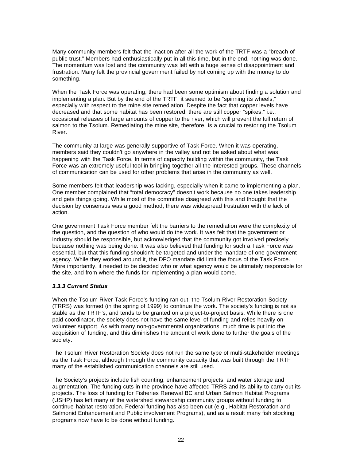Many community members felt that the inaction after all the work of the TRTF was a "breach of public trust." Members had enthusiastically put in all this time, but in the end, nothing was done. The momentum was lost and the community was left with a huge sense of disappointment and frustration. Many felt the provincial government failed by not coming up with the money to do something.

When the Task Force was operating, there had been some optimism about finding a solution and implementing a plan. But by the end of the TRTF, it seemed to be "spinning its wheels," especially with respect to the mine site remediation. Despite the fact that copper levels have decreased and that some habitat has been restored, there are still copper "spikes," i.e., occasional releases of large amounts of copper to the river, which will prevent the full return of salmon to the Tsolum. Remediating the mine site, therefore, is a crucial to restoring the Tsolum River.

The community at large was generally supportive of Task Force. When it was operating, members said they couldn't go anywhere in the valley and not be asked about what was happening with the Task Force. In terms of capacity building within the community, the Task Force was an extremely useful tool in bringing together all the interested groups. These channels of communication can be used for other problems that arise in the community as well.

Some members felt that leadership was lacking, especially when it came to implementing a plan. One member complained that "total democracy" doesn't work because no one takes leadership and gets things going. While most of the committee disagreed with this and thought that the decision by consensus was a good method, there was widespread frustration with the lack of action.

One government Task Force member felt the barriers to the remediation were the complexity of the question, and the question of who would do the work. It was felt that the government or industry should be responsible, but acknowledged that the community got involved precisely because nothing was being done. It was also believed that funding for such a Task Force was essential, but that this funding shouldn't be targeted and under the mandate of one government agency. While they worked around it, the DFO mandate did limit the focus of the Task Force. More importantly, it needed to be decided who or what agency would be ultimately responsible for the site, and from where the funds for implementing a plan would come.

### *3.3.3 Current Status*

When the Tsolum River Task Force's funding ran out, the Tsolum River Restoration Society (TRRS) was formed (in the spring of 1999) to continue the work. The society's funding is not as stable as the TRTF's, and tends to be granted on a project-to-project basis. While there is one paid coordinator, the society does not have the same level of funding and relies heavily on volunteer support. As with many non-governmental organizations, much time is put into the acquisition of funding, and this diminishes the amount of work done to further the goals of the society.

The Tsolum River Restoration Society does not run the same type of multi-stakeholder meetings as the Task Force, although through the community capacity that was built through the TRTF many of the established communication channels are still used.

The Society's projects include fish counting, enhancement projects, and water storage and augmentation. The funding cuts in the province have affected TRRS and its ability to carry out its projects. The loss of funding for Fisheries Renewal BC and Urban Salmon Habitat Programs (USHP) has left many of the watershed stewardship community groups without funding to continue habitat restoration. Federal funding has also been cut (e.g., Habitat Restoration and Salmonid Enhancement and Public involvement Programs), and as a result many fish stocking programs now have to be done without funding.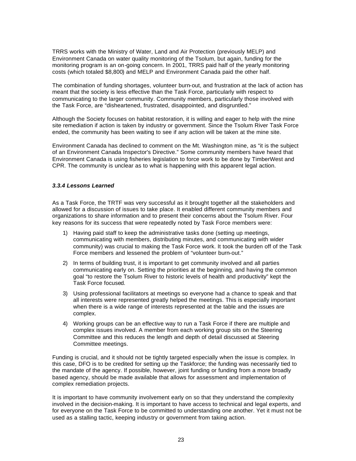TRRS works with the Ministry of Water, Land and Air Protection (previously MELP) and Environment Canada on water quality monitoring of the Tsolum, but again, funding for the monitoring program is an on-going concern. In 2001, TRRS paid half of the yearly monitoring costs (which totaled \$8,800) and MELP and Environment Canada paid the other half.

The combination of funding shortages, volunteer burn-out, and frustration at the lack of action has meant that the society is less effective than the Task Force, particularly with respect to communicating to the larger community. Community members, particularly those involved with the Task Force, are "disheartened, frustrated, disappointed, and disgruntled."

Although the Society focuses on habitat restoration, it is willing and eager to help with the mine site remediation if action is taken by industry or government. Since the Tsolum River Task Force ended, the community has been waiting to see if any action will be taken at the mine site.

Environment Canada has declined to comment on the Mt. Washington mine, as "it is the subject of an Environment Canada Inspector's Directive." Some community members have heard that Environment Canada is using fisheries legislation to force work to be done by TimberWest and CPR. The community is unclear as to what is happening with this apparent legal action.

#### *3.3.4 Lessons Learned*

As a Task Force, the TRTF was very successful as it brought together all the stakeholders and allowed for a discussion of issues to take place. It enabled different community members and organizations to share information and to present their concerns about the Tsolum River. Four key reasons for its success that were repeatedly noted by Task Force members were:

- 1) Having paid staff to keep the administrative tasks done (setting up meetings, communicating with members, distributing minutes, and communicating with wider community) was crucial to making the Task Force work. It took the burden off of the Task Force members and lessened the problem of "volunteer burn-out."
- 2) In terms of building trust, it is important to get community involved and all parties communicating early on. Setting the priorities at the beginning, and having the common goal "to restore the Tsolum River to historic levels of health and productivity" kept the Task Force focused.
- 3) Using professional facilitators at meetings so everyone had a chance to speak and that all interests were represented greatly helped the meetings. This is especially important when there is a wide range of interests represented at the table and the issues are complex.
- 4) Working groups can be an effective way to run a Task Force if there are multiple and complex issues involved. A member from each working group sits on the Steering Committee and this reduces the length and depth of detail discussed at Steering Committee meetings.

Funding is crucial, and it should not be tightly targeted especially when the issue is complex. In this case, DFO is to be credited for setting up the Taskforce; the funding was necessarily tied to the mandate of the agency. If possible, however, joint funding or funding from a more broadly based agency, should be made available that allows for assessment and implementation of complex remediation projects.

It is important to have community involvement early on so that they understand the complexity involved in the decision-making. It is important to have access to technical and legal experts, and for everyone on the Task Force to be committed to understanding one another. Yet it must not be used as a stalling tactic, keeping industry or government from taking action.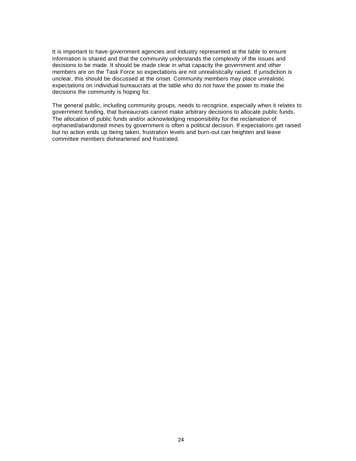It is important to have government agencies and industry represented at the table to ensure information is shared and that the community understands the complexity of the issues and decisions to be made. It should be made clear in what capacity the government and other members are on the Task Force so expectations are not unrealistically raised. If jurisdiction is unclear, this should be discussed at the onset. Community members may place unrealistic expectations on individual bureaucrats at the table who do not have the power to make the decisions the community is hoping for.

The general public, including community groups, needs to recognize, especially when it relates to government funding, that bureaucrats cannot make arbitrary decisions to allocate public funds. The allocation of public funds and/or acknowledging responsibility for the reclamation of orphaned/abandoned mines by government is often a political decision. If expectations get raised but no action ends up being taken, frustration levels and burn-out can heighten and leave committee members disheartened and frustrated.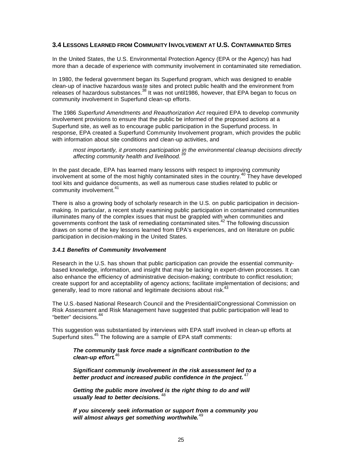# **3.4 LESSONS LEARNED FROM COMMUNITY INVOLVEMENT AT U.S. CONTAMINATED SITES**

In the United States, the U.S. Environmental Protection Agency (EPA or the Agency) has had more than a decade of experience with community involvement in contaminated site remediation.

In 1980, the federal government began its Superfund program, which was designed to enable clean-up of inactive hazardous waste sites and protect public health and the environment from releases of hazardous substances.<sup>38</sup> It was not until1986, however, that EPA began to focus on community involvement in Superfund clean-up efforts.

The 1986 *Superfund Amendments and Reauthorization Act* required EPA to develop community involvement provisions to ensure that the public be informed of the proposed actions at a Superfund site, as well as to encourage public participation in the Superfund process. In response, EPA created a Superfund Community Involvement program, which provides the public with information about site conditions and clean-up activities, and

*most importantly, it promotes participation in the environmental cleanup decisions directly affecting community health and livelihood.* <sup>39</sup>

In the past decade, EPA has learned many lessons with respect to improving community involvement at some of the most highly contaminated sites in the country.<sup>40</sup> They have developed tool kits and guidance documents, as well as numerous case studies related to public or community involvement.<sup>41</sup>

There is also a growing body of scholarly research in the U.S. on public participation in decisionmaking. In particular, a recent study examining public participation in contaminated communities illuminates many of the complex issues that must be grappled with when communities and governments confront the task of remediating contaminated sites.<sup>42</sup> The following discussion draws on some of the key lessons learned from EPA's experiences, and on literature on public participation in decision-making in the United States.

#### *3.4.1 Benefits of Community Involvement*

Research in the U.S. has shown that public participation can provide the essential communitybased knowledge, information, and insight that may be lacking in expert-driven processes. It can also enhance the efficiency of administrative decision-making; contribute to conflict resolution; create support for and acceptability of agency actions; facilitate implementation of decisions; and generally, lead to more rational and legitimate decisions about risk.<sup>43</sup>

The U.S.-based National Research Council and the Presidential/Congressional Commission on Risk Assessment and Risk Management have suggested that public participation will lead to "better" decisions.<sup>44</sup>

This suggestion was substantiated by interviews with EPA staff involved in clean-up efforts at Superfund sites.<sup>45</sup> The following are a sample of EPA staff comments:

*The community task force made a significant contribution to the clean-up effort.* 46

*Significant community involvement in the risk assessment led to a better product and increased public confidence in the project.* <sup>47</sup>

*Getting the public more involved is the right thing to do and will usually lead to better decisions.* <sup>48</sup>

*If you sincerely seek information or support from a community you will almost always get something worthwhile***.** 49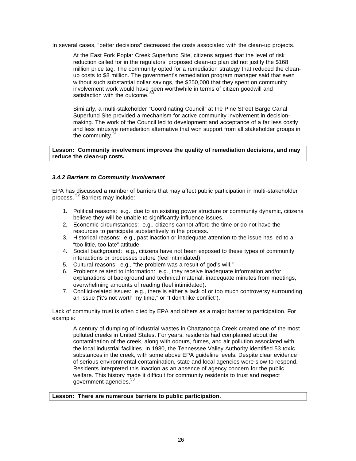In several cases, "better decisions" decreased the costs associated with the clean-up projects.

At the East Fork Poplar Creek Superfund Site, citizens argued that the level of risk reduction called for in the regulators' proposed clean-up plan did not justify the \$168 million price tag. The community opted for a remediation strategy that reduced the cleanup costs to \$8 million. The government's remediation program manager said that even without such substantial dollar savings, the \$250,000 that they spent on community involvement work would have been worthwhile in terms of citizen goodwill and satisfaction with the outcome.<sup>50</sup>

Similarly, a multi-stakeholder "Coordinating Council" at the Pine Street Barge Canal Superfund Site provided a mechanism for active community involvement in decisionmaking. The work of the Council led to development and acceptance of a far less costly and less intrusive remediation alternative that won support from all stakeholder groups in the community.<sup>51</sup>

**Lesson: Community involvement improves the quality of remediation decisions, and may reduce the clean-up costs.**

#### *3.4.2 Barriers to Community Involvement*

EPA has discussed a number of barriers that may affect public participation in multi-stakeholder process. <sup>52</sup> Barriers may include:

- 1. Political reasons: e.g., due to an existing power structure or community dynamic, citizens believe they will be unable to significantly influence issues.
- 2. Economic circumstances: e.g., citizens cannot afford the time or do not have the resources to participate substantively in the process.
- 3. Historical reasons: e.g., past inaction or inadequate attention to the issue has led to a "too little, too late" attitude.
- 4. Social background: e.g., citizens have not been exposed to these types of community interactions or processes before (feel intimidated).
- 5. Cultural reasons: e.g., "the problem was a result of god's will."
- 6. Problems related to information: e.g., they receive inadequate information and/or explanations of background and technical material, inadequate minutes from meetings, overwhelming amounts of reading (feel intimidated).
- 7. Conflict-related issues: e.g., there is either a lack of or too much controversy surrounding an issue ("it's not worth my time," or "I don't like conflict").

Lack of community trust is often cited by EPA and others as a major barrier to participation. For example:

A century of dumping of industrial wastes in Chattanooga Creek created one of the most polluted creeks in United States. For years, residents had complained about the contamination of the creek, along with odours, fumes, and air pollution associated with the local industrial facilities. In 1980, the Tennessee Valley Authority identified 53 toxic substances in the creek, with some above EPA guideline levels. Despite clear evidence of serious environmental contamination, state and local agencies were slow to respond. Residents interpreted this inaction as an absence of agency concern for the public welfare. This history made it difficult for community residents to trust and respect government agencies.<sup>5</sup>

#### **Lesson: There are numerous barriers to public participation.**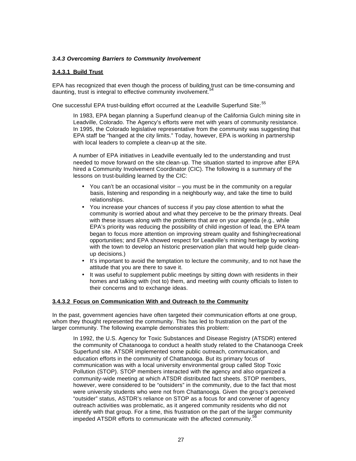#### *3.4.3 Overcoming Barriers to Community Involvement*

#### **3.4.3.1 Build Trust**

EPA has recognized that even though the process of building trust can be time-consuming and daunting, trust is integral to effective community involvement.<sup>5</sup>

One successful EPA trust-building effort occurred at the Leadville Superfund Site: $55$ 

In 1983, EPA began planning a Superfund clean-up of the California Gulch mining site in Leadville, Colorado. The Agency's efforts were met with years of community resistance. In 1995, the Colorado legislative representative from the community was suggesting that EPA staff be "hanged at the city limits." Today, however, EPA is working in partnership with local leaders to complete a clean-up at the site.

A number of EPA initiatives in Leadville eventually led to the understanding and trust needed to move forward on the site clean-up. The situation started to improve after EPA hired a Community Involvement Coordinator (CIC). The following is a summary of the lessons on trust-building learned by the CIC:

- You can't be an occasional visitor  $-$  you must be in the community on a regular basis, listening and responding in a neighbourly way, and take the time to build relationships.
- You increase your chances of success if you pay close attention to what the community is worried about and what they perceive to be the primary threats. Deal with these issues along with the problems that are on your agenda (e.g., while EPA's priority was reducing the possibility of child ingestion of lead, the EPA team began to focus more attention on improving stream quality and fishing/recreational opportunities; and EPA showed respect for Leadville's mining heritage by working with the town to develop an historic preservation plan that would help guide cleanup decisions.)
- It's important to avoid the temptation to lecture the community, and to not have the attitude that you are there to save it.
- It was useful to supplement public meetings by sitting down with residents in their homes and talking with (not to) them, and meeting with county officials to listen to their concerns and to exchange ideas.

#### **3.4.3.2 Focus on Communication With and Outreach to the Community**

In the past, government agencies have often targeted their communication efforts at one group, whom they thought represented the community. This has led to frustration on the part of the larger community. The following example demonstrates this problem:

In 1992, the U.S. Agency for Toxic Substances and Disease Registry (ATSDR) entered the community of Chatanooga to conduct a health study related to the Chatanooga Creek Superfund site. ATSDR implemented some public outreach, communication, and education efforts in the community of Chattanooga. But its primary focus of communication was with a local university environmental group called Stop Toxic Pollution (STOP). STOP members interacted with the agency and also organized a community-wide meeting at which ATSDR distributed fact sheets. STOP members, however, were considered to be "outsiders" in the community, due to the fact that most were university students who were not from Chattanooga. Given the group's perceived "outsider" status, ASTDR's reliance on STOP as a focus for and convener of agency outreach activities was problematic, as it angered community residents who did not identify with that group. For a time, this frustration on the part of the larger community impeded ATSDR efforts to communicate with the affected community. $5$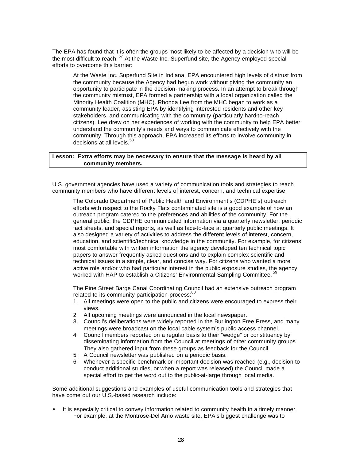The EPA has found that it is often the groups most likely to be affected by a decision who will be the most difficult to reach. <sup>57</sup> At the Waste Inc. Superfund site, the Agency employed special efforts to overcome this barrier:

At the Waste Inc. Superfund Site in Indiana, EPA encountered high levels of distrust from the community because the Agency had begun work without giving the community an opportunity to participate in the decision-making process. In an attempt to break through the community mistrust, EPA formed a partnership with a local organization called the Minority Health Coalition (MHC). Rhonda Lee from the MHC began to work as a community leader, assisting EPA by identifying interested residents and other key stakeholders, and communicating with the community (particularly hard-to-reach citizens). Lee drew on her experiences of working with the community to help EPA better understand the community's needs and ways to communicate effectively with the community. Through this approach, EPA increased its efforts to involve community in decisions at all levels.<sup>58</sup>

#### **Lesson: Extra efforts may be necessary to ensure that the message is heard by all community members.**

U.S. government agencies have used a variety of communication tools and strategies to reach community members who have different levels of interest, concern, and technical expertise:

The Colorado Department of Public Health and Environment's (CDPHE's) outreach efforts with respect to the Rocky Flats contaminated site is a good example of how an outreach program catered to the preferences and abilities of the community. For the general public, the CDPHE communicated information via a quarterly newsletter, periodic fact sheets, and special reports, as well as face-to-face at quarterly public meetings. It also designed a variety of activities to address the different levels of interest, concern, education, and scientific/technical knowledge in the community. For example, for citizens most comfortable with written information the agency developed ten technical topic papers to answer frequently asked questions and to explain complex scientific and technical issues in a simple, clear, and concise way. For citizens who wanted a more active role and/or who had particular interest in the public exposure studies, the agency worked with HAP to establish a Citizens' Environmental Sampling Committee.<sup>5</sup>

The Pine Street Barge Canal Coordinating Council had an extensive outreach program related to its community participation process:<sup>60</sup>

- 1. All meetings were open to the public and citizens were encouraged to express their views.
- 2. All upcoming meetings were announced in the local newspaper.
- 3. Council's deliberations were widely reported in the Burlington Free Press, and many meetings were broadcast on the local cable system's public access channel.
- 4. Council members reported on a regular basis to their "wedge" or constituency by disseminating information from the Council at meetings of other community groups. They also gathered input from these groups as feedback for the Council.
- 5. A Council newsletter was published on a periodic basis.
- 6. Whenever a specific benchmark or important decision was reached (e.g., decision to conduct additional studies, or when a report was released) the Council made a special effort to get the word out to the public-at-large through local media.

Some additional suggestions and examples of useful communication tools and strategies that have come out our U.S.-based research include:

• It is especially critical to convey information related to community health in a timely manner. For example, at the Montrose-Del Amo waste site, EPA's biggest challenge was to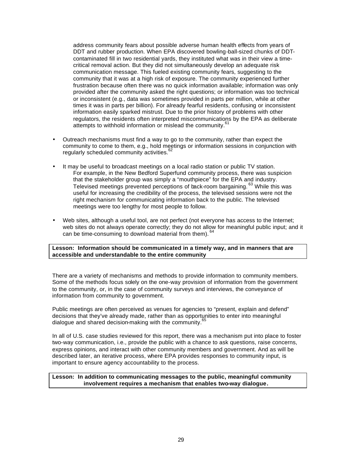address community fears about possible adverse human health effects from years of DDT and rubber production. When EPA discovered bowling-ball-sized chunks of DDTcontaminated fill in two residential yards, they instituted what was in their view a timecritical removal action. But they did not simultaneously develop an adequate risk communication message. This fueled existing community fears, suggesting to the community that it was at a high risk of exposure. The community experienced further frustration because often there was no quick information available; information was only provided after the community asked the right questions; or information was too technical or inconsistent (e.g., data was sometimes provided in parts per million, while at other times it was in parts per billion). For already fearful residents, confusing or inconsistent information easily sparked mistrust. Due to the prior history of problems with other regulators, the residents often interpreted miscommunications by the EPA as deliberate attempts to withhold information or mislead the community.<sup>61</sup>

- Outreach mechanisms must find a way to go to the community, rather than expect the community to come to them, e.g., hold meetings or information sessions in conjunction with regularly scheduled community activities.<sup>62</sup>
- It may be useful to broadcast meetings on a local radio station or public TV station. For example, in the New Bedford Superfund community process, there was suspicion that the stakeholder group was simply a "mouthpiece" for the EPA and industry. Televised meetings prevented perceptions of back-room bargaining. <sup>63</sup> While this was useful for increasing the credibility of the process, the televised sessions were not the right mechanism for communicating information back to the public. The televised meetings were too lengthy for most people to follow.
- Web sites, although a useful tool, are not perfect (not everyone has access to the Internet; web sites do not always operate correctly; they do not allow for meaningful public input; and it can be time-consuming to download material from them). 64

#### **Lesson: Information should be communicated in a timely way, and in manners that are accessible and understandable to the entire community**

There are a variety of mechanisms and methods to provide information to community members. Some of the methods focus solely on the one-way provision of information from the government to the community, or, in the case of community surveys and interviews, the conveyance of information from community to government.

Public meetings are often perceived as venues for agencies to "present, explain and defend" decisions that they've already made, rather than as opportunities to enter into meaningful dialogue and shared decision-making with the community.<sup>65</sup>

In all of U.S. case studies reviewed for this report, there was a mechanism put into place to foster two-way communication, i.e., provide the public with a chance to ask questions, raise concerns, express opinions, and interact with other community members and government. And as will be described later, an iterative process, where EPA provides responses to community input, is important to ensure agency accountability to the process.

#### **Lesson: In addition to communicating messages to the public, meaningful community involvement requires a mechanism that enables two-way dialogue.**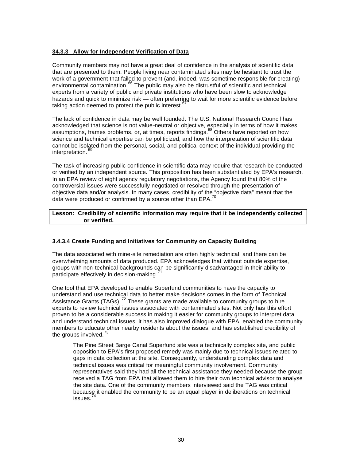#### **34.3.3 Allow for Independent Verification of Data**

Community members may not have a great deal of confidence in the analysis of scientific data that are presented to them. People living near contaminated sites may be hesitant to trust the work of a government that failed to prevent (and, indeed, was sometime responsible for creating) environmental contamination.<sup>66</sup> The public may also be distrustful of scientific and technical experts from a variety of public and private institutions who have been slow to acknowledge hazards and quick to minimize risk — often preferring to wait for more scientific evidence before taking action deemed to protect the public interest. $65$ 

The lack of confidence in data may be well founded. The U.S. National Research Council has acknowledged that science is not value-neutral or objective, especially in terms of how it makes assumptions, frames problems, or, at times, reports findings.<sup>68</sup> Others have reported on how science and technical expertise can be politicized, and how the interpretation of scientific data cannot be isolated from the personal, social, and political context of the individual providing the interpretation.<sup>6</sup>

The task of increasing public confidence in scientific data may require that research be conducted or verified by an independent source. This proposition has been substantiated by EPA's research. In an EPA review of eight agency regulatory negotiations, the Agency found that 80% of the controversial issues were successfully negotiated or resolved through the presentation of objective data and/or analysis. In many cases, credibility of the "objective data" meant that the data were produced or confirmed by a source other than EPA.<sup>70</sup>

#### **Lesson: Credibility of scientific information may require that it be independently collected or verified.**

### **3.4.3.4 Create Funding and Initiatives for Community on Capacity Building**

The data associated with mine-site remediation are often highly technical, and there can be overwhelming amounts of data produced. EPA acknowledges that without outside expertise, groups with non-technical backgrounds can be significantly disadvantaged in their ability to participate effectively in decision-making.

One tool that EPA developed to enable Superfund communities to have the capacity to understand and use technical data to better make decisions comes in the form of Technical Assistance Grants (TAGs).<sup>72</sup> These grants are made available to community groups to hire experts to review technical issues associated with contaminated sites. Not only has this effort proven to be a considerable success in making it easier for community groups to interpret data and understand technical issues, it has also improved dialogue with EPA, enabled the community members to educate other nearby residents about the issues, and has established credibility of the groups involved.<sup>73</sup>

The Pine Street Barge Canal Superfund site was a technically complex site, and public opposition to EPA's first proposed remedy was mainly due to technical issues related to gaps in data collection at the site. Consequently, understanding complex data and technical issues was critical for meaningful community involvement. Community representatives said they had all the technical assistance they needed because the group received a TAG from EPA that allowed them to hire their own technical advisor to analyse the site data. One of the community members interviewed said the TAG was critical because it enabled the community to be an equal player in deliberations on technical issues.<sup>7</sup>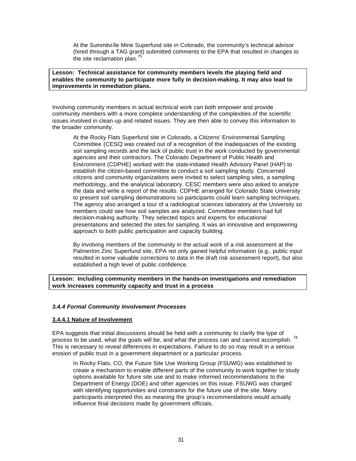At the Summitvi lle Mine Superfund site in Colorado, the community's technical advisor (hired through a TAG grant) submitted comments to the EPA that resulted in changes to the site reclamation plan.<sup>75</sup>

#### **Lesson: Technical assistance for community members levels the playing field and enables the community to participate more fully in decision-making. It may also lead to improvements in remediation plans.**

Involving community members in actual technical work can both empower and provide community members with a more complete understanding of the complexities of the scientific issues involved in clean-up and related issues. They are then able to convey this information to the broader community.

At the Rocky Flats Superfund site in Colorado, a Citizens' Environmental Sampling Committee (CESC*)* was created out of a recognition of the inadequacies of the existing soil sampling records and the lack of public trust in the work conducted by governmental agencies and their contractors. The Colorado Department of Public Health and Environment (CDPHE) worked with the state-initiated Health Advisory Panel (HAP) to establish the citizen-based committee to conduct a soil sampling study. Concerned citizens and community organizations were invited to select sampling sites, a sampling methodology, and the analytical laboratory. CESC members were also asked to analyze the data and write a report of the results. CDPHE arranged for Colorado State University to present soil sampling demonstrations so participants could learn sampling techniques. The agency also arranged a tour of a radiological sciences laboratory at the University so members could see how soil samples are analyzed. Committee members had full decision-making authority. They selected topics and experts for educational presentations and selected the sites for sampling. It was an innovative and empowering approach to both public participation and capacity building.

By involving members of the community in the actual work of a risk assessment at the Palmerton Zinc Superfund site, EPA not only gained helpful information (e.g., public input resulted in some valuable corrections to data in the draft risk assessment report), but also established a high level of public confidence.

#### **Lesson: Including community members in the hands-on investigations and remediation work increases community capacity and trust in a process**

### *3.4.4 Formal Community Involvement Processes*

#### **3.4.4.1 Nature of Involvement**

EPA suggests that initial discussions should be held with a community to clarify the type of process to be used, what the goals will be, and what the process can and cannot accomplish.<sup>76</sup> This is necessary to reveal differences in expectations. Failure to do so may result in a serious erosion of public trust in a government department or a particular process.

In Rocky Flats, CO, the Future Site Use Working Group (FSUWG) was established to create a mechanism to enable different parts of the community to work together to study options available for future site use and to make informed recommendations to the Department of Energy (DOE) and other agencies on this issue. FSUWG was charged with identifying opportunities and constraints for the future use of the site. Many participants interpreted this as meaning the group's recommendations would actually influence final decisions made by government officials.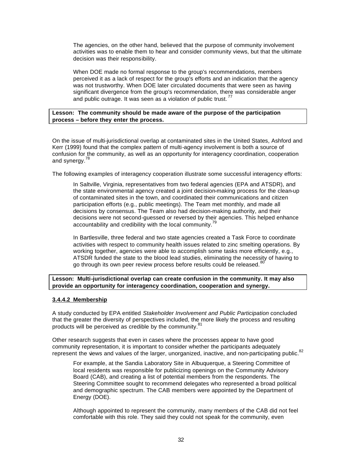The agencies, on the other hand, believed that the purpose of community involvement activities was to enable them to hear and consider community views, but that the ultimate decision was their responsibility.

When DOE made no formal response to the group's recommendations, members perceived it as a lack of respect for the group's efforts and an indication that the agency was not trustworthy. When DOE later circulated documents that were seen as having significant divergence from the group's recommendation, there was considerable anger and public outrage. It was seen as a violation of public trust.<sup>77</sup>

#### **Lesson: The community should be made aware of the purpose of the participation process – before they enter the process.**

On the issue of multi-jurisdictional overlap at contaminated sites in the United States, Ashford and Kerr (1999) found that the complex pattern of multi-agency involvement is both a source of confusion for the community, as well as an opportunity for interagency coordination, cooperation and synergy.<sup>78</sup>

The following examples of interagency cooperation illustrate some successful interagency efforts:

In Saltville, Virginia, representatives from two federal agencies (EPA and ATSDR), and the state environmental agency created a joint decision-making process for the clean-up of contaminated sites in the town, and coordinated their communications and citizen participation efforts (e.g., public meetings). The Team met monthly, and made all decisions by consensus. The Team also had decision-making authority, and their decisions were not second-guessed or reversed by their agencies. This helped enhance accountability and credibility with the local community.<sup>79</sup>

In Bartlesville, three federal and two state agencies created a Task Force to coordinate activities with respect to community health issues related to zinc smelting operations. By working together, agencies were able to accomplish some tasks more efficiently, e.g., ATSDR funded the state to the blood lead studies, eliminating the necessity of having to go through its own peer review process before results could be released. <sup>80</sup>

#### **Lesson: Multi-jurisdictional overlap can create confusion in the community. It may also provide an opportunity for interagency coordination, cooperation and synergy.**

#### **3.4.4.2 Membership**

A study conducted by EPA entitled *Stakeholder Involvement and Public Participation* concluded that the greater the diversity of perspectives included, the more likely the process and resulting products will be perceived as credible by the community.<sup>81</sup>

Other research suggests that even in cases where the processes appear to have good community representation, it is important to consider whether the participants adequately represent the views and values of the larger, unorganized, inactive, and non-participating public.<sup>82</sup>

For example, at the Sandia Laboratory Site in Albuquerque, a Steering Committee of local residents was responsible for publicizing openings on the Community Advisory Board (CAB), and creating a list of potential members from the respondents. The Steering Committee sought to recommend delegates who represented a broad political and demographic spectrum. The CAB members were appointed by the Department of Energy (DOE).

Although appointed to represent the community, many members of the CAB did not feel comfortable with this role. They said they could not speak for the community, even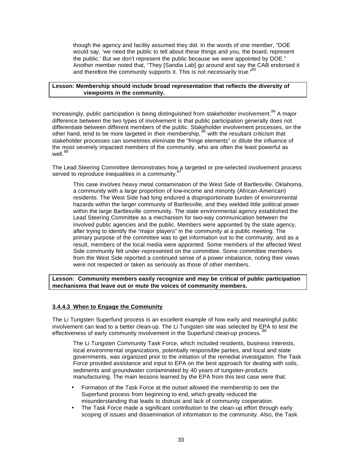though the agency and facility assumed they did. In the words of one member, "DOE would say, 'we need the public to tell about these things and you, the board, represent the public.' But we don't represent the public because we were appointed by DOE." Another member noted that, "They [Sandia Lab] go around and say the CAB endorsed it and therefore the community supports it. This is not necessarily true.<sup>88</sup>

#### **Lesson: Membership should include broad representation that reflects the diversity of viewpoints in the community.**

Increasingly, public participation is being distinguished from stakeholder involvement.<sup>84</sup> A major difference between the two types of involvement is that public participation generally does not differentiate between different members of the public. Stakeholder involvement processes, on the other hand, tend to be more targeted in their membership,  $85$  with the resultant criticism that stakeholder processes can sometimes eliminate the "fringe elements" or dilute the influence of the most severely impacted members of the community, who are often the least powerful as well. $86$ 

The Lead Steering Committee demonstrates how a targeted or pre-selected involvement process served to reproduce inequalities in a community.

This case involves heavy metal contamination of the West Side of Bartlesville, Oklahoma, a community with a large proportion of low-income and minority (African-American) residents. The West Side had long endured a disproportionate burden of environmental hazards within the larger community of Bartlesville, and they wielded little political power within the large Bartlesville community. The state environmental agency established the Lead Steering Committee as a mechanism for two-way communication between the involved public agencies and the public. Members were appointed by the state agency, after trying to identify the "major players" in the community at a public meeting. The primary purpose of the committee was to get information out to the community, and as a result, members of the local media were appointed. Some members of the affected West Side community felt under-represented on the committee. Some committee members from the West Side reported a continued sense of a power imbalance, noting their views were not respected or taken as seriously as those of other members.

**Lesson: Community members easily recognize and may be critical of public participation mechanisms that leave out or mute the voices of community members.**

#### **3.4.4.3 When to Engage the Community**

The Li Tungsten Superfund process is an excellent example of how early and meaningful public involvement can lead to a better clean-up. The Li Tungsten site was selected by EPA to test the effectiveness of early community involvement in the Superfund clean-up process. <sup>88</sup>

The Li Tungsten Community Task Force, which included residents, business interests, local environmental organizations, potentially responsible parties, and local and state governments, was organized prior to the initiation of the remedial investigation. The Task Force provided assistance and input to EPA on the best approach for dealing with soils, sediments and groundwater contaminated by 40 years of tungsten-products manufacturing. The main lessons learned by the EPA from this test case were that:

- Formation of the Task Force at the outset allowed the membership to see the Superfund process from beginning to end, which greatly reduced the misunderstanding that leads to distrust and lack of community cooperation.
- The Task Force made a significant contribution to the clean-up effort through early scoping of issues and dissemination of information to the community. Also, the Task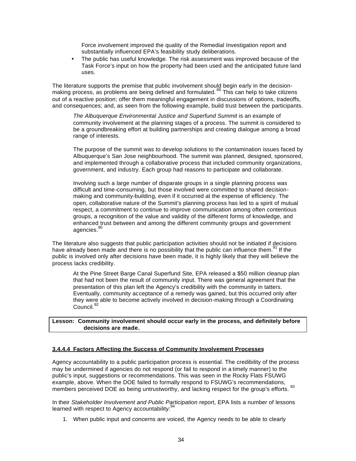Force involvement improved the quality of the Remedial Investigation report and substantially influenced EPA's feasibility study deliberations.

The public has useful knowledge. The risk assessment was improved because of the Task Force's input on how the property had been used and the anticipated future land uses.

The literature supports the premise that public involvement should begin early in the decisionmaking process, as problems are being defined and formulated.<sup>89</sup> This can help to take citizens making process, as problems are being defined and formulated.<sup>89</sup> out of a reactive position; offer them meaningful engagement in discussions of options, tradeoffs, and consequences; and, as seen from the following example, build trust between the participants.

The Albuquerque Environmental Justice and Superfund Summit is an example of community involvement at the planning stages of a process. The summit is considered to be a groundbreaking effort at building partnerships and creating dialogue among a broad range of interests.

The purpose of the summit was to develop solutions to the contamination issues faced by Albuquerque's San Jose neighbourhood. The summit was planned, designed, sponsored, and implemented through a collaborative process that included community organizations, government, and industry. Each group had reasons to participate and collaborate.

Involving such a large number of disparate groups in a single planning process was difficult and time-consuming, but those involved were committed to shared decisionmaking and community-building, even if it occurred at the expense of efficiency. The open, collaborative nature of the Summit's planning process has led to a spirit of mutual respect, a commitment to continue to improve communication among often contentious groups, a recognition of the value and validity of the different forms of knowledge, and enhanced trust between and among the different community groups and government agencies.<sup>90</sup>

The literature also suggests that public participation activities should not be initiated if decisions have already been made and there is no possibility that the public can influence them.<sup>91</sup> If the public is involved only after decisions have been made, it is highly likely that they will believe the process lacks credibility.

At the Pine Street Barge Canal Superfund Site, EPA released a \$50 million cleanup plan that had not been the result of community input. There was general agreement that the presentation of this plan left the Agency's credibility with the community in tatters. Eventually, community acceptance of a remedy was gained, but this occurred only after they were able to become actively involved in decision-making through a Coordinating Council.<sup>92</sup>

**Lesson: Community involvement should occur early in the process, and definitely before decisions are made.**

#### **3.4.4.4 Factors Affecting the Success of Community Involvement Processes**

Agency accountability to a public participation process is essential. The credibility of the process may be undermined if agencies do not respond (or fail to respond in a timely manner) to the public's input, suggestions or recommendations. This was seen in the Rocky Flats FSUWG example, above. When the DOE failed to formally respond to FSUWG's recommendations, members perceived DOE as being untrustworthy, and lacking respect for the group's efforts.<sup>93</sup>

In their *Stakeholder Involvement and Public Participation* report, EPA lists a number of lessons learned with respect to Agency accountability:<sup>9</sup>

1. When public input and concerns are voiced, the Agency needs to be able to clearly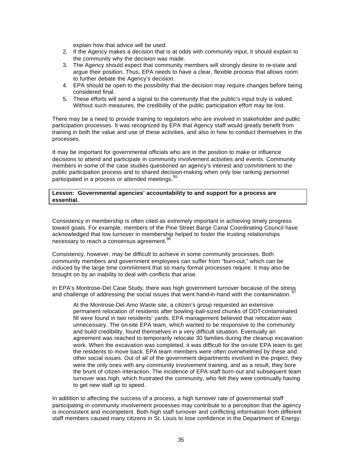explain how that advice will be used.

- 2. If the Agency makes a decision that is at odds with community input, it should explain to the community why the decision was made.
- 3. The Agency should expect that community members will strongly desire to re-state and argue their position. Thus, EPA needs to have a clear, flexible process that allows room to further debate the Agency's decision.
- 4. EPA should be open to the possibility that the decision may require changes before being considered final.
- 5. These efforts will send a signal to the community that the public's input truly is valued. Without such measures, the credibility of the public participation effort may be lost.

There may be a need to provide training to regulators who are involved in stakeholder and public participation processes. It was recognized by EPA that Agency staff would greatly benefit from training in both the value and use of these activities, and also in how to conduct themselves in the processes.

It may be important for governmental officials who are in the position to make or influence decisions to attend and participate in community involvement activities and events. Community members in some of the case studies questioned an agency's interest and commitment to the public participation process and to shared decision-making when only low ranking personnel participated in a process or attended meetings.<sup>95</sup>

#### **Lesson: Governmental agencies' accountability to and support for a process are essential.**

Consistency in membership is often cited as extremely important in achieving timely progress toward goals. For example, members of the Pine Street Barge Canal Coordinating Council have acknowledged that low turnover in membership helped to foster the trusting relationships necessary to reach a consensus agreement.<sup>96</sup>

Consistency, however, may be difficult to achieve in some community processes. Both community members and government employees can suffer from "burn-out," which can be induced by the large time commitment that so many formal processes require. It may also be brought on by an inability to deal with conflicts that arise.

In EPA's Montrose-Del Case Study, there was high government turnover because of the stress and challenge of addressing the social issues that went hand-in-hand with the contamination.

At the Montrose-Del Amo Waste site, a citizen's group requested an extensive permanent relocation of residents after bowling-ball-sized chunks of DDT-contaminated fill were found in two residents' yards. EPA management believed that relocation was unnecessary. The on-site EPA team, which wanted to be responsive to the community and build credibility, found themselves in a very difficult situation. Eventually an agreement was reached to temporarily relocate 30 families during the cleanup excavation work. When the excavation was completed, it was difficult for the on-site EPA team to get the residents to move back. EPA team members were often overwhelmed by these and other social issues. Out of all of the government departments involved in the project, they were the only ones with any community involvement training, and as a result, they bore the brunt of citizen interaction. The incidence of EPA staff burn-out and subsequent team turnover was high, which frustrated the community, who felt they were continually having to get new staff up to speed.

In addition to affecting the success of a process, a high turnover rate of governmental staff participating in community involvement processes may contribute to a perception that the agency is inconsistent and incompetent. Both high staff turnover and conflicting information from different staff members caused many citizens in St. Louis to lose confidence in the Department of Energy.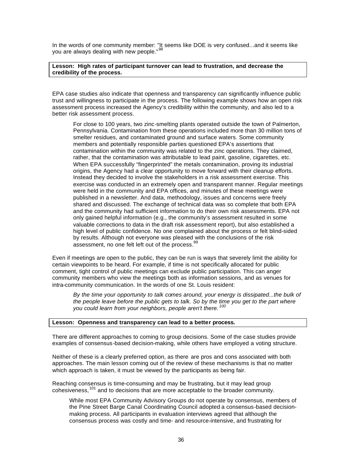In the words of one community member: "It seems like DOE is very confused...and it seems like you are always dealing with new people."<sup>98</sup>

#### **Lesson: High rates of participant turnover can lead to frustration, and decrease the credibility of the process.**

EPA case studies also indicate that openness and transparency can significantly influence public trust and willingness to participate in the process. The following example shows how an open risk assessment process increased the Agency's credibility within the community, and also led to a better risk assessment process.

For close to 100 years, two zinc-smelting plants operated outside the town of Palmerton, Pennsylvania. Contamination from these operations included more than 30 million tons of smelter residues, and contaminated ground and surface waters. Some community members and potentially responsible parties questioned EPA's assertions that contamination within the community was related to the zinc operations. They claimed, rather, that the contamination was attributable to lead paint, gasoline, cigarettes, etc. When EPA successfully "fingerprinted" the metals contamination, proving its industrial origins, the Agency had a clear opportunity to move forward with their cleanup efforts. Instead they decided to involve the stakeholders in a risk assessment exercise. This exercise was conducted in an extremely open and transparent manner. Regular meetings were held in the community and EPA offices, and minutes of these meetings were published in a newsletter. And data, methodology, issues and concerns were freely shared and discussed. The exchange of technical data was so complete that both EPA and the community had sufficient information to do their own risk assessments. EPA not only gained helpful information (e.g., the community's assessment resulted in some valuable corrections to data in the draft risk assessment report), but also established a high level of public confidence. No one complained about the process or felt blind-sided by results. Although not everyone was pleased with the conclusions of the risk assessment, no one felt left out of the process.<sup>99</sup>

Even if meetings are open to the public, they can be run is ways that severely limit the ability for certain viewpoints to be heard. For example, if time is not specifically allocated for public comment, tight control of public meetings can exclude public participation. This can anger community members who view the meetings both as information sessions, and as venues for intra-community communication. In the words of one St. Louis resident:

*By the time your opportunity to talk comes around, your energy is dissipated...the bulk of the people leave before the public gets to talk. So by the time you get to the part where you could learn from your neighbors, people aren't there. <sup>100</sup>*

#### **Lesson: Openness and transparency can lead to a better process.**

There are different approaches to coming to group decisions. Some of the case studies provide examples of consensus-based decision-making, while others have employed a voting structure.

Neither of these is a clearly preferred option, as there are pros and cons associated with both approaches. The main lesson coming out of the review of these mechanisms is that no matter which approach is taken, it must be viewed by the participants as being fair.

Reaching consensus is time-consuming and may be frustrating, but it may lead group cohesiveness,<sup>101</sup> and to decisions that are more acceptable to the broader community.

While most EPA Community Advisory Groups do not operate by consensus, members of the Pine Street Barge Canal Coordinating Council adopted a consensus-based decisionmaking process. All participants in evaluation interviews agreed that although the consensus process was costly and time- and resource-intensive, and frustrating for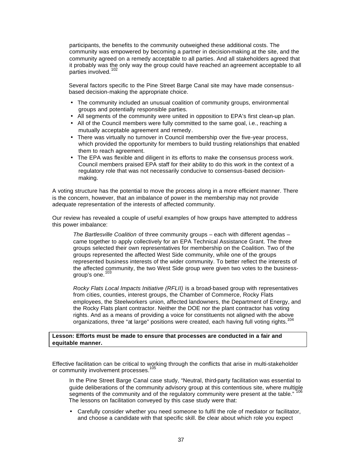participants, the benefits to the community outweighed these additional costs. The community was empowered by becoming a partner in decision-making at the site, and the community agreed on a remedy acceptable to all parties. And all stakeholders agreed that it probably was the only way the group could have reached an agreement acceptable to all parties involved.<sup>1</sup>

Several factors specific to the Pine Street Barge Canal site may have made consensusbased decision-making the appropriate choice.

- The community included an unusual coalition of community groups, environmental groups and potentially responsible parties.
- All segments of the community were united in opposition to EPA's first clean-up plan.
- All of the Council members were fully committed to the same goal, i.e., reaching a mutually acceptable agreement and remedy.
- There was virtually no turnover in Council membership over the five-year process, which provided the opportunity for members to build trusting relationships that enabled them to reach agreement.
- The EPA was flexible and diligent in its efforts to make the consensus process work. Council members praised EPA staff for their ability to do this work in the context of a regulatory role that was not necessarily conducive to consensus-based decisionmaking.

A voting structure has the potential to move the process along in a more efficient manner. There is the concern, however, that an imbalance of power in the membership may not provide adequate representation of the interests of affected community.

Our review has revealed a couple of useful examples of how groups have attempted to address this power imbalance:

*The Bartlesville Coalition* of three community groups – each with different agendas – came together to apply collectively for an EPA Technical Assistance Grant. The three groups selected their own representatives for membership on the Coalition. Two of the groups represented the affected West Side community, while one of the groups represented business interests of the wider community. To better reflect the interests of the affected community, the two West Side group were given two votes to the businessgroup's one.<sup>103</sup>

*Rocky Flats Local Impacts Initiative (RFLII)* is a broad-based group with representatives from cities, counties, interest groups, the Chamber of Commerce, Rocky Flats employees, the Steelworkers union, affected landowners, the Department of Energy, and the Rocky Flats plant contractor. Neither the DOE nor the plant contractor has voting rights. And as a means of providing a voice for constituents not aligned with the above organizations, three "at large" positions were created, each having full voting rights.<sup>104</sup>

#### **Lesson: Efforts must be made to ensure that processes are conducted in a fair and equitable manner.**

Effective facilitation can be critical to working through the conflicts that arise in multi-stakeholder or community involvement processes.<sup>105</sup>

In the Pine Street Barge Canal case study, "Neutral, third-party facilitation was essential to guide deliberations of the community advisory group at this contentious site, where multiple<br>
<sup>06</sup> segments of the community and of the regulatory community were present at the table." The lessons on facilitation conveyed by this case study were that:

• Carefully consider whether you need someone to fulfil the role of mediator or facilitator, and choose a candidate with that specific skill. Be clear about which role you expect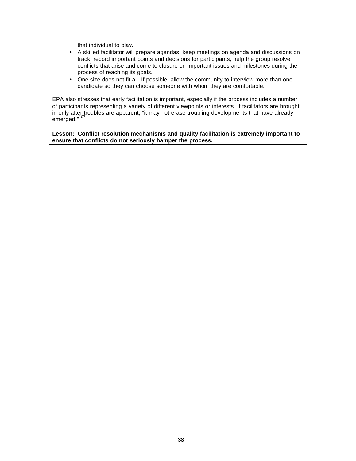that individual to play.

- A skilled facilitator will prepare agendas, keep meetings on agenda and discussions on track, record important points and decisions for participants, help the group resolve conflicts that arise and come to closure on important issues and milestones during the process of reaching its goals.
- One size does not fit all. If possible, allow the community to interview more than one candidate so they can choose someone with whom they are comfortable.

EPA also stresses that early facilitation is important, especially if the process includes a number of participants representing a variety of different viewpoints or interests. If facilitators are brought in only after troubles are apparent, "it may not erase troubling developments that have already emerged."107

**Lesson: Conflict resolution mechanisms and quality facilitation is extremely important to ensure that conflicts do not seriously hamper the process.**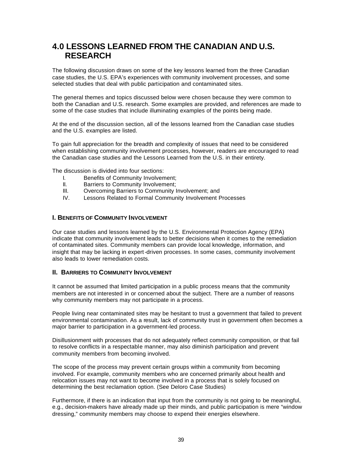# **4.0 LESSONS LEARNED FROM THE CANADIAN AND U.S. RESEARCH**

The following discussion draws on some of the key lessons learned from the three Canadian case studies, the U.S. EPA's experiences with community involvement processes, and some selected studies that deal with public participation and contaminated sites.

The general themes and topics discussed below were chosen because they were common to both the Canadian and U.S. research. Some examples are provided, and references are made to some of the case studies that include illuminating examples of the points being made.

At the end of the discussion section, all of the lessons learned from the Canadian case studies and the U.S. examples are listed.

To gain full appreciation for the breadth and complexity of issues that need to be considered when establishing community involvement processes, however, readers are encouraged to read the Canadian case studies and the Lessons Learned from the U.S. in their entirety.

The discussion is divided into four sections:

- I. Benefits of Community Involvement;
- II. Barriers to Community Involvement;
- III. Overcoming Barriers to Community Involvement; and
- IV. Lessons Related to Formal Community Involvement Processes

### **I. BENEFITS OF COMMUNITY INVOLVEMENT**

Our case studies and lessons learned by the U.S. Environmental Protection Agency (EPA) indicate that community involvement leads to better decisions when it comes to the remediation of contaminated sites. Community members can provide local knowledge, information, and insight that may be lacking in expert-driven processes. In some cases, community involvement also leads to lower remediation costs.

#### **II. BARRIERS TO COMMUNITY INVOLVEMENT**

It cannot be assumed that limited participation in a public process means that the community members are not interested in or concerned about the subject. There are a number of reasons why community members may not participate in a process.

People living near contaminated sites may be hesitant to trust a government that failed to prevent environmental contamination. As a result, lack of community trust in government often becomes a major barrier to participation in a government-led process.

Disillusionment with processes that do not adequately reflect community composition, or that fail to resolve conflicts in a respectable manner, may also diminish participation and prevent community members from becoming involved.

The scope of the process may prevent certain groups within a community from becoming involved. For example, community members who are concerned primarily about health and relocation issues may not want to become involved in a process that is solely focused on determining the best reclamation option. (See Deloro Case Studies)

Furthermore, if there is an indication that input from the community is not going to be meaningful, e.g., decision-makers have already made up their minds, and public participation is mere "window dressing," community members may choose to expend their energies elsewhere.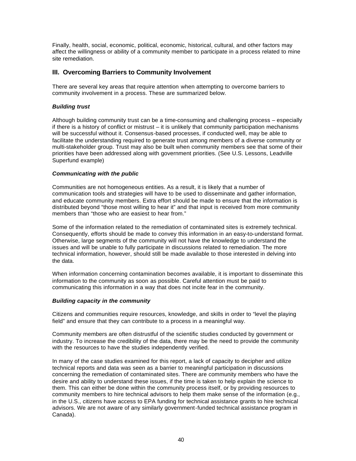Finally, health, social, economic, political, economic, historical, cultural, and other factors may affect the willingness or ability of a community member to participate in a process related to mine site remediation.

## **III. Overcoming Barriers to Community Involvement**

There are several key areas that require attention when attempting to overcome barriers to community involvement in a process. These are summarized below.

#### *Building trust*

Although building community trust can be a time-consuming and challenging process – especially if there is a history of conflict or mistrust – it is unlikely that community participation mechanisms will be successful without it. Consensus-based processes, if conducted well, may be able to facilitate the understanding required to generate trust among members of a diverse community or multi-stakeholder group. Trust may also be built when community members see that some of their priorities have been addressed along with government priorities. (See U.S. Lessons, Leadville Superfund example)

#### *Communicating with the public*

Communities are not homogeneous entities. As a result, it is likely that a number of communication tools and strategies will have to be used to disseminate and gather information, and educate community members. Extra effort should be made to ensure that the information is distributed beyond "those most willing to hear it" and that input is received from more community members than "those who are easiest to hear from."

Some of the information related to the remediation of contaminated sites is extremely technical. Consequently, efforts should be made to convey this information in an easy-to-understand format. Otherwise, large segments of the community will not have the knowledge to understand the issues and will be unable to fully participate in discussions related to remediation. The more technical information, however, should still be made available to those interested in delving into the data.

When information concerning contamination becomes available, it is important to disseminate this information to the community as soon as possible. Careful attention must be paid to communicating this information in a way that does not incite fear in the community.

#### *Building capacity in the community*

Citizens and communities require resources, knowledge, and skills in order to "level the playing field" and ensure that they can contribute to a process in a meaningful way.

Community members are often distrustful of the scientific studies conducted by government or industry. To increase the credibility of the data, there may be the need to provide the community with the resources to have the studies independently verified.

In many of the case studies examined for this report, a lack of capacity to decipher and utilize technical reports and data was seen as a barrier to meaningful participation in discussions concerning the remediation of contaminated sites. There are community members who have the desire and ability to understand these issues, if the time is taken to help explain the science to them. This can either be done within the community process itself, or by providing resources to community members to hire technical advisors to help them make sense of the information (e.g., in the U.S., citizens have access to EPA funding for technical assistance grants to hire technical advisors. We are not aware of any similarly government-funded technical assistance program in Canada).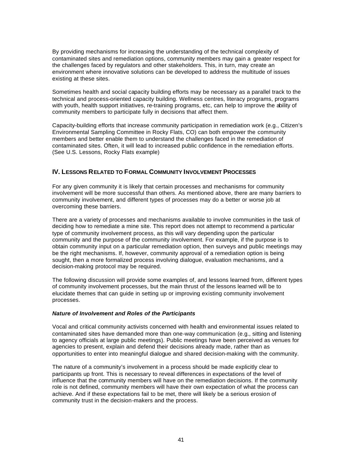By providing mechanisms for increasing the understanding of the technical complexity of contaminated sites and remediation options, community members may gain a greater respect for the challenges faced by regulators and other stakeholders. This, in turn, may create an environment where innovative solutions can be developed to address the multitude of issues existing at these sites.

Sometimes health and social capacity building efforts may be necessary as a parallel track to the technical and process-oriented capacity building. Wellness centres, literacy programs, programs with youth, health support initiatives, re-training programs, etc, can help to improve the ability of community members to participate fully in decisions that affect them.

Capacity-building efforts that increase community participation in remediation work (e.g., Citizen's Environmental Sampling Committee in Rocky Flats, CO) can both empower the community members and better enable them to understand the challenges faced in the remediation of contaminated sites. Often, it will lead to increased public confidence in the remediation efforts. (See U.S. Lessons, Rocky Flats example)

### **IV. LESSONS RELATED TO FORMAL COMMUNITY INVOLVEMENT PROCESSES**

For any given community it is likely that certain processes and mechanisms for community involvement will be more successful than others. As mentioned above, there are many barriers to community involvement, and different types of processes may do a better or worse job at overcoming these barriers.

There are a variety of processes and mechanisms available to involve communities in the task of deciding how to remediate a mine site. This report does not attempt to recommend a particular type of community involvement process, as this will vary depending upon the particular community and the purpose of the community involvement. For example, if the purpose is to obtain community input on a particular remediation option, then surveys and public meetings may be the right mechanisms. If, however, community approval of a remediation option is being sought, then a more formalized process involving dialogue, evaluation mechanisms, and a decision-making protocol may be required.

The following discussion will provide some examples of, and lessons learned from, different types of community involvement processes, but the main thrust of the lessons learned will be to elucidate themes that can guide in setting up or improving existing community involvement processes.

#### *Nature of Involvement and Roles of the Participants*

Vocal and critical community activists concerned with health and environmental issues related to contaminated sites have demanded more than one-way communication (e.g., sitting and listening to agency officials at large public meetings). Public meetings have been perceived as venues for agencies to present, explain and defend their decisions already made, rather than as opportunities to enter into meaningful dialogue and shared decision-making with the community.

The nature of a community's involvement in a process should be made explicitly clear to participants up front. This is necessary to reveal differences in expectations of the level of influence that the community members will have on the remediation decisions. If the community role is not defined, community members will have their own expectation of what the process can achieve. And if these expectations fail to be met, there will likely be a serious erosion of community trust in the decision-makers and the process.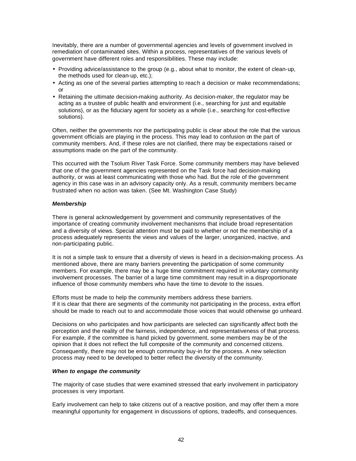Inevitably, there are a number of governmental agencies and levels of government involved in remediation of contaminated sites. Within a process, representatives of the various levels of government have different roles and responsibilities. These may include:

- Providing advice/assistance to the group (e.g., about what to monitor, the extent of clean-up, the methods used for clean-up, etc.);
- Acting as one of the several parties attempting to reach a decision or make recommendations; or
- Retaining the ultimate decision-making authority. As decision-maker, the regulator may be acting as a trustee of public health and environment (i.e., searching for just and equitable solutions), or as the fiduciary agent for society as a whole (i.e., searching for cost-effective solutions).

Often, neither the governments nor the participating public is clear about the role that the various government officials are playing in the process. This may lead to confusion on the part of community members. And, if these roles are not clarified, there may be expectations raised or assumptions made on the part of the community.

This occurred with the Tsolum River Task Force. Some community members may have believed that one of the government agencies represented on the Task force had decision-making authority, or was at least communicating with those who had. But the role of the government agency in this case was in an advisory capacity only. As a result, community members became frustrated when no action was taken. (See Mt. Washington Case Study)

#### *Membership*

There is general acknowledgement by government and community representatives of the importance of creating community involvement mechanisms that include broad representation and a diversity of views. Special attention must be paid to whether or not the membership of a process adequately represents the views and values of the larger, unorganized, inactive, and non-participating public.

It is not a simple task to ensure that a diversity of views is heard in a decision-making process. As mentioned above, there are many barriers preventing the participation of some community members. For example, there may be a huge time commitment required in voluntary community involvement processes. The barrier of a large time commitment may result in a disproportionate influence of those community members who have the time to devote to the issues.

Efforts must be made to help the community members address these barriers. If it is clear that there are segments of the community not participating in the process, extra effort should be made to reach out to and accommodate those voices that would otherwise go unheard.

Decisions on who participates and how participants are selected can significantly affect both the perception and the reality of the fairness, independence, and representativeness of that process. For example, if the committee is hand picked by government, some members may be of the opinion that it does not reflect the full composite of the community and concerned citizens. Consequently, there may not be enough community buy-in for the process. A new selection process may need to be developed to better reflect the diversity of the community.

#### *When to engage the community*

The majority of case studies that were examined stressed that early involvement in participatory processes is very important.

Early involvement can help to take citizens out of a reactive position, and may offer them a more meaningful opportunity for engagement in discussions of options, tradeoffs, and consequences.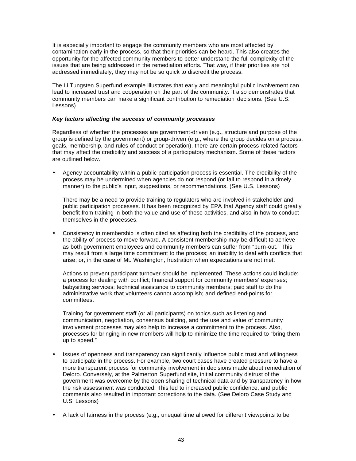It is especially important to engage the community members who are most affected by contamination early in the process, so that their priorities can be heard. This also creates the opportunity for the affected community members to better understand the full complexity of the issues that are being addressed in the remediation efforts. That way, if their priorities are not addressed immediately, they may not be so quick to discredit the process.

The Li Tungsten Superfund example illustrates that early and meaningful public involvement can lead to increased trust and cooperation on the part of the community. It also demonstrates that community members can make a significant contribution to remediation decisions. (See U.S. Lessons)

#### *Key factors affecting the success of community processes*

Regardless of whether the processes are government-driven (e.g., structure and purpose of the group is defined by the government) or group-driven (e.g., where the group decides on a process, goals, membership, and rules of conduct or operation), there are certain process-related factors that may affect the credibility and success of a participatory mechanism. Some of these factors are outlined below.

• Agency accountability within a public participation process is essential. The credibility of the process may be undermined when agencies do not respond (or fail to respond in a timely manner) to the public's input, suggestions, or recommendations. (See U.S. Lessons)

There may be a need to provide training to regulators who are involved in stakeholder and public participation processes. It has been recognized by EPA that Agency staff could greatly benefit from training in both the value and use of these activities, and also in how to conduct themselves in the processes.

• Consistency in membership is often cited as affecting both the credibility of the process, and the ability of process to move forward. A consistent membership may be difficult to achieve as both government employees and community members can suffer from "burn-out." This may result from a large time commitment to the process; an inability to deal with conflicts that arise; or, in the case of Mt. Washington, frustration when expectations are not met.

Actions to prevent participant turnover should be implemented. These actions could include: a process for dealing with conflict; financial support for community members' expenses; babysitting services; technical assistance to community members; paid staff to do the administrative work that volunteers cannot accomplish; and defined end-points for committees.

Training for government staff (or all participants) on topics such as listening and communication, negotiation, consensus building, and the use and value of community involvement processes may also help to increase a commitment to the process. Also, processes for bringing in new members will help to minimize the time required to "bring them up to speed."

- Issues of openness and transparency can significantly influence public trust and willingness to participate in the process. For example, two court cases have created pressure to have a more transparent process for community involvement in decisions made about remediation of Deloro. Conversely, at the Palmerton Superfund site, initial community distrust of the government was overcome by the open sharing of technical data and by transparency in how the risk assessment was conducted. This led to increased public confidence, and public comments also resulted in important corrections to the data. (See Deloro Case Study and U.S. Lessons)
- A lack of fairness in the process (e.g., unequal time allowed for different viewpoints to be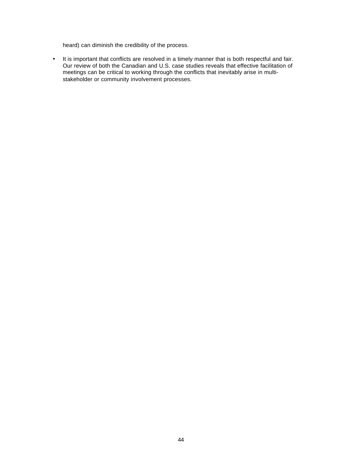heard) can diminish the credibility of the process.

• It is important that conflicts are resolved in a timely manner that is both respectful and fair. Our review of both the Canadian and U.S. case studies reveals that effective facilitation of meetings can be critical to working through the conflicts that inevitably arise in multistakeholder or community involvement processes.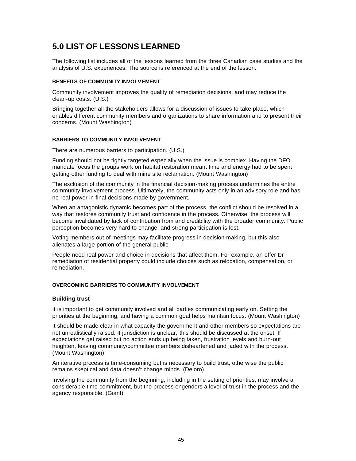# **5.0 LIST OF LESSONS LEARNED**

The following list includes all of the lessons learned from the three Canadian case studies and the analysis of U.S. experiences. The source is referenced at the end of the lesson.

#### **BENEFITS OF COMMUNITY INVOLVEMENT**

Community involvement improves the quality of remediation decisions, and may reduce the clean-up costs. (U.S.)

Bringing together all the stakeholders allows for a discussion of issues to take place, which enables different community members and organizations to share information and to present their concerns. (Mount Washington)

#### **BARRIERS TO COMMUNITY INVOLVEMENT**

There are numerous barriers to participation. (U.S.)

Funding should not be tightly targeted especially when the issue is complex. Having the DFO mandate focus the groups work on habitat restoration meant time and energy had to be spent getting other funding to deal with mine site reclamation. (Mount Washington)

The exclusion of the community in the financial decision-making process undermines the entire community involvement process. Ultimately, the community acts only in an advisory role and has no real power in final decisions made by government.

When an antagonistic dynamic becomes part of the process, the conflict should be resolved in a way that restores community trust and confidence in the process. Otherwise, the process will become invalidated by lack of contribution from and credibility with the broader community. Public perception becomes very hard to change, and strong participation is lost.

Voting members out of meetings may facilitate progress in decision-making, but this also alienates a large portion of the general public.

People need real power and choice in decisions that affect them. For example, an offer for remediation of residential property could include choices such as relocation, compensation, or remediation.

#### **OVERCOMING BARRIERS TO COMMUNITY INVOLVEMENT**

#### **Building trust**

It is important to get community involved and all parties communicating early on. Setting the priorities at the beginning, and having a common goal helps maintain focus. (Mount Washington)

It should be made clear in what capacity the government and other members so expectations are not unrealistically raised. If jurisdiction is unclear, this should be discussed at the onset. If expectations get raised but no action ends up being taken, frustration levels and burn-out heighten, leaving community/committee members disheartened and jaded with the process. (Mount Washington)

An iterative process is time-consuming but is necessary to build trust, otherwise the public remains skeptical and data doesn't change minds. (Deloro)

Involving the community from the beginning, including in the setting of priorities, may involve a considerable time commitment, but the process engenders a level of trust in the process and the agency responsible. (Giant)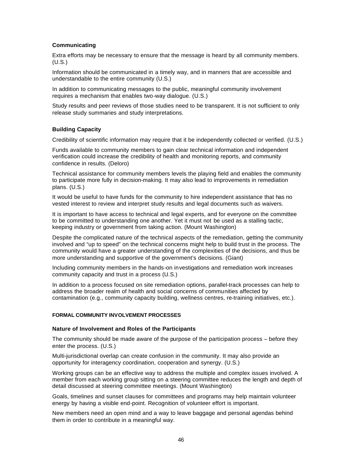#### **Communicating**

Extra efforts may be necessary to ensure that the message is heard by all community members. (U.S.)

Information should be communicated in a timely way, and in manners that are accessible and understandable to the entire community (U.S.)

In addition to communicating messages to the public, meaningful community involvement requires a mechanism that enables two-way dialogue. (U.S.)

Study results and peer reviews of those studies need to be transparent. It is not sufficient to only release study summaries and study interpretations.

#### **Building Capacity**

Credibility of scientific information may require that it be independently collected or verified. (U.S.)

Funds available to community members to gain clear technical information and independent verification could increase the credibility of health and monitoring reports, and community confidence in results. (Deloro)

Technical assistance for community members levels the playing field and enables the community to participate more fully in decision-making. It may also lead to improvements in remediation plans. (U.S.)

It would be useful to have funds for the community to hire independent assistance that has no vested interest to review and interpret study results and legal documents such as waivers.

It is important to have access to technical and legal experts, and for everyone on the committee to be committed to understanding one another. Yet it must not be used as a stalling tactic, keeping industry or government from taking action. (Mount Washington)

Despite the complicated nature of the technical aspects of the remediation, getting the community involved and "up to speed" on the technical concerns might help to build trust in the process. The community would have a greater understanding of the complexities of the decisions, and thus be more understanding and supportive of the government's decisions. (Giant)

Including community members in the hands-on investigations and remediation work increases community capacity and trust in a process (U.S.)

In addition to a process focused on site remediation options, parallel-track processes can help to address the broader realm of health and social concerns of communities affected by contamination (e.g., community capacity building, wellness centres, re-training initiatives, etc.).

#### **FORMAL COMMUNITY INVOLVEMENT PROCESSES**

#### **Nature of Involvement and Roles of the Participants**

The community should be made aware of the purpose of the participation process – before they enter the process. (U.S.)

Multi-jurisdictional overlap can create confusion in the community. It may also provide an opportunity for interagency coordination, cooperation and synergy. (U.S.)

Working groups can be an effective way to address the multiple and complex issues involved. A member from each working group sitting on a steering committee reduces the length and depth of detail discussed at steering committee meetings. (Mount Washington)

Goals, timelines and sunset clauses for committees and programs may help maintain volunteer energy by having a visible end-point. Recognition of volunteer effort is important.

New members need an open mind and a way to leave baggage and personal agendas behind them in order to contribute in a meaningful way.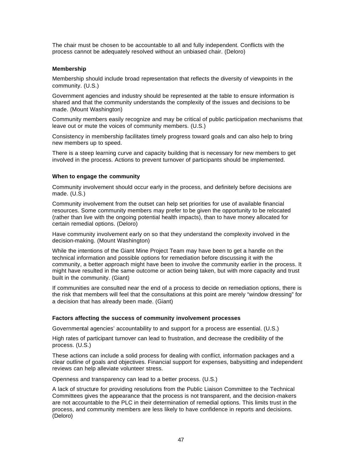The chair must be chosen to be accountable to all and fully independent. Conflicts with the process cannot be adequately resolved without an unbiased chair. (Deloro)

#### **Membership**

Membership should include broad representation that reflects the diversity of viewpoints in the community. (U.S.)

Government agencies and industry should be represented at the table to ensure information is shared and that the community understands the complexity of the issues and decisions to be made. (Mount Washington)

Community members easily recognize and may be critical of public participation mechanisms that leave out or mute the voices of community members. (U.S.)

Consistency in membership facilitates timely progress toward goals and can also help to bring new members up to speed.

There is a steep learning curve and capacity building that is necessary for new members to get involved in the process. Actions to prevent turnover of participants should be implemented.

#### **When to engage the community**

Community involvement should occur early in the process, and definitely before decisions are made. (U.S.)

Community involvement from the outset can help set priorities for use of available financial resources. Some community members may prefer to be given the opportunity to be relocated (rather than live with the ongoing potential health impacts), than to have money allocated for certain remedial options. (Deloro)

Have community involvement early on so that they understand the complexity involved in the decision-making. (Mount Washington)

While the intentions of the Giant Mine Project Team may have been to get a handle on the technical information and possible options for remediation before discussing it with the community, a better approach might have been to involve the community earlier in the process. It might have resulted in the same outcome or action being taken, but with more capacity and trust built in the community. (Giant)

If communities are consulted near the end of a process to decide on remediation options, there is the risk that members will feel that the consultations at this point are merely "window dressing" for a decision that has already been made. (Giant)

#### **Factors affecting the success of community involvement processes**

Governmental agencies' accountability to and support for a process are essential. (U.S.)

High rates of participant turnover can lead to frustration, and decrease the credibility of the process. (U.S.)

These actions can include a solid process for dealing with conflict, information packages and a clear outline of goals and objectives. Financial support for expenses, babysitting and independent reviews can help alleviate volunteer stress.

Openness and transparency can lead to a better process. (U.S.)

A lack of structure for providing resolutions from the Public Liaison Committee to the Technical Committees gives the appearance that the process is not transparent, and the decision-makers are not accountable to the PLC in their determination of remedial options. This limits trust in the process, and community members are less likely to have confidence in reports and decisions. (Deloro)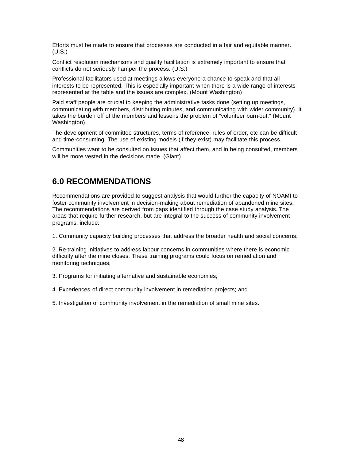Efforts must be made to ensure that processes are conducted in a fair and equitable manner. (U.S.)

Conflict resolution mechanisms and quality facilitation is extremely important to ensure that conflicts do not seriously hamper the process. (U.S.)

Professional facilitators used at meetings allows everyone a chance to speak and that all interests to be represented. This is especially important when there is a wide range of interests represented at the table and the issues are complex. (Mount Washington)

Paid staff people are crucial to keeping the administrative tasks done (setting up meetings, communicating with members, distributing minutes, and communicating with wider community). It takes the burden off of the members and lessens the problem of "volunteer burn-out." (Mount Washington)

The development of committee structures, terms of reference, rules of order, etc can be difficult and time-consuming. The use of existing models (if they exist) may facilitate this process.

Communities want to be consulted on issues that affect them, and in being consulted, members will be more vested in the decisions made. (Giant)

# **6.0 RECOMMENDATIONS**

Recommendations are provided to suggest analysis that would further the capacity of NOAMI to foster community involvement in decision-making about remediation of abandoned mine sites. The recommendations are derived from gaps identified through the case study analysis. The areas that require further research, but are integral to the success of community involvement programs, include:

1. Community capacity building processes that address the broader health and social concerns;

2. Re-training initiatives to address labour concerns in communities where there is economic difficulty after the mine closes. These training programs could focus on remediation and monitoring techniques;

3. Programs for initiating alternative and sustainable economies;

- 4. Experiences of direct community involvement in remediation projects; and
- 5. Investigation of community involvement in the remediation of small mine sites.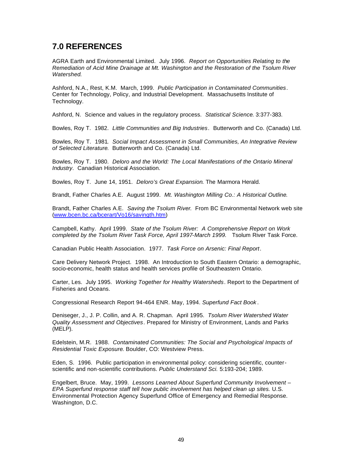# **7.0 REFERENCES**

AGRA Earth and Environmental Limited. July 1996. *Report on Opportunities Relating to the Remediation of Acid Mine Drainage at Mt. Washington and the Restoration of the Tsolum River Watershed*.

Ashford, N.A., Rest, K.M. March, 1999. *Public Participation in Contaminated Communities*. Center for Technology, Policy, and Industrial Development. Massachusetts Institute of Technology.

Ashford, N. Science and values in the regulatory process. *Statistical Science*. 3:377-383.

Bowles, Roy T. 1982. *Little Communities and Big Industries*. Butterworth and Co. (Canada) Ltd.

Bowles, Roy T. 1981. *Social Impact Assessment in Small Communities, An Integrative Review of Selected Literature*. Butterworth and Co. (Canada) Ltd.

Bowles, Roy T. 1980. *Deloro and the World: The Local Manifestations of the Ontario Mineral Industry*. Canadian Historical Association.

Bowles, Roy T. June 14, 1951. *Deloro's Great Expansion*. The Marmora Herald.

Brandt, Father Charles A.E. August 1999. *Mt. Washington Milling Co.: A Historical Outline*.

Brandt, Father Charles A.E. *Saving the Tsolum River*. From BC Environmental Network web site (www.bcen.bc.ca/bcerart/Vo16/savingth.htm)

Campbell, Kathy. April 1999. *State of the Tsolum River: A Comprehensive Report on Work completed by the Tsolum River Task Force, April 1997-March 1999.* Tsolum River Task Force.

Canadian Public Health Association. 1977. *Task Force on Arsenic: Final Report*.

Care Delivery Network Project. 1998. An Introduction to South Eastern Ontario: a demographic, socio-economic, health status and health services profile of Southeastern Ontario.

Carter, Les. July 1995. *Working Together for Healthy Watersheds*. Report to the Department of Fisheries and Oceans.

Congressional Research Report 94-464 ENR. May, 1994. *Superfund Fact Book* .

Deniseger, J., J. P. Collin, and A. R. Chapman. April 1995. *Tsolum River Watershed Water Quality Assessment and Objectives*. Prepared for Ministry of Environment, Lands and Parks (MELP).

Edelstein, M.R. 1988. *Contaminated Communities: The Social and Psychological Impacts of Residential Toxic Exposure*. Boulder, CO: Westview Press.

Eden, S. 1996. Public participation in environmental policy: considering scientific, counterscientific and non-scientific contributions. *Public Understand Sci.* 5:193-204; 1989.

Engelbert, Bruce. May, 1999. *Lessons Learned About Superfund Community Involvement – EPA Superfund response staff tell how public involvement has helped clean up sites.* U.S. Environmental Protection Agency Superfund Office of Emergency and Remedial Response. Washington, D.C.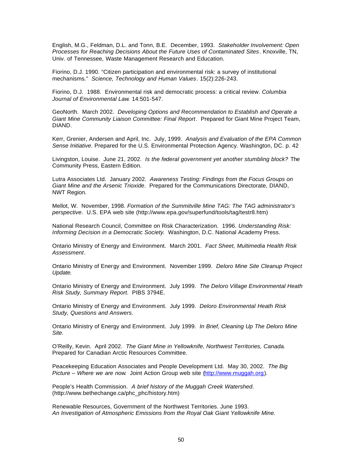English, M.G., Feldman, D.L. and Tonn, B.E. December, 1993. *Stakeholder Involvement: Open Processes for Reaching Decisions About the Future Uses of Contaminated Sites*. Knoxville, TN, Univ. of Tennessee, Waste Management Research and Education.

Fiorino, D.J. 1990. "Citizen participation and environmental risk: a survey of institutional mechanisms." *Science, Technology and Human Values*. 15(2):226-243.

Fiorino, D.J. 1988. Environmental risk and democratic process: a critical review. *Columbia Journal of Environmental Law*. 14:501-547.

GeoNorth. March 2002. *Developing Options and Recommendation to Establish and Operate a Giant Mine Community Liaison Committee: Final Report*. Prepared for Giant Mine Project Team, DIAND.

Kerr, Grenier, Andersen and April, Inc. July, 1999. *Analysis and Evaluation of the EPA Common Sense Initiative*. Prepared for the U.S. Environmental Protection Agency. Washington, DC. p. 42

Livingston, Louise. June 21, 2002. *Is the federal government yet another stumbling block?* The Community Press, Eastern Edition.

Lutra Associates Ltd. January 2002. *Awareness Testing: Findings from the Focus Groups on Giant Mine and the Arsenic Trioxide*. Prepared for the Communications Directorate, DIAND, NWT Region.

Mellot, W. November, 1998. *Formation of the Summitville Mine TAG: The TAG administrator's perspective*. U.S. EPA web site (http://www.epa.gov/superfund/tools/tag/testr8.htm)

National Research Council, Committee on Risk Characterization. 1996. *Understanding Risk: Informing Decision in a Democratic Society*. Washington, D.C. National Academy Press.

Ontario Ministry of Energy and Environment. March 2001. *Fact Sheet, Multimedia Health Risk Assessment*.

Ontario Ministry of Energy and Environment. November 1999. *Deloro Mine Site Cleanup Project Update.*

Ontario Ministry of Energy and Environment. July 1999. *The Deloro Village Environmental Heath Risk Study, Summary Report.* PIBS 3794E.

Ontario Ministry of Energy and Environment. July 1999. *Deloro Environmental Heath Risk Study, Questions and Answers.*

Ontario Ministry of Energy and Environment. July 1999. *In Brief, Cleaning Up The Deloro Mine Site.*

O'Reilly, Kevin. April 2002. *The Giant Mine in Yellowknife, Northwest Territories, Canada*. Prepared for Canadian Arctic Resources Committee.

Peacekeeping Education Associates and People Development Ltd. May 30, 2002. *The Big Picture – Where we are now*. Joint Action Group web site (http://www.muggah.org).

People's Health Commission. *A brief history of the Muggah Creek Watershed*. (http://www.bethechange.ca/phc\_phc/history.htm)

Renewable Resources, Government of the Northwest Territories. June 1993. *An Investigation of Atmospheric Emissions from the Royal Oak Giant Yellowknife Mine.*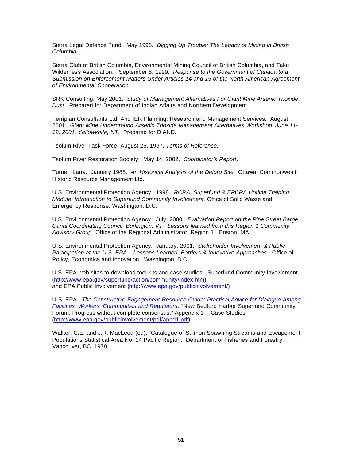Sierra Legal Defence Fund. May 1998. *Digging Up Trouble: The Legacy of Mining in British Columbia.*

Sierra Club of British Columbia, Environmental Mining Council of British Columbia, and Taku Wilderness Association. September 8, 1999. *Response to the Government of Canada to a Submission on Enforcement Matters Under Articles 14 and 15 of the North American Agreement of Environmental Cooperation*.

SRK Consulting. May 2001. *Study of Management Alternatives For Giant Mine Arsenic Trioxide Dust*. Prepared for Department of Indian Affairs and Northern Development.

Terriplan Consultants Ltd. And IER Planning, Research and Management Services. August 2001. *Giant Mine Underground Arsenic Trioxide Management Alternatives Workshop: June 11- 12, 2001, Yellowknife, NT*. Prepared for DIAND.

Tsolum River Task Force. August 26, 1997. *Terms of Reference.*

Tsolum River Restoration Society. May 14, 2002. *Coordinator's Report*.

Turner, Larry. January 1988. *An Historical Analysis of the Deloro Site*. Ottawa: Commonwealth Historic Resource Management Ltd.

U.S. Environmental Protection Agency. 1998. *RCRA, Superfund & EPCRA Hotline Training Module: Introduction to Superfund Community Involvement.* Office of Solid Waste and Emergency Response. Washington, D.C.

U.S. Environmental Protection Agency. July, 2000. *Evaluation Report on the Pine Street Barge Canal Coordinating Council, Burlington, VT: Lessons learned from this Region 1 Community Advisory Group.* Office of the Regional Administrator, Region 1. Boston, MA.

U.S. Environmental Protection Agency. January, 2001. *Stakeholder Involvement & Public Participation at the U.S. EPA – Lessons Learned, Barriers & Innovative Approaches*. Office of Policy, Economics and Innovation. Washington, D.C.

U.S. EPA web sites to download tool kits and case studies. Superfund Community Involvement (http://www.epa.gov/superfund/action/community/index.htm) and EPA Public Involvement (http://www.epa.gov/publicinvolvement/)

U.S. EPA. *The Constructive Engagement Resource Guide: Practical Advice for Dialogue Among Facilities, Workers, Communities and Regulators*. "New Bedford Harbor Superfund Community Forum: Progress without complete consensus." Appendix 1 – Case Studies. (http://www.epa.gov/publicinvolvement/pdf/appd1.pdf)

Walker, C.E. and J.R. MacLeod (ed). "Catalogue of Salmon Spawning Streams and Escapement Populations Statistical Area No. 14 Pacific Region." Department of Fisheries and Forestry. Vancouver, BC. 1970.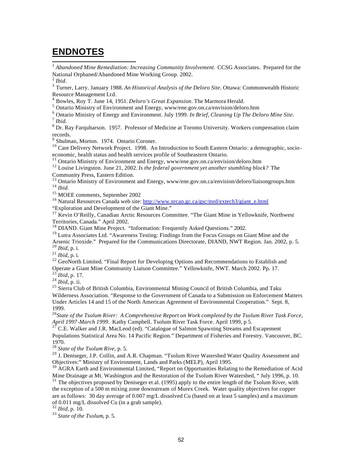# **ENDNOTES**

<sup>1</sup> Abandoned Mine Remediation: Increasing Community Involvement. CCSG Associates. Prepared for the National Orphaned/Abandoned Mine Working Group. 2002.

2 *Ibid*.

3 Turner, Larry. January 1988. *An Historical Analysis of the Deloro Site*. Ottawa: Commonwealth Historic Resource Management Ltd.

4 Bowles, Roy T. June 14, 1951. *Deloro's Great Expansion*. The Marmora Herald.

<sup>5</sup> Ontario Ministry of Environment and Energy, www/ene.gov.on.ca/envision/deloro.htm

6 Ontario Ministry of Energy and Environment. July 1999. *In Brief, Cleaning Up The Deloro Mine Site.* 7 *Ibid.*

<sup>8</sup> Dr. Ray Farquharson. 1957. Professor of Medicine at Toronto University. Workers compensation claim records.

9 Shulman, Morton. 1974. Ontario Coroner.

<sup>10</sup> Care Delivery Network Project. 1998. An Introduction to South Eastern Ontario: a demographic, socioeconomic, health status and health services profile of Southeastern Ontario.

<sup>11</sup> Ontario Ministry of Environment and Energy, www/ene.gov.on.ca/envision/deloro.htm

<sup>12</sup> Louise Livingston. June 21, 2002. *Is the federal government yet another stumbling block?* The Community Press, Eastern Edition.

<sup>13</sup> Ontario Ministry of Environment and Energy, www/ene.gov.on.ca/envision/deloro/liaisongroups.htm <sup>14</sup> *Ibid*.

<sup>15</sup> MOEE comments, September 2002

<sup>16</sup> Natural Resources Canada web site: http://www.nrcan.gc.ca/gsc/mrd/extech3/giant\_e.html "Exploration and Development of the Giant Mine."

<sup>17</sup> Kevin O'Reilly, Canadian Arctic Resources Committee. "The Giant Mine in Yellowknife, Northwest Territories, Canada." April 2002.

<sup>18</sup> DIAND. Giant Mine Project. "Information: Frequently Asked Questions." 2002.

<sup>19</sup> Lutra Associates Ltd. "Awareness Testing: Findings from the Focus Groups on Giant Mine and the Arsenic Trioxide." Prepared for the Communications Directorate, DIAND, NWT Region. Jan. 2002, p. 5. <sup>20</sup> *Ibid*, p. i.

<sup>21</sup> *Ibid*, p. i.

<sup>22</sup> GeoNorth Limited. "Final Report for Developing Options and Recommendations to Establish and Operate a Giant Mine Community Liaison Committee." Yellowknife, NWT. March 2002. Pp. 17.

<sup>23</sup> *Ibid,* p. 17.

<sup>24</sup> *Ibid*, p. ii.

<sup>25</sup> Sierra Club of British Columbia, Environmental Mining Council of British Columbia, and Taku Wilderness Association. "Response to the Government of Canada to a Submission on Enforcement Matters Under Articles 14 and 15 of the North American Agreement of Environmental Cooperation." Sept. 8, 1999.

<sup>26</sup>*State of the Tsolum River: A Comprehensive Report on Work completed by the Tsolum River Task Force, April 1997-March 1999.* Kathy Campbell. Tsolum River Task Force. April 1999, p 5.

 $2^7$  C.E. Walker and J.R. MacLeod (ed). "Catalogue of Salmon Spawning Streams and Escapement Populations Statistical Area No. 14 Pacific Region." Department of Fisheries and Forestry. Vancouver, BC. 1970.

<sup>28</sup> *State of the Tsolum Rive,* p. 5.

<sup>29</sup> J. Deniseger, J.P. Collin, and A.R. Chapman. "Tsolum River Watershed Water Quality Assessment and Objectives:" Ministry of Environment, Lands and Parks (MELP), April 1995.

<sup>30</sup> AGRA Earth and Environmental Limited, "Report on Opportunities Relating to the Remediation of Acid Mine Drainage at Mt. Washington and the Restoration of the Tsolum River Watershed, " July 1996, p. 10. <sup>31</sup> The objectives proposed by Deniseger et al. (1995) apply to the entire length of the Tsolum River, with the exception of a 500 m mixing zone downstream of Murex Creek. Water quality objectives for copper are as follows: 30 day average of 0.007 mg/L dissolved Cu (based on at least 5 samples) and a maximum of 0.011 mg/L dissolved Cu (in a grab sample).

<sup>32</sup> *Ibid,* p. 10.

<sup>33</sup> *State of the Tsolum*, p. 5.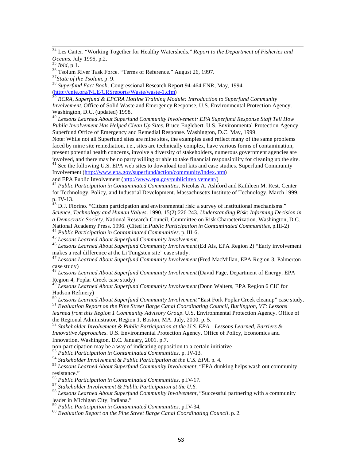<sup>34</sup> Les Carter. "Working Together for Healthy Watersheds." *Report to the Department of Fisheries and Oceans*. July 1995, p.2.

<sup>36</sup> Tsolum River Task Force. "Terms of Reference." August 26, 1997.

<sup>38</sup> *Superfund Fact Book* , Congressional Research Report 94-464 ENR, May, 1994. (http://cnie.org/NLE/CRSreports/Waste/waste-1.cfm)

<sup>39</sup> *RCRA, Superfund & EPCRA Hotline Training Module: Introduction to Superfund Community Involvement.* Office of Solid Waste and Emergency Response, U.S. Environmental Protection Agency. Washington, D.C. (updated) 1998.

<sup>40</sup> *Lessons Learned About Superfund Community Involvement: EPA Superfund Response Staff Tell How Public Involvement Has Helped Clean Up Sites.* Bruce Englebert. U.S. Environmental Protection Agency Superfund Office of Emergency and Remedial Response. Washington, D.C. May, 1999.

Note: While not all Superfund sites are mine sites, the examples used reflect many of the same problems faced by mine site remediation, i.e., sites are technically complex, have various forms of contamination, present potential health concerns, involve a diversity of stakeholders, numerous government agencies are involved, and there may be no party willing or able to take financial responsibility for cleaning up the site.

 $^{41}$  See the following U.S. EPA web sites to download tool kits and case studies. Superfund Community Involvement (http://www.epa.gov/superfund/action/community/index.htm)

and EPA Public Involvement (http://www.epa.gov/publicinvolvement/)

<sup>42</sup> *Public Participation in Contaminated Communities*. Nicolas A. Ashford and Kathleen M. Rest. Center for Technology, Policy, and Industrial Development. Massachusetts Institute of Technology. March 1999. p. IV-13.

 $^{43}$  D.J. Fiorino. "Citizen participation and environmental risk: a survey of institutional mechanisms." *Science, Technology and Human Values*. 1990. 15(2):226-243. *Understanding Risk: Informing Decision in a Democratic Society*. National Research Council, Committee on Risk Characterization. Washington, D.C. National Academy Press. 1996. (Cited in *Public Participation in Contaminated Communities,* p.III-2)

<sup>44</sup> *Public Participation in Contaminated Communities*. p. III-6.

<sup>45</sup> *Lessons Learned About Superfund Community Involvement.*

<sup>46</sup> *Lessons Learned About Superfund Community Involvement* (Ed Als, EPA Region 2) "Early involvement makes a real difference at the Li Tungsten site" case study.

<sup>47</sup> *Lessons Learned About Superfund Community Involvement* (Fred MacMillan, EPA Region 3, Palmerton case study)

<sup>48</sup> *Lessons Learned About Superfund Community Involvement* (David Page, Department of Energy, EPA Region 4, Poplar Creek case study)

<sup>49</sup> *Lessons Learned About Superfund Community Involvement* (Donn Walters, EPA Region 6 CIC for Hudson Refinery)

<sup>50</sup> *Lessons Learned About Superfund Community Involvement* "East Fork Poplar Creek cleanup" case study. <sup>51</sup> *Evaluation Report on the Pine Street Barge Canal Coordinating Council, Burlington, VT: Lessons* 

*learned from this Region 1 Community Advisory Group.* U.S. Environmental Protection Agency. Office of the Regional Administrator, Region 1. Boston, MA. July, 2000. p. 5.

<sup>52</sup> *Stakeholder Involvement & Public Participation at the U.S. EPA – Lessons Learned, Barriers & Innovative Approaches*. U.S. Environmental Protection Agency, Office of Policy, Economics and Innovation. Washington, D.C. January, 2001. p.7.

non-participation may be a way of indicating opposition to a certain initiative

<sup>53</sup> *Public Participation in Contaminated Communities*. p. IV-13.

<sup>54</sup> *Stakeholder Involvement & Public Participation at the U.S. EPA.* p. 4.

<sup>55</sup> Lessons Learned About Superfund Community Involvement, "EPA dunking helps wash out community resistance."

<sup>56</sup> *Public Participation in Contaminated Communities*. p.IV-17.

<sup>57</sup> *Stakeholder Involvement & Public Participation at the U.S.*

<sup>58</sup> *Lessons Learned About Superfund Community Involvement*, "Successful partnering with a community leader in Michigan City, Indiana."

<sup>59</sup> *Public Participation in Contaminated Communities*. p.IV-34.

<sup>60</sup> *Evaluation Report on the Pine Street Barge Canal Coordinating Council*. p. 2.

<sup>35</sup> *Ibid*, p.1.

<sup>37</sup>*State of the Tsolum*, p. 9.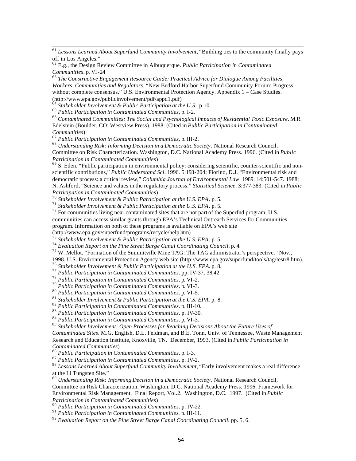<sup>61</sup> *Lessons Learned About Superfund Community Involvement*, "Building ties to the community finally pays off in Los Angeles."

<sup>62</sup> E.g., the Design Review Committee in Albuquerque. *Public Participation in Contaminated Communities*. p. VI-24

<sup>63</sup> *The Constructive Engagement Resource Guide: Practical Advice for Dialogue Among Facilities, Workers, Communities and Regulators*. "New Bedford Harbor Superfund Community Forum: Progress without complete consensus." U.S. Environmental Protection Agency. Appendix 1 – Case Studies. (http://www.epa.gov/publicinvolvement/pdf/appd1.pdf)

<sup>64</sup> *Stakeholder Involvement & Public Participation at the U.S.* p.10.

<sup>65</sup> *Public Participation in Contaminated Communities*, p. I-2.

<sup>66</sup> *Contaminated Communities: The Social and Psychological Impacts of Residential Toxic Exposure*. M.R. Edelstein (Boulder, CO: Westview Press). 1988. (Cited in *Public Participation in Contaminated Communities*)

<sup>67</sup> *Public Participation in Contaminated Communities*, p. III-2.

<sup>68</sup> *Understanding Risk: Informing Decision in a Democratic Society*. National Research Council, Committee on Risk Characterization. Washington, D.C. National Academy Press. 1996. (Cited in *Public Participation in Contaminated Communities*)

 $^{69}$  S. Eden. "Public participation in environmental policy: considering scientific, counter-scientific and nonscientific contributions," *Public Understand Sci*. 1996. 5:193-204; Fiorino, D.J. "Environmental risk and democratic process: a critical review," *Columbia Journal of Environmental Law*. 1989. 14:501-547. 1988; N. Ashford, "Science and values in the regulatory process." *Statistical Science*. 3:377-383. (Cited in *Public Participation in Contaminated Communities*)

<sup>70</sup> *Stakeholder Involvement & Public Participation at the U.S. EPA*. p. 5.

<sup>71</sup> *Stakeholder Involvement & Public Participation at the U.S. EPA*. p. 5.

 $72$  For communities living near contaminated sites that are not part of the Superfnd program, U.S.

communities can access similar grants through EPA's Technical Outreach Services for Communities

program. Information on both of these programs is available on EPA's web site

(http://www.epa.gov/superfund/programs/recycle/help.htm)

<sup>73</sup> *Stakeholder Involvement & Public Participation at the U.S. EPA*. p. 5.

<sup>74</sup> *Evaluation Report on the Pine Street Barge Canal Coordinating Council*. p. 4.

<sup>75</sup> W. Mellot. "Formation of the Summitville Mine TAG: The TAG administrator's perspective." Nov.,

1998. U.S. Environmental Protection Agency web site (http://www.epa.gov/superfund/tools/tag/testr8.htm).

<sup>76</sup> *Stakeholder Involvement & Public Participation at the U.S. EPA.* p. 8.

<sup>77</sup> *Public Participation in Contaminated Communities*. pp. IV-37, 38,42

<sup>78</sup> *Public Participation in Contaminated Communities*. p. VI-2.

<sup>79</sup> *Public Participation in Contaminated Communities*. p. VI-3.

<sup>80</sup> *Public Participation in Contaminated Communities*. p. VI-5.

<sup>81</sup> *Stakeholder Involvement & Public Participation at the U.S. EPA.* p. 8.

<sup>82</sup> *Public Participation in Contaminated Communities*. p. III-10.

<sup>83</sup> *Public Participation in Contaminated Communities*. p. IV-30.

<sup>84</sup> *Public Participation in Contaminated Communities*. p. VI-3.

<sup>85</sup> *Stakeholder Involvement: Open Processes for Reaching Decisions About the Future Uses of* 

*Contaminated Sites*. M.G. English, D.L. Feldman, and B.E. Tonn. Univ. of Tennessee, Waste Management Research and Education Institute, Knoxville, TN. December, 1993. (Cited in *Public Participation in Contaminated Communities*)

<sup>86</sup> *Public Participation in Contaminated Communities*. p. I-3.

<sup>87</sup> *Public Participation in Contaminated Communities*. p. IV-2.

<sup>88</sup> *Lessons Learned About Superfund Community Involvement*, "Early involvement makes a real difference at the Li Tungsten Site."

<sup>89</sup> *Understanding Risk: Informing Decision in a Democratic Society*. National Research Council, Committee on Risk Characterization. Washington, D.C. National Academy Press. 1996. Framework for Environmental Risk Management. Final Report, Vol.2. Washington, D.C. 1997. (Cited in *Public Participation in Contaminated Communities*)

<sup>90</sup> *Public Participation in Contaminated Communities*. p. IV-22.

<sup>91</sup> *Public Participation in Contaminated Communities.* p. III-11.

<sup>92</sup> *Evaluation Report on the Pine Street Barge Canal Coordinating Council.* pp. 5, 6.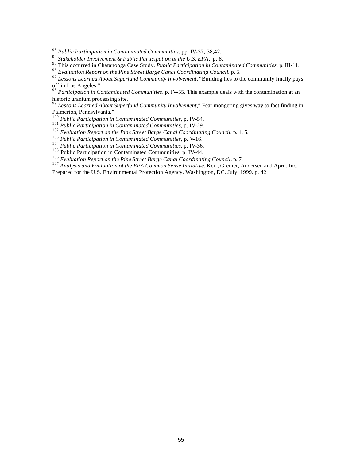*Public Participation in Contaminated Communities*. pp. IV-37, 38,42.

*Stakeholder Involvement & Public Participation at the U.S. EPA*.p. 8.

This occurred in Chatanooga Case Study. *Public Participation in Contaminated Communities.* p. III-11.

*Evaluation Report on the Pine Street Barge Canal Coordinating Council.* p. 5.

 *Lessons Learned About Superfund Community Involvement*, "Building ties to the community finally pays off in Los Angeles."

 *Participation in Contaminated Communities*. p. IV-55. This example deals with the contamination at an historic uranium processing site.

 *Lessons Learned About Superfund Community Involvement*," Fear mongering gives way to fact finding in Palmerton, Pennsylvania."

*Public Participation in Contaminated Communities*, p. IV-54.

*Public Participation in Contaminated Communities*, p. IV-29.

<sup>102</sup> Evaluation Report on the Pine Street Barge Canal Coordinating Council. p. 4, 5.

*Public Participation in Contaminated Communities*, p. V-16.

*Public Participation in Contaminated Communities*, p. IV-36.

<sup>105</sup> Public Participation in Contaminated Communities, p. IV-44.

*Evaluation Report on the Pine Street Barge Canal Coordinating Council*. p. 7.

<sup>107</sup> Analysis and Evaluation of the EPA Common Sense Initiative. Kerr, Grenier, Andersen and April, Inc.

Prepared for the U.S. Environmental Protection Agency. Washington, DC. July, 1999. p. 42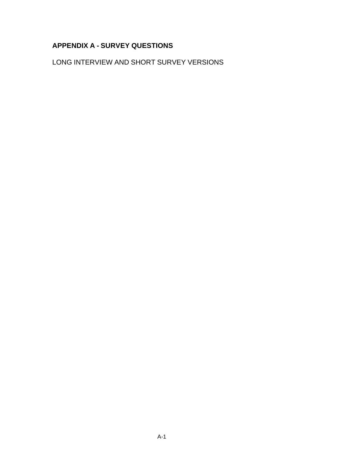# **APPENDIX A - SURVEY QUESTIONS**

LONG INTERVIEW AND SHORT SURVEY VERSIONS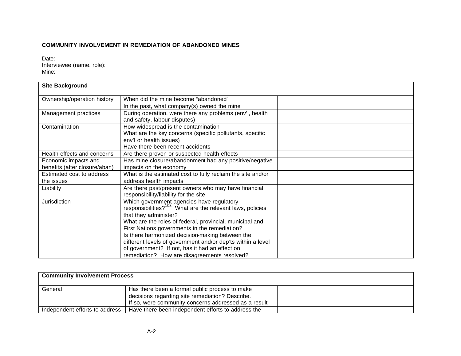## **COMMUNITY INVOLVEMENT IN REMEDIATION OF ABANDONED MINES**

Date: Interviewee (name, role): Mine:

| <b>Site Background</b>                                |                                                                                                                                                                                                                                                                                                                                                                                                                                                                              |  |
|-------------------------------------------------------|------------------------------------------------------------------------------------------------------------------------------------------------------------------------------------------------------------------------------------------------------------------------------------------------------------------------------------------------------------------------------------------------------------------------------------------------------------------------------|--|
| Ownership/operation history                           | When did the mine become "abandoned"<br>In the past, what company(s) owned the mine                                                                                                                                                                                                                                                                                                                                                                                          |  |
| Management practices                                  | During operation, were there any problems (env'l, health<br>and safety, labour disputes)                                                                                                                                                                                                                                                                                                                                                                                     |  |
| Contamination                                         | How widespread is the contamination<br>What are the key concerns (specific pollutants, specific<br>env'l or health issues)<br>Have there been recent accidents                                                                                                                                                                                                                                                                                                               |  |
| Health effects and concerns                           | Are there proven or suspected health effects                                                                                                                                                                                                                                                                                                                                                                                                                                 |  |
| Economic impacts and<br>benefits (after closure/aban) | Has mine closure/abandonment had any positive/negative<br>impacts on the economy                                                                                                                                                                                                                                                                                                                                                                                             |  |
| Estimated cost to address<br>the issues               | What is the estimated cost to fully reclaim the site and/or<br>address health impacts                                                                                                                                                                                                                                                                                                                                                                                        |  |
| Liability                                             | Are there past/present owners who may have financial<br>responsibility/liability for the site                                                                                                                                                                                                                                                                                                                                                                                |  |
| Jurisdiction                                          | Which government agencies have regulatory<br>responsibilities? <sup>108</sup> What are the relevant laws, policies<br>that they administer?<br>What are the roles of federal, provincial, municipal and<br>First Nations governments in the remediation?<br>Is there harmonized decision-making between the<br>different levels of government and/or dep'ts within a level<br>of government? If not, has it had an effect on<br>remediation? How are disagreements resolved? |  |

| <b>Community Involvement Process</b> |                                                      |  |  |  |  |  |
|--------------------------------------|------------------------------------------------------|--|--|--|--|--|
| General                              | Has there been a formal public process to make       |  |  |  |  |  |
|                                      | decisions regarding site remediation? Describe.      |  |  |  |  |  |
|                                      | If so, were community concerns addressed as a result |  |  |  |  |  |
| Independent efforts to address       | Have there been independent efforts to address the   |  |  |  |  |  |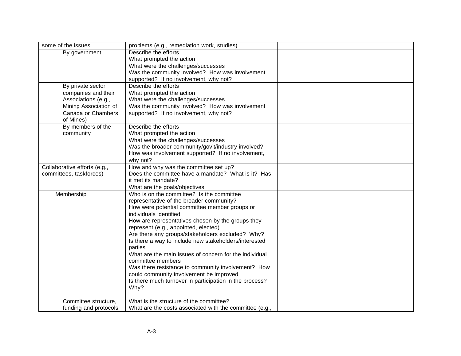| Describe the efforts<br>By government<br>What prompted the action<br>What were the challenges/successes<br>Was the community involved? How was involvement<br>supported? If no involvement, why not?<br>Describe the efforts<br>By private sector<br>companies and their<br>What prompted the action<br>What were the challenges/successes<br>Associations (e.g., |
|-------------------------------------------------------------------------------------------------------------------------------------------------------------------------------------------------------------------------------------------------------------------------------------------------------------------------------------------------------------------|
|                                                                                                                                                                                                                                                                                                                                                                   |
|                                                                                                                                                                                                                                                                                                                                                                   |
|                                                                                                                                                                                                                                                                                                                                                                   |
|                                                                                                                                                                                                                                                                                                                                                                   |
|                                                                                                                                                                                                                                                                                                                                                                   |
|                                                                                                                                                                                                                                                                                                                                                                   |
|                                                                                                                                                                                                                                                                                                                                                                   |
|                                                                                                                                                                                                                                                                                                                                                                   |
| Was the community involved? How was involvement<br>Mining Association of                                                                                                                                                                                                                                                                                          |
| Canada or Chambers<br>supported? If no involvement, why not?                                                                                                                                                                                                                                                                                                      |
| of Mines)                                                                                                                                                                                                                                                                                                                                                         |
| By members of the<br>Describe the efforts                                                                                                                                                                                                                                                                                                                         |
| community<br>What prompted the action                                                                                                                                                                                                                                                                                                                             |
| What were the challenges/successes                                                                                                                                                                                                                                                                                                                                |
| Was the broader community/gov't/industry involved?                                                                                                                                                                                                                                                                                                                |
| How was involvement supported? If no involvement,                                                                                                                                                                                                                                                                                                                 |
| why not?                                                                                                                                                                                                                                                                                                                                                          |
| How and why was the committee set up?<br>Collaborative efforts (e.g.,                                                                                                                                                                                                                                                                                             |
| Does the committee have a mandate? What is it? Has<br>committees, taskforces)                                                                                                                                                                                                                                                                                     |
| it met its mandate?                                                                                                                                                                                                                                                                                                                                               |
| What are the goals/objectives                                                                                                                                                                                                                                                                                                                                     |
| Who is on the committee? Is the committee<br>Membership                                                                                                                                                                                                                                                                                                           |
| representative of the broader community?                                                                                                                                                                                                                                                                                                                          |
| How were potential committee member groups or                                                                                                                                                                                                                                                                                                                     |
| individuals identified                                                                                                                                                                                                                                                                                                                                            |
| How are representatives chosen by the groups they                                                                                                                                                                                                                                                                                                                 |
| represent (e.g., appointed, elected)                                                                                                                                                                                                                                                                                                                              |
| Are there any groups/stakeholders excluded? Why?                                                                                                                                                                                                                                                                                                                  |
| Is there a way to include new stakeholders/interested<br>parties                                                                                                                                                                                                                                                                                                  |
| What are the main issues of concern for the individual                                                                                                                                                                                                                                                                                                            |
| committee members                                                                                                                                                                                                                                                                                                                                                 |
| Was there resistance to community involvement? How                                                                                                                                                                                                                                                                                                                |
| could community involvement be improved                                                                                                                                                                                                                                                                                                                           |
| Is there much turnover in participation in the process?                                                                                                                                                                                                                                                                                                           |
| Why?                                                                                                                                                                                                                                                                                                                                                              |
|                                                                                                                                                                                                                                                                                                                                                                   |
| What is the structure of the committee?<br>Committee structure,                                                                                                                                                                                                                                                                                                   |
| funding and protocols<br>What are the costs associated with the committee (e.g.,                                                                                                                                                                                                                                                                                  |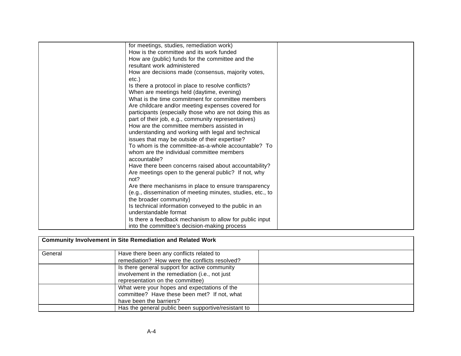| for meetings, studies, remediation work)                   |  |
|------------------------------------------------------------|--|
| How is the committee and its work funded                   |  |
| How are (public) funds for the committee and the           |  |
| resultant work administered                                |  |
| How are decisions made (consensus, majority votes,         |  |
| etc.)                                                      |  |
| Is there a protocol in place to resolve conflicts?         |  |
| When are meetings held (daytime, evening)                  |  |
| What is the time commitment for committee members          |  |
| Are childcare and/or meeting expenses covered for          |  |
| participants (especially those who are not doing this as   |  |
| part of their job, e.g., community representatives)        |  |
| How are the committee members assisted in                  |  |
| understanding and working with legal and technical         |  |
| issues that may be outside of their expertise?             |  |
| To whom is the committee-as-a-whole accountable? To        |  |
| whom are the individual committee members                  |  |
| accountable?                                               |  |
| Have there been concerns raised about accountability?      |  |
| Are meetings open to the general public? If not, why       |  |
| not?                                                       |  |
| Are there mechanisms in place to ensure transparency       |  |
| (e.g., dissemination of meeting minutes, studies, etc., to |  |
| the broader community)                                     |  |
| Is technical information conveyed to the public in an      |  |
| understandable format                                      |  |
| Is there a feedback mechanism to allow for public input    |  |
| into the committee's decision-making process               |  |

|         | <b>Community Involvement in Site Remediation and Related Work</b> |  |
|---------|-------------------------------------------------------------------|--|
| General | Have there been any conflicts related to                          |  |
|         | remediation? How were the conflicts resolved?                     |  |
|         | Is there general support for active community                     |  |
|         | involvement in the remediation (i.e., not just                    |  |
|         | representation on the committee)                                  |  |
|         | What were your hopes and expectations of the                      |  |
|         | committee? Have these been met? If not, what                      |  |
|         | have been the barriers?                                           |  |
|         | Has the general public been supportive/resistant to               |  |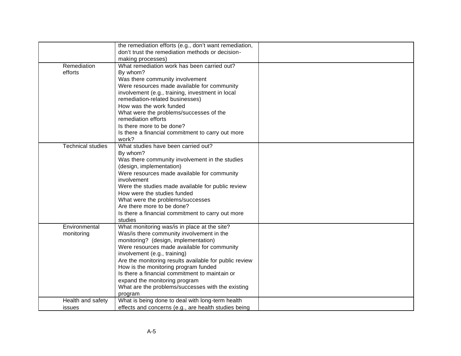|                          | the remediation efforts (e.g., don't want remediation, |  |
|--------------------------|--------------------------------------------------------|--|
|                          | don't trust the remediation methods or decision-       |  |
|                          | making processes)                                      |  |
| Remediation              | What remediation work has been carried out?            |  |
| efforts                  | By whom?                                               |  |
|                          | Was there community involvement                        |  |
|                          | Were resources made available for community            |  |
|                          | involvement (e.g., training, investment in local       |  |
|                          | remediation-related businesses)                        |  |
|                          | How was the work funded                                |  |
|                          | What were the problems/successes of the                |  |
|                          | remediation efforts                                    |  |
|                          | Is there more to be done?                              |  |
|                          | Is there a financial commitment to carry out more      |  |
|                          | work?                                                  |  |
| <b>Technical studies</b> | What studies have been carried out?                    |  |
|                          | By whom?                                               |  |
|                          | Was there community involvement in the studies         |  |
|                          | (design, implementation)                               |  |
|                          | Were resources made available for community            |  |
|                          | involvement                                            |  |
|                          | Were the studies made available for public review      |  |
|                          | How were the studies funded                            |  |
|                          | What were the problems/successes                       |  |
|                          | Are there more to be done?                             |  |
|                          | Is there a financial commitment to carry out more      |  |
|                          | studies                                                |  |
| Environmental            | What monitoring was/is in place at the site?           |  |
| monitoring               | Was/is there community involvement in the              |  |
|                          | monitoring? (design, implementation)                   |  |
|                          | Were resources made available for community            |  |
|                          | involvement (e.g., training)                           |  |
|                          | Are the monitoring results available for public review |  |
|                          | How is the monitoring program funded                   |  |
|                          | Is there a financial commitment to maintain or         |  |
|                          | expand the monitoring program                          |  |
|                          | What are the problems/successes with the existing      |  |
|                          | program                                                |  |
| Health and safety        | What is being done to deal with long-term health       |  |
| issues                   | effects and concerns (e.g., are health studies being   |  |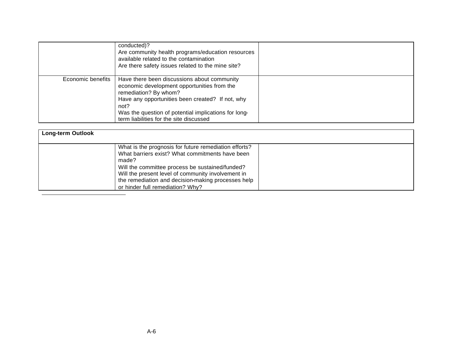|                   | conducted)?<br>Are community health programs/education resources<br>available related to the contamination<br>Are there safety issues related to the mine site?                                                                                                                    |  |
|-------------------|------------------------------------------------------------------------------------------------------------------------------------------------------------------------------------------------------------------------------------------------------------------------------------|--|
| Economic benefits | Have there been discussions about community<br>economic development opportunities from the<br>remediation? By whom?<br>Have any opportunities been created? If not, why<br>not?<br>Was the question of potential implications for long-<br>term liabilities for the site discussed |  |

| <b>Long-term Outlook</b>                                                                                                                                                                                                                                                                                             |  |
|----------------------------------------------------------------------------------------------------------------------------------------------------------------------------------------------------------------------------------------------------------------------------------------------------------------------|--|
| What is the prognosis for future remediation efforts?<br>What barriers exist? What commitments have been<br>made?<br>Will the committee process be sustained/funded?<br>Will the present level of community involvement in<br>the remediation and decision-making processes help<br>or hinder full remediation? Why? |  |
|                                                                                                                                                                                                                                                                                                                      |  |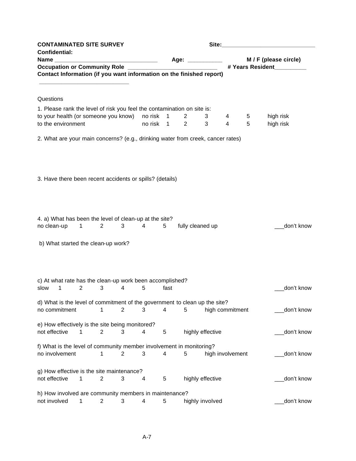| <b>CONTAMINATED SITE SURVEY</b>                                                             |                |                                |                |                |              |                                  | Site:            |        |        |                        |
|---------------------------------------------------------------------------------------------|----------------|--------------------------------|----------------|----------------|--------------|----------------------------------|------------------|--------|--------|------------------------|
| <b>Confidential:</b>                                                                        |                |                                |                |                |              | Age: ____________                |                  |        |        | M / F (please circle)  |
| Occupation or Community Role _______________________________                                |                |                                |                |                |              |                                  |                  |        |        | # Years Resident       |
| Contact Information (if you want information on the finished report)                        |                |                                |                |                |              |                                  |                  |        |        |                        |
|                                                                                             |                |                                |                |                |              |                                  |                  |        |        |                        |
| Questions                                                                                   |                |                                |                |                |              |                                  |                  |        |        |                        |
| 1. Please rank the level of risk you feel the contamination on site is:                     |                |                                |                |                |              |                                  |                  |        |        |                        |
| to your health (or someone you know) no risk<br>to the environment                          |                |                                |                | no risk 1      | $\mathbf{1}$ | $\overline{2}$<br>$\overline{2}$ | 3<br>3           | 4<br>4 | 5<br>5 | high risk<br>high risk |
|                                                                                             |                |                                |                |                |              |                                  |                  |        |        |                        |
| 2. What are your main concerns? (e.g., drinking water from creek, cancer rates)             |                |                                |                |                |              |                                  |                  |        |        |                        |
|                                                                                             |                |                                |                |                |              |                                  |                  |        |        |                        |
|                                                                                             |                |                                |                |                |              |                                  |                  |        |        |                        |
|                                                                                             |                |                                |                |                |              |                                  |                  |        |        |                        |
| 3. Have there been recent accidents or spills? (details)                                    |                |                                |                |                |              |                                  |                  |        |        |                        |
|                                                                                             |                |                                |                |                |              |                                  |                  |        |        |                        |
|                                                                                             |                |                                |                |                |              |                                  |                  |        |        |                        |
|                                                                                             |                |                                |                |                |              |                                  |                  |        |        |                        |
| 4. a) What has been the level of clean-up at the site?                                      |                |                                |                |                |              |                                  |                  |        |        |                        |
| no clean-up                                                                                 | $\overline{1}$ | $2 \left( \frac{1}{2} \right)$ | $3^{\circ}$    | $\overline{4}$ | $5 -$        | fully cleaned up                 |                  |        |        | don't know             |
|                                                                                             |                |                                |                |                |              |                                  |                  |        |        |                        |
| b) What started the clean-up work?                                                          |                |                                |                |                |              |                                  |                  |        |        |                        |
|                                                                                             |                |                                |                |                |              |                                  |                  |        |        |                        |
|                                                                                             |                |                                |                |                |              |                                  |                  |        |        |                        |
| c) At what rate has the clean-up work been accomplished?                                    |                |                                |                |                |              |                                  |                  |        |        |                        |
| $\mathbf{1}$<br>slow                                                                        | $\overline{2}$ | 3                              | 4              | 5              | fast         |                                  |                  |        |        | don't know             |
|                                                                                             |                |                                |                |                |              |                                  |                  |        |        |                        |
| d) What is the level of commitment of the government to clean up the site?<br>no commitment |                | 1                              | $\overline{2}$ | 3              | 4            | 5                                | high commitment  |        |        | don't know             |
|                                                                                             |                |                                |                |                |              |                                  |                  |        |        |                        |
| e) How effectively is the site being monitored?                                             |                |                                |                |                |              |                                  |                  |        |        |                        |
| not effective                                                                               | 1              | $\overline{2}$                 | 3              | 4              | 5            | highly effective                 |                  |        |        | don't know             |
| f) What is the level of community member involvement in monitoring?                         |                |                                |                |                |              |                                  |                  |        |        |                        |
| no involvement                                                                              |                | 1                              | 2              | 3              | 4            | 5                                | high involvement |        |        | don't know             |
|                                                                                             |                |                                |                |                |              |                                  |                  |        |        |                        |
| g) How effective is the site maintenance?<br>not effective                                  | 1              | $\overline{2}$                 | 3              | 4              | 5            | highly effective                 |                  |        |        | don't know             |
|                                                                                             |                |                                |                |                |              |                                  |                  |        |        |                        |
| h) How involved are community members in maintenance?                                       |                |                                |                |                |              |                                  |                  |        |        |                        |
| not involved                                                                                | 1              | 2                              | 3              | 4              | 5            |                                  | highly involved  |        |        | don't know             |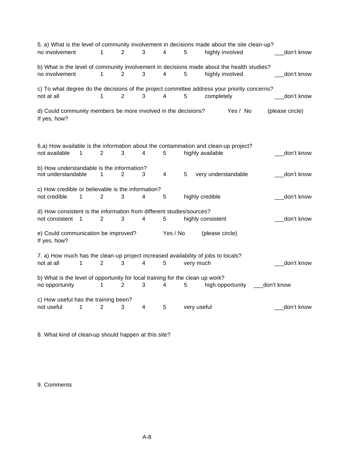| 5. a) What is the level of community involvement in decisions made about the site clean-up?<br>no involvement | 1<br>$\overline{2}$ | 3 | $\overline{4}$          | 5               | highly involved                 | don't know      |
|---------------------------------------------------------------------------------------------------------------|---------------------|---|-------------------------|-----------------|---------------------------------|-----------------|
| b) What is the level of community involvement in decisions made about the health studies?<br>no involvement   | 1<br>2              | 3 | 4                       | 5               | highly involved                 | don't know      |
| c) To what degree do the decisions of the project committee address your priority concerns?<br>not at all     | $\overline{2}$<br>1 | 3 | $\overline{\mathbf{4}}$ | 5               | completely                      | don't know      |
| d) Could community members be more involved in the decisions?<br>If yes, how?                                 |                     |   |                         |                 | Yes / No                        | (please circle) |
| 6.a) How available is the information about the contamination and clean-up project?                           |                     |   |                         |                 |                                 |                 |
| not available<br>1                                                                                            | $\mathbf{2}$<br>3   | 4 | 5                       |                 | highly available                | don't know      |
| b) How understandable is the information?<br>not understandable                                               | 2<br>1              | 3 | $\overline{4}$          | 5               | very understandable             | don't know      |
| c) How credible or believable is the information?<br>not credible                                             | 2                   | 4 | 5                       |                 |                                 |                 |
| 1                                                                                                             | 3                   |   |                         | highly credible |                                 | don't know      |
| d) How consistent is the information from different studies/sources?<br>not consistent<br>$\overline{1}$      | $\overline{2}$<br>3 | 4 | 5                       |                 | highly consistent               | don't know      |
| e) Could communication be improved?<br>If yes, how?                                                           |                     |   | Yes / No                |                 | (please circle)                 |                 |
| 7. a) How much has the clean-up project increased availability of jobs to locals?<br>not at all<br>1          | 2<br>3              | 4 | 5                       | very much       |                                 | don't know      |
| b) What is the level of opportunity for local training for the clean up work?                                 |                     |   |                         |                 |                                 |                 |
| no opportunity                                                                                                | 2<br>1              | 3 | 4                       | 5               | high opportunity ____don't know |                 |
| c) How useful has the training been?<br>not useful<br>1                                                       | $\overline{2}$<br>3 | 4 | 5                       | very useful     |                                 | don't know      |

8. What kind of clean-up should happen at this site?

9. Comments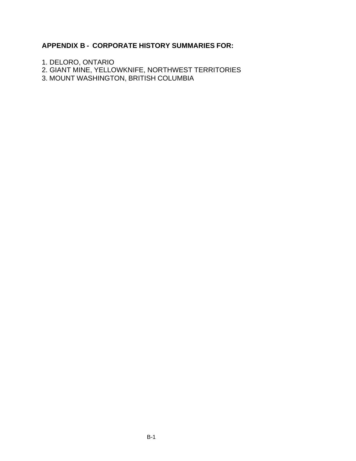# **APPENDIX B - CORPORATE HISTORY SUMMARIES FOR:**

- 1. DELORO, ONTARIO
- 2. GIANT MINE, YELLOWKNIFE, NORTHWEST TERRITORIES
- 3. MOUNT WASHINGTON, BRITISH COLUMBIA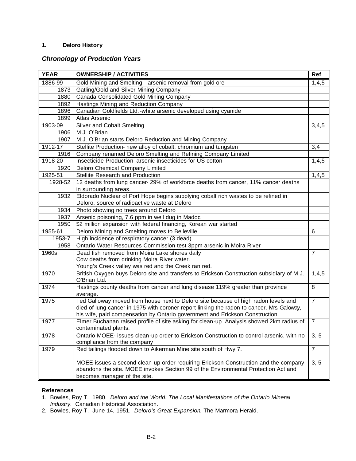## **1. Deloro History**

## *Chronology of Production Years*

| <b>YEAR</b> | <b>OWNERSHIP / ACTIVITIES</b>                                                                             | Ref            |
|-------------|-----------------------------------------------------------------------------------------------------------|----------------|
| 1886-99     | Gold Mining and Smelting - arsenic removal from gold ore                                                  | 1,4,5          |
| 1873        | Gatling/Gold and Silver Mining Company                                                                    |                |
| 1880        | Canada Consolidated Gold Mining Company                                                                   |                |
| 1892        | Hastings Mining and Reduction Company                                                                     |                |
| 1896        | Canadian Goldfields Ltd. - white arsenic developed using cyanide                                          |                |
| 1899        | Atlas Arsenic                                                                                             |                |
| 1903-09     | Silver and Cobalt Smelting                                                                                | 3,4,5          |
| 1906        | M.J. O'Brian                                                                                              |                |
| 1907        | M.J. O'Brian starts Deloro Reduction and Mining Company                                                   |                |
| 1912-17     | Stellite Production- new alloy of cobalt, chromium and tungsten                                           | 3,4            |
| 1916        | Company renamed Deloro Smelting and Refining Company Limited                                              |                |
| 1918-20     | Insecticide Production- arsenic insecticides for US cotton                                                | 1,4,5          |
| 1920        | Deloro Chemical Company Limited                                                                           |                |
| 1925-51     | Stellite Research and Production                                                                          | 1,4,5          |
| 1928-52     | 12 deaths from lung cancer-29% of workforce deaths from cancer, 11% cancer deaths                         |                |
|             | in surrounding areas.                                                                                     |                |
| 1932        | Eldorado Nuclear of Port Hope begins supplying cobalt rich wastes to be refined in                        |                |
|             | Deloro, source of radioactive waste at Deloro                                                             |                |
| 1934        | Photo showing no trees around Deloro                                                                      |                |
| 1937        | Arsenic poisoning, 7.6 ppm in well dug in Madoc                                                           |                |
| 1950        | \$2 million expansion with federal financing, Korean war started                                          |                |
| 1955-61     | Deloro Mining and Smelting moves to Belleville                                                            | 6              |
| 1953-7      | High incidence of respiratory cancer (3 dead)                                                             |                |
| 1958        | Ontario Water Resources Commission test 3ppm arsenic in Moira River                                       |                |
| 1960s       | Dead fish removed from Moira Lake shores daily                                                            | $\overline{7}$ |
|             | Cow deaths from drinking Moira River water.                                                               |                |
|             | Young's Creek valley was red and the Creek ran red.                                                       |                |
| 1970        | British Oxygen buys Deloro site and transfers to Erickson Construction subsidiary of M.J.<br>O'Brian Ltd. | 1,4,5          |
| 1974        | Hastings county deaths from cancer and lung disease 119% greater than province<br>average.                | 8              |
| 1975        | Ted Galloway moved from house next to Deloro site because of high radon levels and                        | $\overline{7}$ |
|             | died of lung cancer in 1975 with coroner report linking the radon to cancer. Mrs. Galloway,               |                |
|             | his wife, paid compensation by Ontario government and Erickson Construction.                              |                |
| 1977        | Elmer Buchanan raised profile of site asking for clean-up. Analysis showed 2km radius of                  | $\overline{7}$ |
|             | contaminated plants.                                                                                      |                |
| 1978        | Ontario MOEE- issues clean-up order to Erickson Construction to control arsenic, with no                  | 3, 5           |
|             | compliance from the company                                                                               |                |
| 1979        | Red tailings flooded down to Aikerman Mine site south of Hwy 7.                                           | $\overline{7}$ |
|             | MOEE issues a second clean-up order requiring Erickson Construction and the company                       | 3, 5           |
|             | abandons the site. MOEE invokes Section 99 of the Environmental Protection Act and                        |                |
|             | becomes manager of the site.                                                                              |                |

#### **References**

- 1. Bowles, Roy T. 1980. *Deloro and the World: The Local Manifestations of the Ontario Mineral Industry*. Canadian Historical Association.
- 2. Bowles, Roy T. June 14, 1951. *Deloro's Great Expansion*. The Marmora Herald.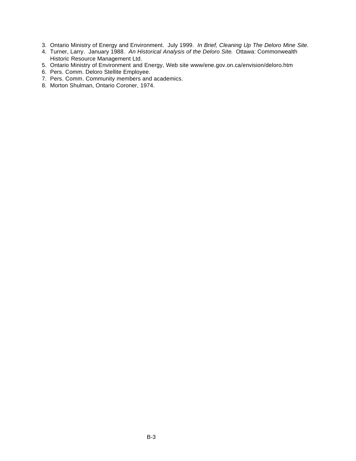- 3. Ontario Ministry of Energy and Environment. July 1999. *In Brief, Cleaning Up The Deloro Mine Site.*
- 4. Turner, Larry. January 1988. *An Historical Analysis of the Deloro Site*. Ottawa: Commonwealth Historic Resource Management Ltd.
- 5. Ontario Ministry of Environment and Energy, Web site www/ene.gov.on.ca/envision/deloro.htm
- 6. Pers. Comm. Deloro Stellite Employee.
- 7. Pers. Comm. Community members and academics.
- 8. Morton Shulman, Ontario Coroner, 1974.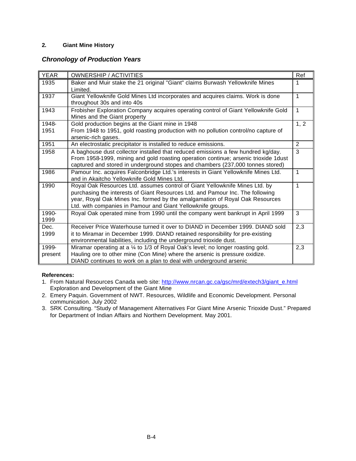## **2. Giant Mine History**

## *Chronology of Production Years*

| <b>YEAR</b>   | <b>OWNERSHIP / ACTIVITIES</b>                                                                                                                                                                                                                                                                                | Ref            |
|---------------|--------------------------------------------------------------------------------------------------------------------------------------------------------------------------------------------------------------------------------------------------------------------------------------------------------------|----------------|
| 1935          | Baker and Muir stake the 21 original "Giant" claims Burwash Yellowknife Mines<br>Limited.                                                                                                                                                                                                                    | 1              |
| 1937          | Giant Yellowknife Gold Mines Ltd incorporates and acquires claims. Work is done<br>throughout 30s and into 40s                                                                                                                                                                                               | $\mathbf{1}$   |
| 1943          | Frobisher Exploration Company acquires operating control of Giant Yellowknife Gold<br>Mines and the Giant property                                                                                                                                                                                           | $\mathbf{1}$   |
| 1948-         | Gold production begins at the Giant mine in 1948                                                                                                                                                                                                                                                             | 1, 2           |
| 1951          | From 1948 to 1951, gold roasting production with no pollution control/no capture of<br>arsenic-rich gases.                                                                                                                                                                                                   |                |
| 1951          | An electrostatic precipitator is installed to reduce emissions.                                                                                                                                                                                                                                              | $\overline{2}$ |
| 1958          | A baghouse dust collector installed that reduced emissions a few hundred kg/day.<br>From 1958-1999, mining and gold roasting operation continue; arsenic trioxide 1dust<br>captured and stored in underground stopes and chambers (237,000 tonnes stored)                                                    | 3              |
| 1986          | Pamour Inc. acquires Falconbridge Ltd.'s interests in Giant Yellowknife Mines Ltd.<br>and in Akaitcho Yellowknife Gold Mines Ltd.                                                                                                                                                                            | 1              |
| 1990          | Royal Oak Resources Ltd. assumes control of Giant Yellowknife Mines Ltd. by<br>purchasing the interests of Giant Resources Ltd. and Pamour Inc. The following<br>year, Royal Oak Mines Inc. formed by the amalgamation of Royal Oak Resources<br>Ltd. with companies in Pamour and Giant Yellowknife groups. | 1              |
| 1990-<br>1999 | Royal Oak operated mine from 1990 until the company went bankrupt in April 1999                                                                                                                                                                                                                              | 3              |
| Dec.          | Receiver Price Waterhouse turned it over to DIAND in December 1999. DIAND sold                                                                                                                                                                                                                               | 2,3            |
| 1999          | it to Miramar in December 1999. DIAND retained responsibility for pre-existing<br>environmental liabilities, including the underground trioxide dust.                                                                                                                                                        |                |
| 1999-         | Miramar operating at a 1/4 to 1/3 of Royal Oak's level; no longer roasting gold.                                                                                                                                                                                                                             | 2,3            |
| present       | Hauling ore to other mine (Con Mine) where the arsenic is pressure oxidize.<br>DIAND continues to work on a plan to deal with underground arsenic                                                                                                                                                            |                |

## **References:**

- 1. From Natural Resources Canada web site: http://www.nrcan.gc.ca/gsc/mrd/extech3/giant\_e.html Exploration and Development of the Giant Mine
- 2. Emery Paquin. Government of NWT. Resources, Wildlife and Economic Development. Personal communication. July 2002
- 3. SRK Consulting. "Study of Management Alternatives For Giant Mine Arsenic Trioxide Dust." Prepared for Department of Indian Affairs and Northern Development. May 2001.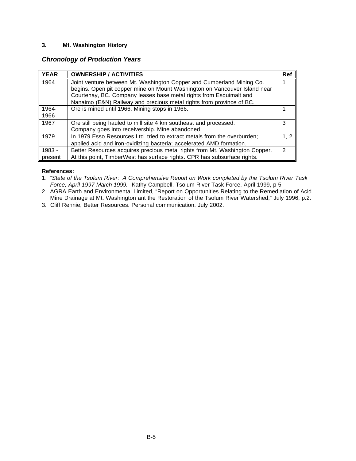## **3. Mt. Washington History**

## *Chronology of Production Years*

| <b>YEAR</b> | <b>OWNERSHIP / ACTIVITIES</b>                                               | Ref  |
|-------------|-----------------------------------------------------------------------------|------|
| 1964        | Joint venture between Mt. Washington Copper and Cumberland Mining Co.       |      |
|             | begins. Open pit copper mine on Mount Washington on Vancouver Island near   |      |
|             | Courtenay, BC. Company leases base metal rights from Esquimalt and          |      |
|             | Nanaimo (E&N) Railway and precious metal rights from province of BC.        |      |
| 1964-       | Ore is mined until 1966. Mining stops in 1966.                              |      |
| 1966        |                                                                             |      |
| 1967        | Ore still being hauled to mill site 4 km southeast and processed.           | 3    |
|             | Company goes into receivership. Mine abandoned                              |      |
| 1979        | In 1979 Esso Resources Ltd. tried to extract metals from the overburden;    | 1, 2 |
|             | applied acid and iron-oxidizing bacteria; accelerated AMD formation.        |      |
| 1983 -      | Better Resources acquires precious metal rights from Mt. Washington Copper. | 2    |
| present     | At this point, TimberWest has surface rights. CPR has subsurface rights.    |      |

#### **References:**

- 1. "*State of the Tsolum River: A Comprehensive Report on Work completed by the Tsolum River Task Force, April 1997-March 1999.* Kathy Campbell. Tsolum River Task Force. April 1999, p 5.
- 2. AGRA Earth and Environmental Limited, "Report on Opportunities Relating to the Remediation of Acid Mine Drainage at Mt. Washington ant the Restoration of the Tsolum River Watershed," July 1996, p.2.
- 3. Cliff Rennie, Better Resources. Personal communication. July 2002.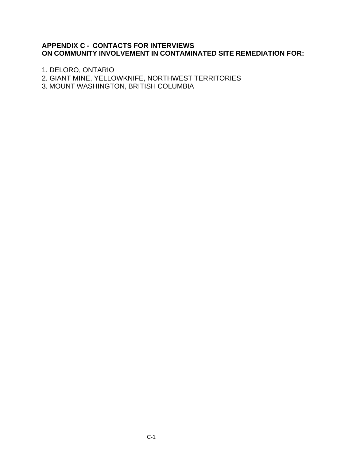# **APPENDIX C - CONTACTS FOR INTERVIEWS ON COMMUNITY INVOLVEMENT IN CONTAMINATED SITE REMEDIATION FOR:**

1. DELORO, ONTARIO

2. GIANT MINE, YELLOWKNIFE, NORTHWEST TERRITORIES

3. MOUNT WASHINGTON, BRITISH COLUMBIA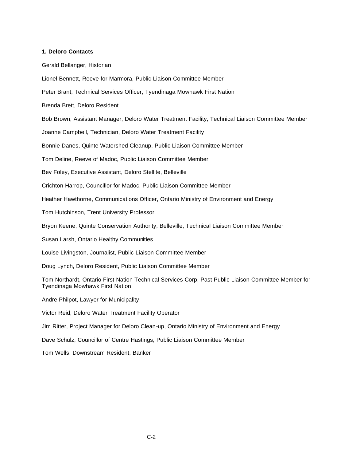#### **1. Deloro Contacts**

Gerald Bellanger, Historian

Lionel Bennett, Reeve for Marmora, Public Liaison Committee Member

Peter Brant, Technical Services Officer, Tyendinaga Mowhawk First Nation

Brenda Brett, Deloro Resident

Bob Brown, Assistant Manager, Deloro Water Treatment Facility, Technical Liaison Committee Member

Joanne Campbell, Technician, Deloro Water Treatment Facility

Bonnie Danes, Quinte Watershed Cleanup, Public Liaison Committee Member

Tom Deline, Reeve of Madoc, Public Liaison Committee Member

Bev Foley, Executive Assistant, Deloro Stellite, Belleville

Crichton Harrop, Councillor for Madoc, Public Liaison Committee Member

Heather Hawthorne, Communications Officer, Ontario Ministry of Environment and Energy

Tom Hutchinson, Trent University Professor

Bryon Keene, Quinte Conservation Authority, Belleville, Technical Liaison Committee Member

Susan Larsh, Ontario Healthy Communities

Louise Livingston, Journalist, Public Liaison Committee Member

Doug Lynch, Deloro Resident, Public Liaison Committee Member

Tom Northardt, Ontario First Nation Technical Services Corp, Past Public Liaison Committee Member for Tyendinaga Mowhawk First Nation

Andre Philpot, Lawyer for Municipality

Victor Reid, Deloro Water Treatment Facility Operator

Jim Ritter, Project Manager for Deloro Clean-up, Ontario Ministry of Environment and Energy

Dave Schulz, Councillor of Centre Hastings, Public Liaison Committee Member

Tom Wells, Downstream Resident, Banker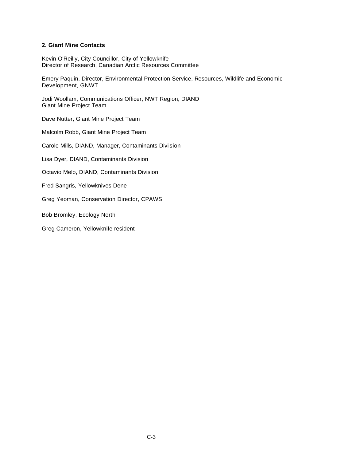#### **2. Giant Mine Contacts**

Kevin O'Reilly, City Councillor, City of Yellowknife Director of Research, Canadian Arctic Resources Committee

Emery Paquin, Director, Environmental Protection Service, Resources, Wildlife and Economic Development, GNWT

Jodi Woollam, Communications Officer, NWT Region, DIAND Giant Mine Project Team

Dave Nutter, Giant Mine Project Team

Malcolm Robb, Giant Mine Project Team

Carole Mills, DIAND, Manager, Contaminants Divi sion

Lisa Dyer, DIAND, Contaminants Division

Octavio Melo, DIAND, Contaminants Division

Fred Sangris, Yellowknives Dene

Greg Yeoman, Conservation Director, CPAWS

Bob Bromley, Ecology North

Greg Cameron, Yellowknife resident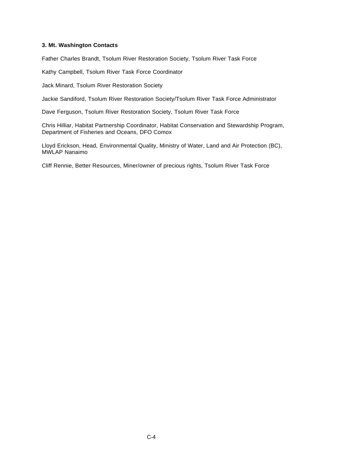#### **3. Mt. Washington Contacts**

Father Charles Brandt, Tsolum River Restoration Society, Tsolum River Task Force

Kathy Campbell, Tsolum River Task Force Coordinator

Jack Minard, Tsolum River Restoration Society

Jackie Sandiford, Tsolum River Restoration Society/Tsolum River Task Force Administrator

Dave Ferguson, Tsolum River Restoration Society, Tsolum River Task Force

Chris Hilliar, Habitat Partnership Coordinator, Habitat Conservation and Stewardship Program, Department of Fisheries and Oceans, DFO Comox

Lloyd Erickson, Head, Environmental Quality, Ministry of Water, Land and Air Protection (BC), MWLAP Nanaimo

Cliff Rennie, Better Resources, Miner/owner of precious rights, Tsolum River Task Force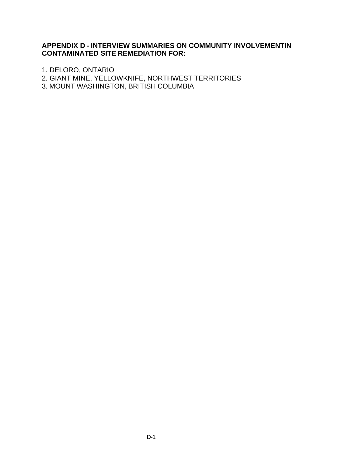# **APPENDIX D - INTERVIEW SUMMARIES ON COMMUNITY INVOLVEMENTIN CONTAMINATED SITE REMEDIATION FOR:**

1. DELORO, ONTARIO

2. GIANT MINE, YELLOWKNIFE, NORTHWEST TERRITORIES

3. MOUNT WASHINGTON, BRITISH COLUMBIA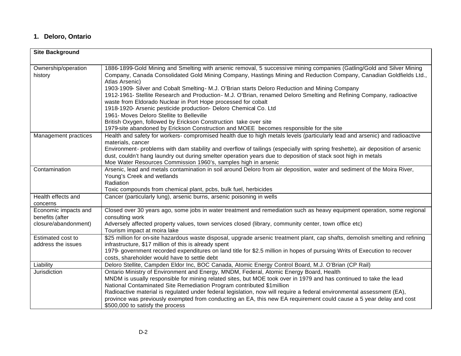# **1. Deloro, Ontario**

| <b>Site Background</b>                                          |                                                                                                                                                                                                                                                                                                                                                                                                                                                                                                                                                                                                                                                                                                                                                                                                                                           |
|-----------------------------------------------------------------|-------------------------------------------------------------------------------------------------------------------------------------------------------------------------------------------------------------------------------------------------------------------------------------------------------------------------------------------------------------------------------------------------------------------------------------------------------------------------------------------------------------------------------------------------------------------------------------------------------------------------------------------------------------------------------------------------------------------------------------------------------------------------------------------------------------------------------------------|
| Ownership/operation<br>history                                  | 1886-1899-Gold Mining and Smelting with arsenic removal, 5 successive mining companies (Gatling/Gold and Silver Mining<br>Company, Canada Consolidated Gold Mining Company, Hastings Mining and Reduction Company, Canadian Goldfields Ltd.,<br>Atlas Arsenic)<br>1903-1909- Silver and Cobalt Smelting- M.J. O'Brian starts Deloro Reduction and Mining Company<br>1912-1961- Stellite Research and Production - M.J. O'Brian, renamed Deloro Smelting and Refining Company, radioactive<br>waste from Eldorado Nuclear in Port Hope processed for cobalt<br>1918-1920- Arsenic pesticide production- Deloro Chemical Co. Ltd<br>1961- Moves Deloro Stellite to Belleville<br>British Oxygen, followed by Erickson Construction take over site<br>1979-site abandoned by Erickson Construction and MOEE becomes responsible for the site |
| Management practices                                            | Health and safety for workers-compromised health due to high metals levels (particularly lead and arsenic) and radioactive<br>materials, cancer<br>Environment- problems with dam stability and overflow of tailings (especially with spring freshette), air deposition of arsenic<br>dust, couldn't hang laundry out during smelter operation years due to deposition of stack soot high in metals<br>Moe Water Resources Commission 1960's, samples high in arsenic                                                                                                                                                                                                                                                                                                                                                                     |
| Contamination                                                   | Arsenic, lead and metals contamination in soil around Deloro from air deposition, water and sediment of the Moira River,<br>Young's Creek and wetlands<br>Radiation<br>Toxic compounds from chemical plant, pcbs, bulk fuel, herbicides                                                                                                                                                                                                                                                                                                                                                                                                                                                                                                                                                                                                   |
| Health effects and<br>concerns                                  | Cancer (particularly lung), arsenic burns, arsenic poisoning in wells                                                                                                                                                                                                                                                                                                                                                                                                                                                                                                                                                                                                                                                                                                                                                                     |
| Economic impacts and<br>benefits (after<br>closure/abandonment) | Closed over 30 years ago, some jobs in water treatment and remediation such as heavy equipment operation, some regional<br>consulting work<br>Adversely affected property values, town services closed (library, community center, town office etc)<br>Tourism impact at moira lake                                                                                                                                                                                                                                                                                                                                                                                                                                                                                                                                                       |
| Estimated cost to<br>address the issues                         | \$25 million for on-site hazardous waste disposal, upgrade arsenic treatment plant, cap shafts, demolish smelting and refining<br>infrastructure, \$17 million of this is already spent<br>1979- government recorded expenditures on land title for \$2.5 million in hopes of pursuing Writs of Execution to recover<br>costs, shareholder would have to settle debt                                                                                                                                                                                                                                                                                                                                                                                                                                                                      |
| Liability                                                       | Deloro Stellite, Campden Eldor Inc, BOC Canada, Atomic Energy Control Board, M.J. O'Brian (CP Rail)                                                                                                                                                                                                                                                                                                                                                                                                                                                                                                                                                                                                                                                                                                                                       |
| Jurisdiction                                                    | Ontario Ministry of Environment and Energy, MNDM, Federal, Atomic Energy Board, Health<br>MNDM is usually responsible for mining related sites, but MOE took over in 1979 and has continued to take the lead<br>National Contaminated Site Remediation Program contributed \$1 million<br>Radioactive material is regulated under federal legislation, now will require a federal environmental assessment (EA),<br>province was previously exempted from conducting an EA, this new EA requirement could cause a 5 year delay and cost<br>\$500,000 to satisfy the process                                                                                                                                                                                                                                                               |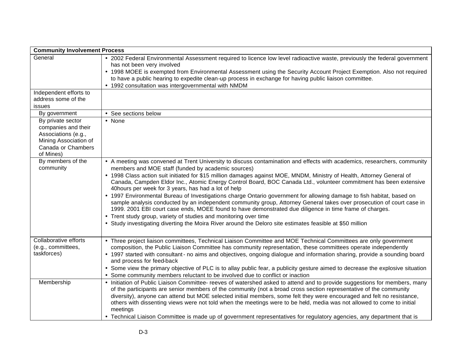| <b>Community Involvement Process</b>                                                                                        |                                                                                                                                                                                                                                                                                                                                                                                                                                                                                                                                                                                                                                                                                                                                                                                                                                                                                                                                                                                                                                    |
|-----------------------------------------------------------------------------------------------------------------------------|------------------------------------------------------------------------------------------------------------------------------------------------------------------------------------------------------------------------------------------------------------------------------------------------------------------------------------------------------------------------------------------------------------------------------------------------------------------------------------------------------------------------------------------------------------------------------------------------------------------------------------------------------------------------------------------------------------------------------------------------------------------------------------------------------------------------------------------------------------------------------------------------------------------------------------------------------------------------------------------------------------------------------------|
| General                                                                                                                     | • 2002 Federal Environmental Assessment required to licence low level radioactive waste, previously the federal government<br>has not been very involved<br>• 1998 MOEE is exempted from Environmental Assessment using the Security Account Project Exemption. Also not required<br>to have a public hearing to expedite clean-up process in exchange for having public liaison committee.<br>• 1992 consultation was intergovernmental with NMDM                                                                                                                                                                                                                                                                                                                                                                                                                                                                                                                                                                                 |
| Independent efforts to<br>address some of the<br>issues                                                                     |                                                                                                                                                                                                                                                                                                                                                                                                                                                                                                                                                                                                                                                                                                                                                                                                                                                                                                                                                                                                                                    |
| By government                                                                                                               | • See sections below                                                                                                                                                                                                                                                                                                                                                                                                                                                                                                                                                                                                                                                                                                                                                                                                                                                                                                                                                                                                               |
| By private sector<br>companies and their<br>Associations (e.g.,<br>Mining Association of<br>Canada or Chambers<br>of Mines) | • None                                                                                                                                                                                                                                                                                                                                                                                                                                                                                                                                                                                                                                                                                                                                                                                                                                                                                                                                                                                                                             |
| By members of the<br>community                                                                                              | • A meeting was convened at Trent University to discuss contamination and effects with academics, researchers, community<br>members and MOE staff (funded by academic sources)<br>• 1998 Class action suit initiated for \$15 million damages against MOE, MNDM, Ministry of Health, Attorney General of<br>Canada, Campden Eldor Inc., Atomic Energy Control Board, BOC Canada Ltd., volunteer commitment has been extensive<br>40hours per week for 3 years, has had a lot of help<br>• 1997 Environmental Bureau of Investigations charge Ontario government for allowing damage to fish habitat, based on<br>sample analysis conducted by an independent community group, Attorney General takes over prosecution of court case in<br>1999. 2001 EBI court case ends, MOEE found to have demonstrated due diligence in time frame of charges.<br>• Trent study group, variety of studies and monitoring over time<br>• Study investigating diverting the Moira River around the Deloro site estimates feasible at \$50 million |
| Collaborative efforts<br>(e.g., committees,<br>taskforces)                                                                  | • Three project liaison committees, Technical Liaison Committee and MOE Technical Committees are only government<br>composition, the Public Liaison Committee has community representation, these committees operate independently<br>• 1997 started with consultant - no aims and objectives, ongoing dialogue and information sharing, provide a sounding board<br>and process for feed-back<br>• Some view the primary objective of PLC is to allay public fear, a publicity gesture aimed to decrease the explosive situation<br>• Some community members reluctant to be involved due to conflict or inaction                                                                                                                                                                                                                                                                                                                                                                                                                 |
| Membership                                                                                                                  | • Initiation of Public Liaison Committee- reeves of watershed asked to attend and to provide suggestions for members, many<br>of the participants are senior members of the community (not a broad cross section representative of the community<br>diversity), anyone can attend but MOE selected initial members, some felt they were encouraged and felt no resistance,<br>others with dissenting views were not told when the meetings were to be held, media was not allowed to come to initial<br>meetings<br>• Technical Liaison Committee is made up of government representatives for regulatory agencies, any department that is                                                                                                                                                                                                                                                                                                                                                                                         |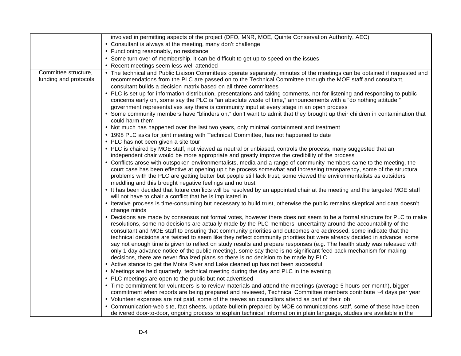|                                               | involved in permitting aspects of the project (DFO, MNR, MOE, Quinte Conservation Authority, AEC)                                                                                                                                                                                                                                                                                                                                                                                                                                                                                                                                                                                                                                                                                                                                                                                                                                                                                                                                                                                                                                                                                                                                                                                                                                                                                                                                                                                                                                                                                                                                                                                                                                                                                                                                                                                                                                                                                                                                                                                                                                                                                                                                                                                                                                                                                                                                                                                                                                                                                                                                                                                                                                                                                                                                                                                                                                                                                                                                                                                                                                                                                                                                                                                                                                                                                                                                                                                   |
|-----------------------------------------------|-------------------------------------------------------------------------------------------------------------------------------------------------------------------------------------------------------------------------------------------------------------------------------------------------------------------------------------------------------------------------------------------------------------------------------------------------------------------------------------------------------------------------------------------------------------------------------------------------------------------------------------------------------------------------------------------------------------------------------------------------------------------------------------------------------------------------------------------------------------------------------------------------------------------------------------------------------------------------------------------------------------------------------------------------------------------------------------------------------------------------------------------------------------------------------------------------------------------------------------------------------------------------------------------------------------------------------------------------------------------------------------------------------------------------------------------------------------------------------------------------------------------------------------------------------------------------------------------------------------------------------------------------------------------------------------------------------------------------------------------------------------------------------------------------------------------------------------------------------------------------------------------------------------------------------------------------------------------------------------------------------------------------------------------------------------------------------------------------------------------------------------------------------------------------------------------------------------------------------------------------------------------------------------------------------------------------------------------------------------------------------------------------------------------------------------------------------------------------------------------------------------------------------------------------------------------------------------------------------------------------------------------------------------------------------------------------------------------------------------------------------------------------------------------------------------------------------------------------------------------------------------------------------------------------------------------------------------------------------------------------------------------------------------------------------------------------------------------------------------------------------------------------------------------------------------------------------------------------------------------------------------------------------------------------------------------------------------------------------------------------------------------------------------------------------------------------------------------------------------|
|                                               | • Consultant is always at the meeting, many don't challenge                                                                                                                                                                                                                                                                                                                                                                                                                                                                                                                                                                                                                                                                                                                                                                                                                                                                                                                                                                                                                                                                                                                                                                                                                                                                                                                                                                                                                                                                                                                                                                                                                                                                                                                                                                                                                                                                                                                                                                                                                                                                                                                                                                                                                                                                                                                                                                                                                                                                                                                                                                                                                                                                                                                                                                                                                                                                                                                                                                                                                                                                                                                                                                                                                                                                                                                                                                                                                         |
|                                               | • Functioning reasonably, no resistance                                                                                                                                                                                                                                                                                                                                                                                                                                                                                                                                                                                                                                                                                                                                                                                                                                                                                                                                                                                                                                                                                                                                                                                                                                                                                                                                                                                                                                                                                                                                                                                                                                                                                                                                                                                                                                                                                                                                                                                                                                                                                                                                                                                                                                                                                                                                                                                                                                                                                                                                                                                                                                                                                                                                                                                                                                                                                                                                                                                                                                                                                                                                                                                                                                                                                                                                                                                                                                             |
|                                               | • Some turn over of membership, it can be difficult to get up to speed on the issues                                                                                                                                                                                                                                                                                                                                                                                                                                                                                                                                                                                                                                                                                                                                                                                                                                                                                                                                                                                                                                                                                                                                                                                                                                                                                                                                                                                                                                                                                                                                                                                                                                                                                                                                                                                                                                                                                                                                                                                                                                                                                                                                                                                                                                                                                                                                                                                                                                                                                                                                                                                                                                                                                                                                                                                                                                                                                                                                                                                                                                                                                                                                                                                                                                                                                                                                                                                                |
|                                               | • Recent meetings seem less well attended                                                                                                                                                                                                                                                                                                                                                                                                                                                                                                                                                                                                                                                                                                                                                                                                                                                                                                                                                                                                                                                                                                                                                                                                                                                                                                                                                                                                                                                                                                                                                                                                                                                                                                                                                                                                                                                                                                                                                                                                                                                                                                                                                                                                                                                                                                                                                                                                                                                                                                                                                                                                                                                                                                                                                                                                                                                                                                                                                                                                                                                                                                                                                                                                                                                                                                                                                                                                                                           |
| Committee structure,<br>funding and protocols | • The technical and Public Liaison Committees operate separately, minutes of the meetings can be obtained if requested and<br>recommendations from the PLC are passed on to the Technical Committee through the MOE staff and consultant,<br>consultant builds a decision matrix based on all three committees<br>• PLC is set up for information distribution, presentations and taking comments, not for listening and responding to public<br>concerns early on, some say the PLC is "an absolute waste of time," announcements with a "do nothing attitude,"<br>government representatives say there is community input at every stage in an open process<br>• Some community members have "blinders on," don't want to admit that they brought up their children in contamination that<br>could harm them<br>• Not much has happened over the last two years, only minimal containment and treatment<br>• 1998 PLC asks for joint meeting with Technical Committee, has not happened to date<br>• PLC has not been given a site tour<br>• PLC is chaired by MOE staff, not viewed as neutral or unbiased, controls the process, many suggested that an<br>independent chair would be more appropriate and greatly improve the credibility of the process<br>• Conflicts arose with outspoken environmentalists, media and a range of community members came to the meeting, the<br>court case has been effective at opening up t he process somewhat and increasing transparency, some of the structural<br>problems with the PLC are getting better but people still lack trust, some viewed the environmentalists as outsiders<br>meddling and this brought negative feelings and no trust<br>• It has been decided that future conflicts will be resolved by an appointed chair at the meeting and the targeted MOE staff<br>will not have to chair a conflict that he is implicated in<br>• Iterative process is time-consuming but necessary to build trust, otherwise the public remains skeptical and data doesn't<br>change minds<br>• Decisions are made by consensus not formal votes, however there does not seem to be a formal structure for PLC to make<br>resolutions, some no decisions are actually made by the PLC members, uncertainty around the accountability of the<br>consultant and MOE staff to ensuring that community priorities and outcomes are addressed, some indicate that the<br>technical decisions are twisted to seem like they reflect community priorities but were already decided in advance, some<br>say not enough time is given to reflect on study results and prepare responses (e.g. The health study was released with<br>only 1 day advance notice of the public meeting), some say there is no significant feed back mechanism for making<br>decisions, there are never finalized plans so there is no decision to be made by PLC<br>• Active stance to get the Moira River and Lake cleaned up has not been successful<br>• Meetings are held quarterly, technical meeting during the day and PLC in the evening<br>• PLC meetings are open to the public but not advertised<br>• Time commitment for volunteers is to review materials and attend the meetings (average 5 hours per month), bigger<br>commitment when reports are being prepared and reviewed, Technical Committee members contribute ~4 days per year<br>• Volunteer expenses are not paid, some of the reeves an councillors attend as part of their job |
|                                               | • Communication-web site, fact sheets, update bulletin prepared by MOE communications staff, some of these have been<br>delivered door-to-door, ongoing process to explain technical information in plain language, studies are available in the                                                                                                                                                                                                                                                                                                                                                                                                                                                                                                                                                                                                                                                                                                                                                                                                                                                                                                                                                                                                                                                                                                                                                                                                                                                                                                                                                                                                                                                                                                                                                                                                                                                                                                                                                                                                                                                                                                                                                                                                                                                                                                                                                                                                                                                                                                                                                                                                                                                                                                                                                                                                                                                                                                                                                                                                                                                                                                                                                                                                                                                                                                                                                                                                                                    |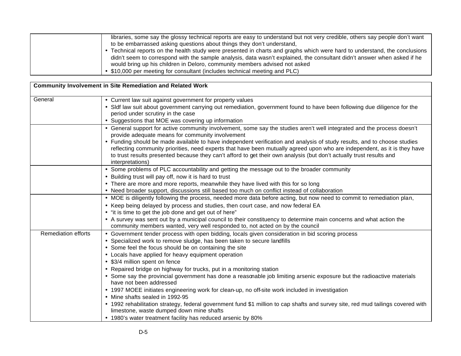| to be embarrassed asking questions about things they don't understand,<br>• Technical reports on the health study were presented in charts and graphs which were hard to understand, the conclusions   |
|--------------------------------------------------------------------------------------------------------------------------------------------------------------------------------------------------------|
| didn't seem to correspond with the sample analysis, data wasn't explained, the consultant didn't answer when asked if he<br>would bring up his children in Deloro, community members advised not asked |
| • \$10,000 per meeting for consultant (includes technical meeting and PLC)                                                                                                                             |

|                            | <b>Community Involvement in Site Remediation and Related Work</b>                                                                                                                                                                                                                                                                                                                                                                                                                                                                                                                                                                                                                                                                                                                                                                                                                                                                                 |  |
|----------------------------|---------------------------------------------------------------------------------------------------------------------------------------------------------------------------------------------------------------------------------------------------------------------------------------------------------------------------------------------------------------------------------------------------------------------------------------------------------------------------------------------------------------------------------------------------------------------------------------------------------------------------------------------------------------------------------------------------------------------------------------------------------------------------------------------------------------------------------------------------------------------------------------------------------------------------------------------------|--|
| General                    | • Current law suit against government for property values<br>• Sldf law suit about government carrying out remediation, government found to have been following due diligence for the<br>period under scrutiny in the case<br>• Suggestions that MOE was covering up information                                                                                                                                                                                                                                                                                                                                                                                                                                                                                                                                                                                                                                                                  |  |
|                            | • General support for active community involvement, some say the studies aren't well integrated and the process doesn't<br>provide adequate means for community involvement<br>• Funding should be made available to have independent verification and analysis of study results, and to choose studies<br>reflecting community priorities, need experts that have been mutually agreed upon who are independent, as it is they have<br>to trust results presented because they can't afford to get their own analysis (but don't actually trust results and<br>interpretations)                                                                                                                                                                                                                                                                                                                                                                  |  |
|                            | • Some problems of PLC accountability and getting the message out to the broader community<br>• Building trust will pay off, now it is hard to trust<br>• There are more and more reports, meanwhile they have lived with this for so long<br>• Need broader support, discussions still based too much on conflict instead of collaboration                                                                                                                                                                                                                                                                                                                                                                                                                                                                                                                                                                                                       |  |
|                            | • MOE is diligently following the process, needed more data before acting, but now need to commit to remediation plan,<br>• Keep being delayed by process and studies, then court case, and now federal EA<br>• "it is time to get the job done and get out of here"<br>• A survey was sent out by a municipal council to their constituency to determine main concerns and what action the<br>community members wanted, very well responded to, not acted on by the council                                                                                                                                                                                                                                                                                                                                                                                                                                                                      |  |
| <b>Remediation efforts</b> | • Government tender process with open bidding, locals given consideration in bid scoring process<br>• Specialized work to remove sludge, has been taken to secure landfills<br>• Some feel the focus should be on containing the site<br>• Locals have applied for heavy equipment operation<br>• \$3/4 million spent on fence<br>• Repaired bridge on highway for trucks, put in a monitoring station<br>• Some say the provincial government has done a reasonable job limiting arsenic exposure but the radioactive materials<br>have not been addressed<br>• 1997 MOEE initiates engineering work for clean-up, no off-site work included in investigation<br>• Mine shafts sealed in 1992-95<br>• 1992 rehabilitation strategy, federal government fund \$1 million to cap shafts and survey site, red mud tailings covered with<br>limestone, waste dumped down mine shafts<br>• 1980's water treatment facility has reduced arsenic by 80% |  |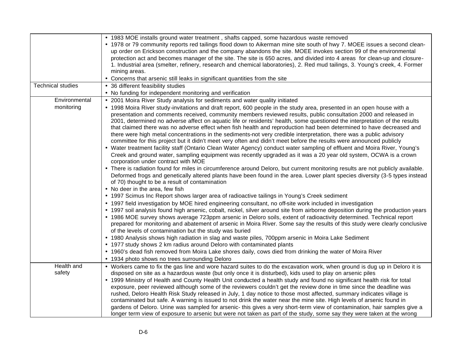|                          | • 1983 MOE installs ground water treatment, shafts capped, some hazardous waste removed                                          |
|--------------------------|----------------------------------------------------------------------------------------------------------------------------------|
|                          | • 1978 or 79 community reports red tailings flood down to Aikerman mine site south of hwy 7. MOEE issues a second clean-         |
|                          | up order on Erickson construction and the company abandons the site. MOEE invokes section 99 of the environmental                |
|                          | protection act and becomes manager of the site. The site is 650 acres, and divided into 4 areas for clean-up and closure-        |
|                          | 1. Industrial area (smelter, refinery, research and chemical laboratories), 2. Red mud tailings, 3. Young's creek, 4. Former     |
|                          | mining areas.                                                                                                                    |
|                          | • Concerns that arsenic still leaks in significant quantities from the site                                                      |
| <b>Technical studies</b> | • 36 different feasibility studies                                                                                               |
|                          | • No funding for independent monitoring and verification                                                                         |
| Environmental            | • 2001 Moira River Study analysis for sediments and water quality initiated                                                      |
| monitoring               | • 1998 Moira River study-invitations and draft report, 600 people in the study area, presented in an open house with a           |
|                          | presentation and comments received, community members reviewed results, public consultation 2000 and released in                 |
|                          | 2001, determined no adverse affect on aquatic life or residents' health, some questioned the interpretation of the results       |
|                          | that claimed there was no adverse effect when fish health and reproduction had been determined to have decreased and             |
|                          | there were high metal concentrations in the sediments-not very credible interpretation, there was a public advisory              |
|                          | committee for this project but it didn't meet very often and didn't meet before the results were announced publicly              |
|                          | • Water treatment facility staff (Ontario Clean Water Agency) conduct water sampling of effluent and Moira River, Young's        |
|                          | Creek and ground water, sampling equipment was recently upgraded as it was a 20 year old system, OCWA is a crown                 |
|                          | corporation under contract with MOE                                                                                              |
|                          | • There is radiation found for miles in circumference around Deloro, but current monitoring results are not publicly available.  |
|                          | Deformed frogs and genetically altered plants have been found in the area. Lower plant species diversity (3-5 types instead      |
|                          | of 70) thought to be a result of contamination                                                                                   |
|                          | • No deer in the area, few fish                                                                                                  |
|                          | • 1997 Scimus Inc Report shows larger area of radioactive tailings in Young's Creek sediment                                     |
|                          | • 1997 field investigation by MOE hired engineering consultant, no off-site work included in investigation                       |
|                          | • 1997 soil analysis found high arsenic, cobalt, nickel, silver around site from airborne deposition during the production years |
|                          | • 1986 MOE survey shows average 723ppm arsenic in Deloro soils, extent of radioactivity determined. Technical report             |
|                          | prepared for monitoring and abatement of arsenic in Moira River. Some say the results of this study were clearly conclusive      |
|                          |                                                                                                                                  |
|                          | of the levels of contamination but the study was buried                                                                          |
|                          | • 1980 Analysis shows high radiation in slag and waste piles, 700ppm arsenic in Moira Lake Sediment                              |
|                          | • 1977 study shows 2 km radius around Deloro with contaminated plants                                                            |
|                          | • 1960's dead fish removed from Moira Lake shores daily, cows died from drinking the water of Moira River                        |
|                          | • 1934 photo shows no trees surrounding Deloro                                                                                   |
| Health and               | • Workers came to fix the gas line and wore hazard suites to do the excavation work, when ground is dug up in Deloro it is       |
| safety                   | disposed on site as a hazardous waste (but only once it is disturbed), kids used to play on arsenic piles                        |
|                          | • 1999 Ministry of Health and County Health Unit conducted a health study and found no significant health risk for total         |
|                          | exposure, peer reviewed although some of the reviewers couldn't get the review done in time since the deadline was               |
|                          | rushed, Deloro Health Risk Study released in July, 1 day notice to those most affected, summary indicates village is             |
|                          | contaminated but safe. A warning is issued to not drink the water near the mine site. High levels of arsenic found in            |
|                          | gardens of Deloro. Urine was sampled for arsenic- this gives a very short-term view of contamination, hair samples give a        |
|                          | longer term view of exposure to arsenic but were not taken as part of the study, some say they were taken at the wrong           |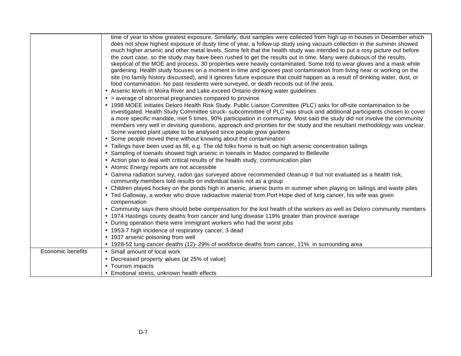|                   | time of year to show greatest exposure. Similarly, dust samples were collected from high up in houses in December which<br>does not show highest exposure of dusty time of year, a follow-up study using vacuum collection in the summer showed<br>much higher arsenic and other metal levels. Some felt that the health study was intended to put a rosy picture out before<br>the court case, so the study may have been rushed to get the results out in time. Many were dubious of the results,<br>skeptical of the MOE and process. 30 properties were heavily contaminated. Some told to wear gloves and a mask while<br>gardening. Health study focuses on a moment in time and ignores past contamination from living near or working on the<br>site (no family history discussed), and it ignores future exposure that could happen as a result of drinking water, dust, or<br>food contamination. No past residents were surveyed, or death records out of the area.<br>• Arsenic levels in Moira River and Lake exceed Ontario drinking water guidelines<br>• > average of abnormal pregnancies compared to province<br>• 1998 MOEE initiates Deloro Health Risk Study. Public Liaison Committee (PLC) asks for off-site contamination to be<br>investigated. Health Study Committee struck- subcommittee of PLC was struck and additional participants chosen to cover<br>a more specific mandate, met 5 times, 90% participation in community. Most said the study did not involve the community<br>members very well in devising questions, approach and priorities for the study and the resultant methodology was unclear.<br>Some wanted plant uptake to be analysed since people grow gardens<br>• Some people moved there without knowing about the contamination<br>• Tailings have been used as fill, e.g. The old folks home is built on high arsenic concentration tailings<br>• Sampling of toenails showed high arsenic in toenails in Madoc compared to Belleville<br>• Action plan to deal with critical results of the health study, communication plan<br>• Atomic Energy reports are not accessible<br>• Gamma radiation survey, radon gas surveyed above recommended clean-up # but not evaluated as a health risk,<br>community members told results on individual basis not as a group<br>• Children played hockey on the ponds high in arsenic, arsenic burns in summer when playing on tailings and waste piles<br>• Ted Galloway, a worker who drove radioactive material from Port Hope died of lung cancer, his wife was given<br>compensation<br>• Community says there should bebe compensation for the lost health of the workers as well as Deloro community members<br>• 1974 Hastings county deaths from cancer and lung disease 119% greater than province average<br>• During operation there were immigrant workers who had the worst jobs<br>• 1953-7 high incidence of respiratory cancer, 3 dead<br>• 1937 arsenic poisoning from well |
|-------------------|------------------------------------------------------------------------------------------------------------------------------------------------------------------------------------------------------------------------------------------------------------------------------------------------------------------------------------------------------------------------------------------------------------------------------------------------------------------------------------------------------------------------------------------------------------------------------------------------------------------------------------------------------------------------------------------------------------------------------------------------------------------------------------------------------------------------------------------------------------------------------------------------------------------------------------------------------------------------------------------------------------------------------------------------------------------------------------------------------------------------------------------------------------------------------------------------------------------------------------------------------------------------------------------------------------------------------------------------------------------------------------------------------------------------------------------------------------------------------------------------------------------------------------------------------------------------------------------------------------------------------------------------------------------------------------------------------------------------------------------------------------------------------------------------------------------------------------------------------------------------------------------------------------------------------------------------------------------------------------------------------------------------------------------------------------------------------------------------------------------------------------------------------------------------------------------------------------------------------------------------------------------------------------------------------------------------------------------------------------------------------------------------------------------------------------------------------------------------------------------------------------------------------------------------------------------------------------------------------------------------------------------------------------------------------------------------------------------------------------------------------------------------------------------------------------------------------------------------------------------------------------------------------------------------------------------------------------------------------------------|
|                   | • 1928-52 lung cancer deaths (12)- 29% of workforce deaths from cancer, 11% in surrounding area                                                                                                                                                                                                                                                                                                                                                                                                                                                                                                                                                                                                                                                                                                                                                                                                                                                                                                                                                                                                                                                                                                                                                                                                                                                                                                                                                                                                                                                                                                                                                                                                                                                                                                                                                                                                                                                                                                                                                                                                                                                                                                                                                                                                                                                                                                                                                                                                                                                                                                                                                                                                                                                                                                                                                                                                                                                                                          |
| Economic benefits | • Small amount of local work                                                                                                                                                                                                                                                                                                                                                                                                                                                                                                                                                                                                                                                                                                                                                                                                                                                                                                                                                                                                                                                                                                                                                                                                                                                                                                                                                                                                                                                                                                                                                                                                                                                                                                                                                                                                                                                                                                                                                                                                                                                                                                                                                                                                                                                                                                                                                                                                                                                                                                                                                                                                                                                                                                                                                                                                                                                                                                                                                             |
|                   | • Decreased property values (at 25% of value)                                                                                                                                                                                                                                                                                                                                                                                                                                                                                                                                                                                                                                                                                                                                                                                                                                                                                                                                                                                                                                                                                                                                                                                                                                                                                                                                                                                                                                                                                                                                                                                                                                                                                                                                                                                                                                                                                                                                                                                                                                                                                                                                                                                                                                                                                                                                                                                                                                                                                                                                                                                                                                                                                                                                                                                                                                                                                                                                            |
|                   | • Tourism impacts                                                                                                                                                                                                                                                                                                                                                                                                                                                                                                                                                                                                                                                                                                                                                                                                                                                                                                                                                                                                                                                                                                                                                                                                                                                                                                                                                                                                                                                                                                                                                                                                                                                                                                                                                                                                                                                                                                                                                                                                                                                                                                                                                                                                                                                                                                                                                                                                                                                                                                                                                                                                                                                                                                                                                                                                                                                                                                                                                                        |
|                   | • Emotional stress, unknown health effects                                                                                                                                                                                                                                                                                                                                                                                                                                                                                                                                                                                                                                                                                                                                                                                                                                                                                                                                                                                                                                                                                                                                                                                                                                                                                                                                                                                                                                                                                                                                                                                                                                                                                                                                                                                                                                                                                                                                                                                                                                                                                                                                                                                                                                                                                                                                                                                                                                                                                                                                                                                                                                                                                                                                                                                                                                                                                                                                               |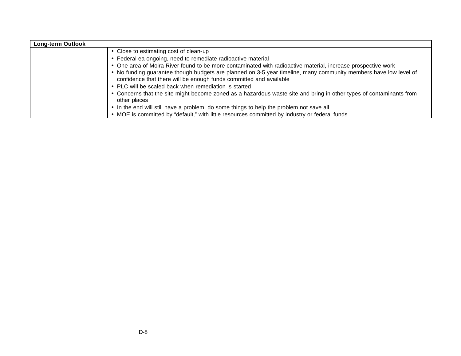| <b>Long-term Outlook</b> |                                                                                                                                                                                        |
|--------------------------|----------------------------------------------------------------------------------------------------------------------------------------------------------------------------------------|
|                          | • Close to estimating cost of clean-up                                                                                                                                                 |
|                          | • Federal ea ongoing, need to remediate radioactive material                                                                                                                           |
|                          | • One area of Moira River found to be more contaminated with radioactive material, increase prospective work                                                                           |
|                          | • No funding guarantee though budgets are planned on 3-5 year timeline, many community members have low level of<br>confidence that there will be enough funds committed and available |
|                          | • PLC will be scaled back when remediation is started                                                                                                                                  |
|                          | • Concerns that the site might become zoned as a hazardous waste site and bring in other types of contaminants from<br>other places                                                    |
|                          | • In the end will still have a problem, do some things to help the problem not save all                                                                                                |
|                          | • MOE is committed by "default," with little resources committed by industry or federal funds                                                                                          |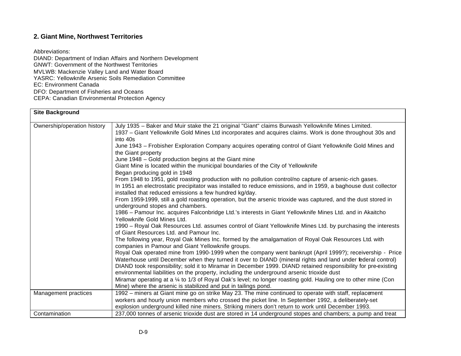# **2. Giant Mine, Northwest Territories**

Abbreviations:

DIAND: Department of Indian Affairs and Northern Development GNWT: Government of the Northwest Territories MVLWB: Mackenzie Valley Land and Water Board YASRC: Yellowknife Arsenic Soils Remediation Committee EC: Environment Canada DFO: Department of Fisheries and Oceans CEPA: Canadian Environmental Protection Agency

| <b>Site Background</b>      |                                                                                                                                                                                                                                                                                                                                                                                                                                                                                                                                                                                                                                                                                                                                                                                                                                                                                                                                                                                                                                                                                                                                                                                                                                                                                                                                                                                                                                                                                                                                                                                                                                                                                                                                                                                                                                                                                                                                                                                                                                                                                              |
|-----------------------------|----------------------------------------------------------------------------------------------------------------------------------------------------------------------------------------------------------------------------------------------------------------------------------------------------------------------------------------------------------------------------------------------------------------------------------------------------------------------------------------------------------------------------------------------------------------------------------------------------------------------------------------------------------------------------------------------------------------------------------------------------------------------------------------------------------------------------------------------------------------------------------------------------------------------------------------------------------------------------------------------------------------------------------------------------------------------------------------------------------------------------------------------------------------------------------------------------------------------------------------------------------------------------------------------------------------------------------------------------------------------------------------------------------------------------------------------------------------------------------------------------------------------------------------------------------------------------------------------------------------------------------------------------------------------------------------------------------------------------------------------------------------------------------------------------------------------------------------------------------------------------------------------------------------------------------------------------------------------------------------------------------------------------------------------------------------------------------------------|
| Ownership/operation history | July 1935 - Baker and Muir stake the 21 original "Giant" claims Burwash Yellowknife Mines Limited.<br>1937 - Giant Yellowknife Gold Mines Ltd incorporates and acquires claims. Work is done throughout 30s and<br>into 40s<br>June 1943 - Frobisher Exploration Company acquires operating control of Giant Yellowknife Gold Mines and<br>the Giant property<br>June 1948 - Gold production begins at the Giant mine<br>Giant Mine is located within the municipal boundaries of the City of Yellowknife<br>Began producing gold in 1948<br>From 1948 to 1951, gold roasting production with no pollution control/no capture of arsenic-rich gases.<br>In 1951 an electrostatic precipitator was installed to reduce emissions, and in 1959, a baghouse dust collector<br>installed that reduced emissions a few hundred kg/day.<br>From 1959-1999, still a gold roasting operation, but the arsenic trioxide was captured, and the dust stored in<br>underground stopes and chambers.<br>1986 – Pamour Inc. acquires Falconbridge Ltd.'s interests in Giant Yellowknife Mines Ltd. and in Akaitcho<br>Yellowknife Gold Mines Ltd.<br>1990 – Royal Oak Resources Ltd. assumes control of Giant Yellowknife Mines Ltd. by purchasing the interests<br>of Giant Resources Ltd. and Pamour Inc.<br>The following year, Royal Oak Mines Inc. formed by the amalgamation of Royal Oak Resources Ltd. with<br>companies in Pamour and Giant Yellowknife groups.<br>Royal Oak operated mine from 1990-1999 when the company went bankrupt (April 1999?); receivership - Price<br>Waterhouse until December when they turned it over to DIAND (mineral rights and land under federal control)<br>DIAND took responsibility; sold it to Miramar in December 1999. DIAND retained responsibility for pre-existing<br>environmental liabilities on the property, including the underground arsenic trioxide dust<br>Miramar operating at a 1/4 to 1/3 of Royal Oak's level; no longer roasting gold. Hauling ore to other mine (Con<br>Mine) where the arsenic is stabilized and put in tailings pond. |
| Management practices        | 1992 - miners at Giant mine go on strike May 23. The mine continued to operate with staff, replacement<br>workers and hourly union members who crossed the picket line. In September 1992, a deliberately-set                                                                                                                                                                                                                                                                                                                                                                                                                                                                                                                                                                                                                                                                                                                                                                                                                                                                                                                                                                                                                                                                                                                                                                                                                                                                                                                                                                                                                                                                                                                                                                                                                                                                                                                                                                                                                                                                                |
|                             | explosion underground killed nine miners. Striking miners don't return to work until December 1993.                                                                                                                                                                                                                                                                                                                                                                                                                                                                                                                                                                                                                                                                                                                                                                                                                                                                                                                                                                                                                                                                                                                                                                                                                                                                                                                                                                                                                                                                                                                                                                                                                                                                                                                                                                                                                                                                                                                                                                                          |
| Contamination               | 237,000 tonnes of arsenic trioxide dust are stored in 14 underground stopes and chambers; a pump and treat                                                                                                                                                                                                                                                                                                                                                                                                                                                                                                                                                                                                                                                                                                                                                                                                                                                                                                                                                                                                                                                                                                                                                                                                                                                                                                                                                                                                                                                                                                                                                                                                                                                                                                                                                                                                                                                                                                                                                                                   |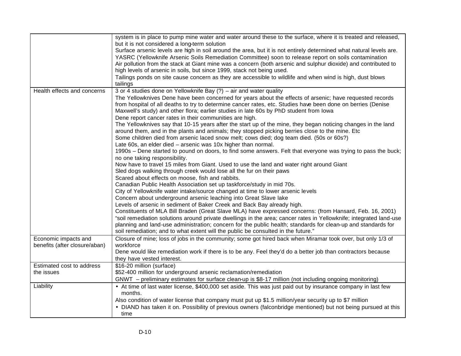|                                                       | system is in place to pump mine water and water around these to the surface, where it is treated and released,<br>but it is not considered a long-term solution<br>Surface arsenic levels are high in soil around the area, but it is not entirely determined what natural levels are.<br>YASRC (Yellowknife Arsenic Soils Remediation Committee) soon to release report on soils contamination<br>Air pollution from the stack at Giant mine was a concern (both arsenic and sulphur dioxide) and contributed to<br>high levels of arsenic in soils, but since 1999, stack not being used.<br>Tailings ponds on site cause concern as they are accessible to wildlife and when wind is high, dust blows<br>tailings                                                                                                                                                                                                                                                                                                                                                                                                                                                                                                                                                                                                                                                                                                                                                                                                                                                                                                                                                                                                                                                                                                                                                                                                                                               |
|-------------------------------------------------------|--------------------------------------------------------------------------------------------------------------------------------------------------------------------------------------------------------------------------------------------------------------------------------------------------------------------------------------------------------------------------------------------------------------------------------------------------------------------------------------------------------------------------------------------------------------------------------------------------------------------------------------------------------------------------------------------------------------------------------------------------------------------------------------------------------------------------------------------------------------------------------------------------------------------------------------------------------------------------------------------------------------------------------------------------------------------------------------------------------------------------------------------------------------------------------------------------------------------------------------------------------------------------------------------------------------------------------------------------------------------------------------------------------------------------------------------------------------------------------------------------------------------------------------------------------------------------------------------------------------------------------------------------------------------------------------------------------------------------------------------------------------------------------------------------------------------------------------------------------------------------------------------------------------------------------------------------------------------|
| Health effects and concerns                           | 3 or 4 studies done on Yellowknife Bay (?) - air and water quality<br>The Yellowknives Dene have been concerned for years about the effects of arsenic; have requested records<br>from hospital of all deaths to try to determine cancer rates, etc. Studies have been done on berries (Denise<br>Maxwell's study) and other flora; earlier studies in late 60s by PhD student from lowa<br>Dene report cancer rates in their communities are high.<br>The Yellowknives say that 10-15 years after the start up of the mine, they began noticing changes in the land<br>around them, and in the plants and animals; they stopped picking berries close to the mine. Etc<br>Some children died from arsenic laced snow melt; cows died; dog team died. (50s or 60s?)<br>Late 60s, an elder died - arsenic was 10x higher than normal.<br>1990s – Dene started to pound on doors, to find some answers. Felt that everyone was trying to pass the buck;<br>no one taking responsibility.<br>Now have to travel 15 miles from Giant. Used to use the land and water right around Giant<br>Sled dogs walking through creek would lose all the fur on their paws<br>Scared about effects on moose, fish and rabbits.<br>Canadian Public Health Association set up taskforce/study in mid 70s.<br>City of Yellowknife water intake/source changed at time to lower arsenic levels<br>Concern about underground arsenic leaching into Great Slave lake<br>Levels of arsenic in sediment of Baker Creek and Back Bay already high.<br>Constituents of MLA Bill Braden (Great Slave MLA) have expressed concerns: (from Hansard, Feb. 16, 2001)<br>"soil remediation solutions around private dwellings in the area; cancer rates in Yellowknife; integrated land-use<br>planning and land-use administration; concern for the public health; standards for clean-up and standards for<br>soil remediation; and to what extent will the public be consulted in the future." |
| Economic impacts and<br>benefits (after closure/aban) | Closure of mine; loss of jobs in the community; some got hired back when Miramar took over, but only 1/3 of<br>workforce<br>Dene would like remediation work if there is to be any. Feel they'd do a better job than contractors because<br>they have vested interest.                                                                                                                                                                                                                                                                                                                                                                                                                                                                                                                                                                                                                                                                                                                                                                                                                                                                                                                                                                                                                                                                                                                                                                                                                                                                                                                                                                                                                                                                                                                                                                                                                                                                                             |
| Estimated cost to address<br>the issues               | \$16-20 million (surface)<br>\$52-400 million for underground arsenic reclamation/remediation<br>GNWT - preliminary estimates for surface clean-up is \$8-17 million (not including ongoing monitoring)                                                                                                                                                                                                                                                                                                                                                                                                                                                                                                                                                                                                                                                                                                                                                                                                                                                                                                                                                                                                                                                                                                                                                                                                                                                                                                                                                                                                                                                                                                                                                                                                                                                                                                                                                            |
| Liability                                             | • At time of last water license, \$400,000 set aside. This was just paid out by insurance company in last few<br>months.<br>Also condition of water license that company must put up \$1.5 million/year security up to \$7 million<br>• DIAND has taken it on. Possibility of previous owners (falconbridge mentioned) but not being pursued at this<br>time                                                                                                                                                                                                                                                                                                                                                                                                                                                                                                                                                                                                                                                                                                                                                                                                                                                                                                                                                                                                                                                                                                                                                                                                                                                                                                                                                                                                                                                                                                                                                                                                       |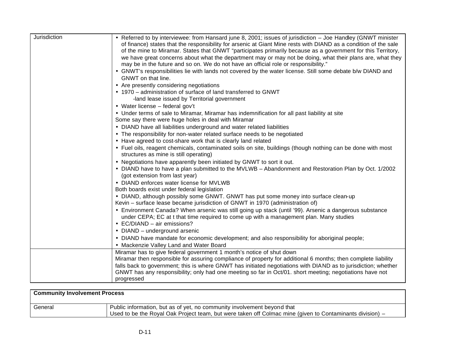| Jurisdiction | • Referred to by interviewee: from Hansard june 8, 2001; issues of jurisdiction - Joe Handley (GNWT minister<br>of finance) states that the responsibility for arsenic at Giant Mine rests with DIAND as a condition of the sale<br>of the mine to Miramar. States that GNWT "participates primarily because as a government for this Territory,<br>we have great concerns about what the department may or may not be doing, what their plans are, what they<br>may be in the future and so on. We do not have an official role or responsibility."<br>• GNWT's responsibilities lie with lands not covered by the water license. Still some debate b/w DIAND and<br>GNWT on that line.<br>• Are presently considering negotiations<br>• 1970 – administration of surface of land transferred to GNWT<br>-land lease issued by Territorial government<br>• Water license - federal gov't<br>• Under terms of sale to Miramar, Miramar has indemnification for all past liability at site<br>Some say there were huge holes in deal with Miramar<br>• DIAND have all liabilities underground and water related liabilities<br>• The responsibility for non-water related surface needs to be negotiated<br>• Have agreed to cost-share work that is clearly land related<br>• Fuel oils, reagent chemicals, contaminated soils on site, buildings (though nothing can be done with most<br>structures as mine is still operating)<br>• Negotiations have apparently been initiated by GNWT to sort it out.<br>• DIAND have to have a plan submitted to the MVLWB - Abandonment and Restoration Plan by Oct. 1/2002<br>(got extension from last year)<br>• DIAND enforces water license for MVLWB<br>Both boards exist under federal legislation<br>• DIAND, although possibly some GNWT. GNWT has put some money into surface clean-up<br>Kevin - surface lease became jurisdiction of GNWT in 1970 (administration of)<br>• Environment Canada? When arsenic was still going up stack (until '99). Arsenic a dangerous substance<br>under CEPA; EC at t that time required to come up with a management plan. Many studies<br>• EC/DIAND - air emissions?<br>• DIAND - underground arsenic |
|--------------|---------------------------------------------------------------------------------------------------------------------------------------------------------------------------------------------------------------------------------------------------------------------------------------------------------------------------------------------------------------------------------------------------------------------------------------------------------------------------------------------------------------------------------------------------------------------------------------------------------------------------------------------------------------------------------------------------------------------------------------------------------------------------------------------------------------------------------------------------------------------------------------------------------------------------------------------------------------------------------------------------------------------------------------------------------------------------------------------------------------------------------------------------------------------------------------------------------------------------------------------------------------------------------------------------------------------------------------------------------------------------------------------------------------------------------------------------------------------------------------------------------------------------------------------------------------------------------------------------------------------------------------------------------------------------------------------------------------------------------------------------------------------------------------------------------------------------------------------------------------------------------------------------------------------------------------------------------------------------------------------------------------------------------------------------------------------------------------------------------------------------------------------------------------------------------------------|
|              | . DIAND have mandate for economic development; and also responsibility for aboriginal people;<br>• Mackenzie Valley Land and Water Board                                                                                                                                                                                                                                                                                                                                                                                                                                                                                                                                                                                                                                                                                                                                                                                                                                                                                                                                                                                                                                                                                                                                                                                                                                                                                                                                                                                                                                                                                                                                                                                                                                                                                                                                                                                                                                                                                                                                                                                                                                                    |
|              | Miramar has to give federal government 1 month's notice of shut down<br>Miramar then responsible for assuring compliance of property for additional 6 months; then complete liability<br>falls back to government; this is where GNWT has initiated negotiations with DIAND as to jurisdiction; whether<br>GNWT has any responsibility; only had one meeting so far in Oct/01. short meeting; negotiations have not<br>progressed                                                                                                                                                                                                                                                                                                                                                                                                                                                                                                                                                                                                                                                                                                                                                                                                                                                                                                                                                                                                                                                                                                                                                                                                                                                                                                                                                                                                                                                                                                                                                                                                                                                                                                                                                           |

| <b>Community Involvement Process</b> |                                                                                                                                                                                     |
|--------------------------------------|-------------------------------------------------------------------------------------------------------------------------------------------------------------------------------------|
| General                              | Public information, but as of yet, no community involvement beyond that<br>Used to be the Royal Oak Project team, but were taken off Colmac mine (given to Contaminants division) – |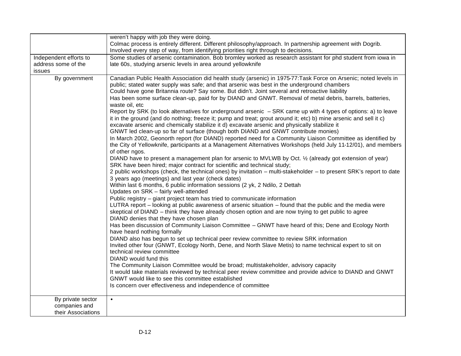|                                                          | weren't happy with job they were doing.<br>Colmac process is entirely different. Different philosophy/approach. In partnership agreement with Dogrib.<br>Involved every step of way, from identifying priorities right through to decisions.                                                                                                                                                                                                                                                                                                                                                                                                                                                                                                                                                                                                                                                                                                                                                                                                                                                                                                                                                                                                                                                                                                                                                                                                                                                                                                                                                                                                                                                                                                                                                                                                                                                                                                                                                                                                                                                                                                                                                                                                                                                                                                                                                                                                                                                                                                                                                                                                                                                           |
|----------------------------------------------------------|--------------------------------------------------------------------------------------------------------------------------------------------------------------------------------------------------------------------------------------------------------------------------------------------------------------------------------------------------------------------------------------------------------------------------------------------------------------------------------------------------------------------------------------------------------------------------------------------------------------------------------------------------------------------------------------------------------------------------------------------------------------------------------------------------------------------------------------------------------------------------------------------------------------------------------------------------------------------------------------------------------------------------------------------------------------------------------------------------------------------------------------------------------------------------------------------------------------------------------------------------------------------------------------------------------------------------------------------------------------------------------------------------------------------------------------------------------------------------------------------------------------------------------------------------------------------------------------------------------------------------------------------------------------------------------------------------------------------------------------------------------------------------------------------------------------------------------------------------------------------------------------------------------------------------------------------------------------------------------------------------------------------------------------------------------------------------------------------------------------------------------------------------------------------------------------------------------------------------------------------------------------------------------------------------------------------------------------------------------------------------------------------------------------------------------------------------------------------------------------------------------------------------------------------------------------------------------------------------------------------------------------------------------------------------------------------------------|
| Independent efforts to<br>address some of the<br>issues  | Some studies of arsenic contamination. Bob bromley worked as research assistant for phd student from iowa in<br>late 60s, studying arsenic levels in area around yellowknife                                                                                                                                                                                                                                                                                                                                                                                                                                                                                                                                                                                                                                                                                                                                                                                                                                                                                                                                                                                                                                                                                                                                                                                                                                                                                                                                                                                                                                                                                                                                                                                                                                                                                                                                                                                                                                                                                                                                                                                                                                                                                                                                                                                                                                                                                                                                                                                                                                                                                                                           |
| By government                                            | Canadian Public Health Association did health study (arsenic) in 1975-77: Task Force on Arsenic; noted levels in<br>public; stated water supply was safe; and that arsenic was best in the underground chambers<br>Could have gone Britannia route? Say some. But didn't. Joint several and retroactive liability<br>Has been some surface clean-up, paid for by DIAND and GNWT. Removal of metal debris, barrels, batteries,<br>waste oil, etc<br>Report by SRK (to look alternatives for underground arsenic - SRK came up with 4 types of options: a) to leave<br>it in the ground (and do nothing; freeze it; pump and treat; grout around it; etc) b) mine arsenic and sell it c)<br>excavate arsenic and chemically stabilize it d) excavate arsenic and physically stabilize it<br>GNWT led clean-up so far of surface (though both DIAND and GNWT contribute monies)<br>In March 2002, Geonorth report (for DIAND) reported need for a Community Liaison Committee as identified by<br>the City of Yellowknife, participants at a Management Alternatives Workshops (held July 11-12/01), and members<br>of other ngos.<br>DIAND have to present a management plan for arsenic to MVLWB by Oct. 1/2 (already got extension of year)<br>SRK have been hired; major contract for scientific and technical study;<br>2 public workshops (check, the technical ones) by invitation – multi-stakeholder – to present SRK's report to date<br>3 years ago (meetings) and last year (check dates)<br>Within last 6 months, 6 public information sessions (2 yk, 2 Ndilo, 2 Dettah<br>Updates on SRK - fairly well-attended<br>Public registry - giant project team has tried to communicate information<br>LUTRA report – looking at public awareness of arsenic situation – found that the public and the media were<br>skeptical of DIAND - think they have already chosen option and are now trying to get public to agree<br>DIAND denies that they have chosen plan<br>Has been discussion of Community Liaison Committee - GNWT have heard of this; Dene and Ecology North<br>have heard nothing formally<br>DIAND also has begun to set up technical peer review committee to review SRK information<br>Invited other four (GNWT, Ecology North, Dene, and North Slave Metis) to name technical expert to sit on<br>technical review committee<br>DIAND would fund this<br>The Community Liaison Committee would be broad; multistakeholder, advisory capacity<br>It would take materials reviewed by technical peer review committee and provide advice to DIAND and GNWT<br>GNWT would like to see this committee established<br>Is concern over effectiveness and independence of committee |
| By private sector<br>companies and<br>their Associations | $\bullet$                                                                                                                                                                                                                                                                                                                                                                                                                                                                                                                                                                                                                                                                                                                                                                                                                                                                                                                                                                                                                                                                                                                                                                                                                                                                                                                                                                                                                                                                                                                                                                                                                                                                                                                                                                                                                                                                                                                                                                                                                                                                                                                                                                                                                                                                                                                                                                                                                                                                                                                                                                                                                                                                                              |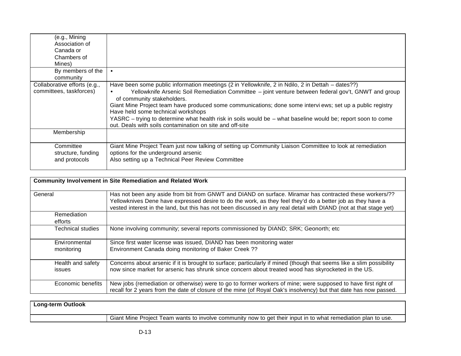| (e.g., Mining<br>Association of<br>Canada or<br>Chambers of<br>Mines) |                                                                                                                                                                                                                                                                                                                                                                                                                                                                                                                                                                        |
|-----------------------------------------------------------------------|------------------------------------------------------------------------------------------------------------------------------------------------------------------------------------------------------------------------------------------------------------------------------------------------------------------------------------------------------------------------------------------------------------------------------------------------------------------------------------------------------------------------------------------------------------------------|
| By members of the<br>community                                        | $\bullet$                                                                                                                                                                                                                                                                                                                                                                                                                                                                                                                                                              |
| Collaborative efforts (e.g.,<br>committees, taskforces)               | Have been some public information meetings (2 in Yellowknife, 2 in Ndilo, 2 in Dettah – dates??)<br>Yellowknife Arsenic Soil Remediation Committee – joint venture between federal gov't, GNWT and group<br>of community stakeholders.<br>Giant Mine Project team have produced some communications; done some intervi ews; set up a public registry<br>Have held some technical workshops<br>YASRC - trying to determine what health risk in soils would be - what baseline would be; report soon to come<br>out. Deals with soils contamination on site and off-site |
| Membership                                                            |                                                                                                                                                                                                                                                                                                                                                                                                                                                                                                                                                                        |
| Committee<br>structure, funding<br>and protocols                      | Giant Mine Project Team just now talking of setting up Community Liaison Committee to look at remediation<br>options for the underground arsenic<br>Also setting up a Technical Peer Review Committee                                                                                                                                                                                                                                                                                                                                                                  |

|                                    | <b>Community Involvement in Site Remediation and Related Work</b>                                                                                                                                                                                                                                                                           |
|------------------------------------|---------------------------------------------------------------------------------------------------------------------------------------------------------------------------------------------------------------------------------------------------------------------------------------------------------------------------------------------|
| General                            | Has not been any aside from bit from GNWT and DIAND on surface. Miramar has contracted these workers/??<br>Yellowknives Dene have expressed desire to do the work, as they feel they'd do a better job as they have a<br>vested interest in the land, but this has not been discussed in any real detail with DIAND (not at that stage yet) |
| Remediation<br>efforts             |                                                                                                                                                                                                                                                                                                                                             |
| Technical studies                  | None involving community; several reports commissioned by DIAND; SRK; Geonorth; etc.                                                                                                                                                                                                                                                        |
| <b>Environmental</b><br>monitoring | Since first water license was issued, DIAND has been monitoring water<br>Environment Canada doing monitoring of Baker Creek ??                                                                                                                                                                                                              |
| Health and safety<br>issues        | Concerns about arsenic if it is brought to surface; particularly if mined (though that seems like a slim possibility<br>now since market for arsenic has shrunk since concern about treated wood has skyrocketed in the US.                                                                                                                 |
| Economic benefits                  | New jobs (remediation or otherwise) were to go to former workers of mine; were supposed to have first right of<br>recall for 2 years from the date of closure of the mine (of Royal Oak's insolvency) but that date has now passed.                                                                                                         |

| <b>Long-term Outlook</b> |                                                                                                               |
|--------------------------|---------------------------------------------------------------------------------------------------------------|
|                          | Giant Mine Project Team wants to involve community now to get their input in to what remediation plan to use. |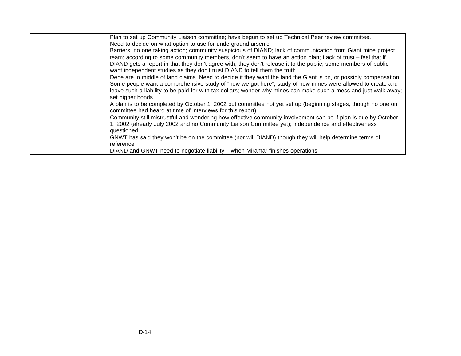| Plan to set up Community Liaison committee; have begun to set up Technical Peer review committee.                                                                                                                                   |
|-------------------------------------------------------------------------------------------------------------------------------------------------------------------------------------------------------------------------------------|
| Need to decide on what option to use for underground arsenic                                                                                                                                                                        |
| Barriers: no one taking action; community suspicious of DIAND; lack of communication from Giant mine project                                                                                                                        |
| team; according to some community members, don't seem to have an action plan; Lack of trust – feel that if                                                                                                                          |
| DIAND gets a report in that they don't agree with, they don't release it to the public; some members of public<br>want independent studies as they don't trust DIAND to tell them the truth.                                        |
| Dene are in middle of land claims. Need to decide if they want the land the Giant is on, or possibly compensation.                                                                                                                  |
| Some people want a comprehensive study of "how we got here"; study of how mines were allowed to create and                                                                                                                          |
| leave such a liability to be paid for with tax dollars; wonder why mines can make such a mess and just walk away;<br>set higher bonds.                                                                                              |
| A plan is to be completed by October 1, 2002 but committee not yet set up (beginning stages, though no one on<br>committee had heard at time of interviews for this report)                                                         |
| Community still mistrustful and wondering how effective community involvement can be if plan is due by October<br>1, 2002 (already July 2002 and no Community Liaison Committee yet); independence and effectiveness<br>questioned; |
| GNWT has said they won't be on the committee (nor will DIAND) though they will help determine terms of                                                                                                                              |
| reference                                                                                                                                                                                                                           |
| DIAND and GNWT need to negotiate liability – when Miramar finishes operations                                                                                                                                                       |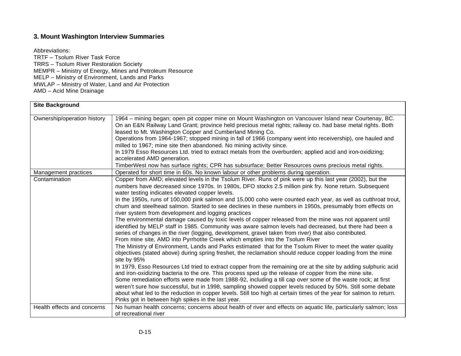# **3. Mount Washington Interview Summaries**

Abbreviations: TRTF – Tsolum River Task Force TRRS – Tsolum River Restoration Society MEMPR – Ministry of Energy, Mines and Petroleum Resource MELP – Ministry of Environment, Lands and Parks MWLAP – Ministry of Water, Land and Air Protection AMD – Acid Mine Drainage

| <b>Site Background</b>      |                                                                                                                                                                                                                                                                                                                                                                                                                                                                                                                                                                                                                                                                                                                                                                                                                                                                                                                                                                                                                                                                                                                                                                                                                                                                                                                                                                                                                                                                                                                                                                                                                                                                                                                                                                                                                                                              |
|-----------------------------|--------------------------------------------------------------------------------------------------------------------------------------------------------------------------------------------------------------------------------------------------------------------------------------------------------------------------------------------------------------------------------------------------------------------------------------------------------------------------------------------------------------------------------------------------------------------------------------------------------------------------------------------------------------------------------------------------------------------------------------------------------------------------------------------------------------------------------------------------------------------------------------------------------------------------------------------------------------------------------------------------------------------------------------------------------------------------------------------------------------------------------------------------------------------------------------------------------------------------------------------------------------------------------------------------------------------------------------------------------------------------------------------------------------------------------------------------------------------------------------------------------------------------------------------------------------------------------------------------------------------------------------------------------------------------------------------------------------------------------------------------------------------------------------------------------------------------------------------------------------|
| Ownership/operation history | 1964 – mining began; open pit copper mine on Mount Washington on Vancouver Island near Courtenay, BC.<br>On an E&N Railway Land Grant; province held precious metal rights; railway co. had base metal rights. Both<br>leased to Mt. Washington Copper and Cumberland Mining Co.<br>Operations from 1964-1967; stopped mining in fall of 1966 (company went into receivership), ore hauled and<br>milled to 1967; mine site then abandoned. No mining activity since.<br>In 1979 Esso Resources Ltd. tried to extract metals from the overburden; applied acid and iron-oxidizing;<br>accelerated AMD generation.<br>TimberWest now has surface rights; CPR has subsurface; Better Resources owns precious metal rights.                                                                                                                                                                                                                                                                                                                                                                                                                                                                                                                                                                                                                                                                                                                                                                                                                                                                                                                                                                                                                                                                                                                                     |
| Management practices        | Operated for short time in 60s. No known labour or other problems during operation.                                                                                                                                                                                                                                                                                                                                                                                                                                                                                                                                                                                                                                                                                                                                                                                                                                                                                                                                                                                                                                                                                                                                                                                                                                                                                                                                                                                                                                                                                                                                                                                                                                                                                                                                                                          |
| Contamination               | Copper from AMD; elevated levels in the Tsolum River. Runs of pink were up this last year (2002), but the<br>numbers have decreased since 1970s. In 1980s, DFO stocks 2.5 million pink fry. None return. Subsequent<br>water testing indicates elevated copper levels.<br>In the 1950s, runs of 100,000 pink salmon and 15,000 coho were counted each year, as well as cutthroat trout,<br>chum and steelhead salmon. Started to see declines in these numbers in 1950s, presumably from effects on<br>river system from development and logging practices<br>The environmental damage caused by toxic levels of copper released from the mine was not apparent until<br>identified by MELP staff in 1985. Community was aware salmon levels had decreased, but there had been a<br>series of changes in the river (logging, development, gravel taken from river) that also contributed.<br>From mine site, AMD into Pyrrhotite Creek which empties into the Tsolum River<br>The Ministry of Environment, Lands and Parks estimated that for the Tsolum River to meet the water quality<br>objectives (stated above) during spring freshet, the reclamation should reduce copper loading from the mine<br>site by 95%<br>In 1979, Esso Resources Ltd tried to extract copper from the remaining ore at the site by adding sulphuric acid<br>and iron-oxidizing bacteria to the ore. This process sped up the release of copper from the mine site.<br>Some remediation efforts were made from 1988-92, including a till cap over some of the waste rock; at first<br>weren't sure how successful, but in 1998, sampling showed copper levels reduced by 50%. Still some debate<br>about what led to the reduction in copper levels. Still too high at certain times of the year for salmon to return.<br>Pinks got in between high spikes in the last year. |
| Health effects and concerns | No human health concerns; concerns about health of river and effects on aquatic life, particularly salmon; loss                                                                                                                                                                                                                                                                                                                                                                                                                                                                                                                                                                                                                                                                                                                                                                                                                                                                                                                                                                                                                                                                                                                                                                                                                                                                                                                                                                                                                                                                                                                                                                                                                                                                                                                                              |
|                             | of recreational river                                                                                                                                                                                                                                                                                                                                                                                                                                                                                                                                                                                                                                                                                                                                                                                                                                                                                                                                                                                                                                                                                                                                                                                                                                                                                                                                                                                                                                                                                                                                                                                                                                                                                                                                                                                                                                        |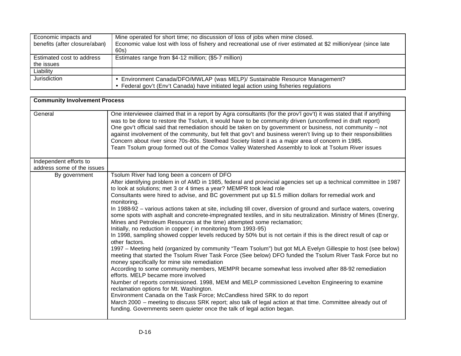| Economic impacts and<br>benefits (after closure/aban) | Mine operated for short time; no discussion of loss of jobs when mine closed.<br>Economic value lost with loss of fishery and recreational use of river estimated at \$2 million/year (since late<br>60s) |
|-------------------------------------------------------|-----------------------------------------------------------------------------------------------------------------------------------------------------------------------------------------------------------|
| Estimated cost to address<br>the issues               | Estimates range from \$4-12 million; (\$5-7 million)                                                                                                                                                      |
| Liability                                             |                                                                                                                                                                                                           |
| Jurisdiction                                          | • Environment Canada/DFO/MWLAP (was MELP)/ Sustainable Resource Management?                                                                                                                               |
|                                                       | • Federal gov't (Env't Canada) have initiated legal action using fisheries regulations                                                                                                                    |

| <b>Community Involvement Process</b> |                                                                                                                                                                                                                                                                                                                                                                                                                                                                                                                                                                                                                                                                                                                                                                                                                                                                                                                                                                                                                                                                                                                                                                                                                                                                                                                                                                                                                                                                                                                                                                                                                                                              |  |
|--------------------------------------|--------------------------------------------------------------------------------------------------------------------------------------------------------------------------------------------------------------------------------------------------------------------------------------------------------------------------------------------------------------------------------------------------------------------------------------------------------------------------------------------------------------------------------------------------------------------------------------------------------------------------------------------------------------------------------------------------------------------------------------------------------------------------------------------------------------------------------------------------------------------------------------------------------------------------------------------------------------------------------------------------------------------------------------------------------------------------------------------------------------------------------------------------------------------------------------------------------------------------------------------------------------------------------------------------------------------------------------------------------------------------------------------------------------------------------------------------------------------------------------------------------------------------------------------------------------------------------------------------------------------------------------------------------------|--|
| General                              | One interviewee claimed that in a report by Agra consultants (for the prov'l gov't) it was stated that if anything<br>was to be done to restore the Tsolum, it would have to be community driven (unconfirmed in draft report)<br>One gov't official said that remediation should be taken on by government or business, not community – not<br>against involvement of the community, but felt that gov't and business weren't living up to their responsibilities<br>Concern about river since 70s-80s. Steelhead Society listed it as a major area of concern in 1985.<br>Team Tsolum group formed out of the Comox Valley Watershed Assembly to look at Tsolum River issues                                                                                                                                                                                                                                                                                                                                                                                                                                                                                                                                                                                                                                                                                                                                                                                                                                                                                                                                                                               |  |
| Independent efforts to               |                                                                                                                                                                                                                                                                                                                                                                                                                                                                                                                                                                                                                                                                                                                                                                                                                                                                                                                                                                                                                                                                                                                                                                                                                                                                                                                                                                                                                                                                                                                                                                                                                                                              |  |
| address some of the issues           |                                                                                                                                                                                                                                                                                                                                                                                                                                                                                                                                                                                                                                                                                                                                                                                                                                                                                                                                                                                                                                                                                                                                                                                                                                                                                                                                                                                                                                                                                                                                                                                                                                                              |  |
| By government                        | Tsolum River had long been a concern of DFO<br>After identifying problem in of AMD in 1985, federal and provincial agencies set up a technical committee in 1987<br>to look at solutions; met 3 or 4 times a year? MEMPR took lead role<br>Consultants were hired to advise, and BC government put up \$1.5 million dollars for remedial work and<br>monitoring.<br>In 1988-92 - various actions taken at site, including till cover, diversion of ground and surface waters, covering<br>some spots with asphalt and concrete-impregnated textiles, and in situ neutralization. Ministry of Mines (Energy,<br>Mines and Petroleum Resources at the time) attempted some reclamation;<br>Initially, no reduction in copper (in monitoring from 1993-95)<br>In 1998, sampling showed copper levels reduced by 50% but is not certain if this is the direct result of cap or<br>other factors.<br>1997 – Meeting held (organized by community "Team Tsolum") but got MLA Evelyn Gillespie to host (see below)<br>meeting that started the Tsolum River Task Force (See below) DFO funded the Tsolum River Task Force but no<br>money specifically for mine site remediation<br>According to some community members, MEMPR became somewhat less involved after 88-92 remediation<br>efforts. MELP became more involved<br>Number of reports commissioned. 1998, MEM and MELP commissioned Levelton Engineering to examine<br>reclamation options for Mt. Washington.<br>Environment Canada on the Task Force; McCandless hired SRK to do report<br>March 2000 – meeting to discuss SRK report; also talk of legal action at that time. Committee already out of |  |
|                                      | funding. Governments seem quieter once the talk of legal action began.                                                                                                                                                                                                                                                                                                                                                                                                                                                                                                                                                                                                                                                                                                                                                                                                                                                                                                                                                                                                                                                                                                                                                                                                                                                                                                                                                                                                                                                                                                                                                                                       |  |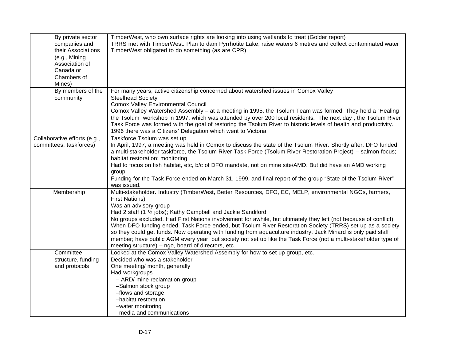| By private sector<br>companies and<br>their Associations<br>(e.g., Mining<br>Association of<br>Canada or<br>Chambers of<br>Mines) | TimberWest, who own surface rights are looking into using wetlands to treat (Golder report)<br>TRRS met with TimberWest. Plan to dam Pyrrhotite Lake, raise waters 6 metres and collect contaminated water<br>TimberWest obligated to do something (as are CPR)                                                                                                                                                                                                                                                                                                                                                                                                                                                                                      |
|-----------------------------------------------------------------------------------------------------------------------------------|------------------------------------------------------------------------------------------------------------------------------------------------------------------------------------------------------------------------------------------------------------------------------------------------------------------------------------------------------------------------------------------------------------------------------------------------------------------------------------------------------------------------------------------------------------------------------------------------------------------------------------------------------------------------------------------------------------------------------------------------------|
| By members of the                                                                                                                 | For many years, active citizenship concerned about watershed issues in Comox Valley                                                                                                                                                                                                                                                                                                                                                                                                                                                                                                                                                                                                                                                                  |
| community                                                                                                                         | <b>Steelhead Society</b><br>Comox Valley Environmental Council<br>Comox Valley Watershed Assembly - at a meeting in 1995, the Tsolum Team was formed. They held a "Healing<br>the Tsolum" workshop in 1997, which was attended by over 200 local residents. The next day, the Tsolum River<br>Task Force was formed with the goal of restoring the Tsolum River to historic levels of health and productivity.<br>1996 there was a Citizens' Delegation which went to Victoria                                                                                                                                                                                                                                                                       |
| Collaborative efforts (e.g.,<br>committees, taskforces)                                                                           | Taskforce Tsolum was set up<br>In April, 1997, a meeting was held in Comox to discuss the state of the Tsolum River. Shortly after, DFO funded<br>a multi-stakeholder taskforce, the Tsolum River Task Force (Tsolum River Restoration Project) - salmon focus;<br>habitat restoration; monitoring<br>Had to focus on fish habitat, etc, b/c of DFO mandate, not on mine site/AMD. But did have an AMD working<br>group<br>Funding for the Task Force ended on March 31, 1999, and final report of the group "State of the Tsolum River"<br>was issued.                                                                                                                                                                                              |
| Membership                                                                                                                        | Multi-stakeholder. Industry (TimberWest, Better Resources, DFO, EC, MELP, environmental NGOs, farmers,<br><b>First Nations)</b><br>Was an advisory group<br>Had 2 staff (1 1/2 jobs); Kathy Campbell and Jackie Sandiford<br>No groups excluded. Had First Nations involvement for awhile, but ultimately they left (not because of conflict)<br>When DFO funding ended, Task Force ended, but Tsolum River Restoration Society (TRRS) set up as a society<br>so they could get funds. Now operating with funding from aquaculture industry. Jack Minard is only paid staff<br>member; have public AGM every year, but society not set up like the Task Force (not a multi-stakeholder type of<br>meeting structure) – ngo, board of directors, etc. |
| Committee                                                                                                                         | Looked at the Comox Valley Watershed Assembly for how to set up group, etc.                                                                                                                                                                                                                                                                                                                                                                                                                                                                                                                                                                                                                                                                          |
| structure, funding                                                                                                                | Decided who was a stakeholder                                                                                                                                                                                                                                                                                                                                                                                                                                                                                                                                                                                                                                                                                                                        |
| and protocols                                                                                                                     | One meeting/ month, generally<br>Had workgroups<br>- ARD/ mine reclamation group<br>-Salmon stock group<br>-flows and storage<br>-habitat restoration<br>-water monitoring<br>-media and communications                                                                                                                                                                                                                                                                                                                                                                                                                                                                                                                                              |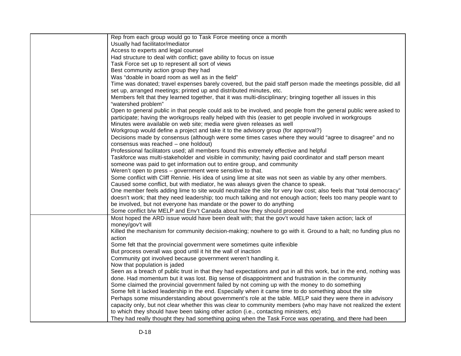| Rep from each group would go to Task Force meeting once a month                                                                                                                        |
|----------------------------------------------------------------------------------------------------------------------------------------------------------------------------------------|
| Usually had facilitator/mediator                                                                                                                                                       |
| Access to experts and legal counsel                                                                                                                                                    |
| Had structure to deal with conflict; gave ability to focus on issue                                                                                                                    |
| Task Force set up to represent all sort of views                                                                                                                                       |
| Best community action group they had                                                                                                                                                   |
| Was "doable in board room as well as in the field"                                                                                                                                     |
| Time was donated; travel expenses barely covered, but the paid staff person made the meetings possible, did all<br>set up, arranged meetings; printed up and distributed minutes, etc. |
| Members felt that they learned together, that it was multi-disciplinary; bringing together all issues in this                                                                          |
| "watershed problem"                                                                                                                                                                    |
| Open to general public in that people could ask to be involved, and people from the general public were asked to                                                                       |
| participate; having the workgroups really helped with this (easier to get people involved in workgroups<br>Minutes were available on web site; media were given releases as well       |
| Workgroup would define a project and take it to the advisory group (for approval?)                                                                                                     |
| Decisions made by consensus (although were some times cases where they would "agree to disagree" and no<br>consensus was reached - one holdout)                                        |
| Professional facilitators used; all members found this extremely effective and helpful                                                                                                 |
| Taskforce was multi-stakeholder and visible in community; having paid coordinator and staff person meant                                                                               |
| someone was paid to get information out to entire group, and community                                                                                                                 |
| Weren't open to press - government were sensitive to that.                                                                                                                             |
| Some conflict with Cliff Rennie. His idea of using lime at site was not seen as viable by any other members.                                                                           |
| Caused some conflict, but with mediator, he was always given the chance to speak.                                                                                                      |
| One member feels adding lime to site would neutralize the site for very low cost; also feels that "total democracy"                                                                    |
| doesn't work; that they need leadership; too much talking and not enough action; feels too many people want to                                                                         |
| be involved, but not everyone has mandate or the power to do anything                                                                                                                  |
| Some conflict b/w MELP and Env't Canada about how they should proceed                                                                                                                  |
| Most hoped the ARD issue would have been dealt with; that the gov't would have taken action; lack of<br>money/gov't will                                                               |
| Killed the mechanism for community decision-making; nowhere to go with it. Ground to a halt; no funding plus no                                                                        |
| action                                                                                                                                                                                 |
| Some felt that the provincial government were sometimes quite inflexible                                                                                                               |
| But process overall was good until it hit the wall of inaction                                                                                                                         |
| Community got involved because government weren't handling it.                                                                                                                         |
| Now that population is jaded                                                                                                                                                           |
| Seen as a breach of public trust in that they had expectations and put in all this work, but in the end, nothing was                                                                   |
| done. Had momentum but it was lost. Big sense of disappointment and frustration in the community                                                                                       |
| Some claimed the provincial government failed by not coming up with the money to do something                                                                                          |
| Some felt it lacked leadership in the end. Especially when it came time to do something about the site                                                                                 |
| Perhaps some misunderstanding about government's role at the table. MELP said they were there in advisory                                                                              |
| capacity only, but not clear whether this was clear to community members (who may have not realized the extent                                                                         |
| to which they should have been taking other action (i.e., contacting ministers, etc)                                                                                                   |
| They had really thought they had something going when the Task Force was operating, and there had been                                                                                 |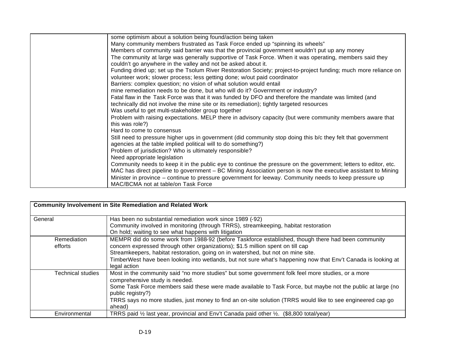| some optimism about a solution being found/action being taken                                                    |
|------------------------------------------------------------------------------------------------------------------|
| Many community members frustrated as Task Force ended up "spinning its wheels"                                   |
| Members of community said barrier was that the provincial government wouldn't put up any money                   |
| The community at large was generally supportive of Task Force. When it was operating, members said they          |
| couldn't go anywhere in the valley and not be asked about it.                                                    |
| Funding dried up; set up the Tsolum River Restoration Society; project-to-project funding; much more reliance on |
| volunteer work; slower process; less getting done; w/out paid coordinator                                        |
| Barriers: complex question; no vision of what solution would entail                                              |
| mine remediation needs to be done, but who will do it? Government or industry?                                   |
| Fatal flaw in the Task Force was that it was funded by DFO and therefore the mandate was limited (and            |
| technically did not involve the mine site or its remediation); tightly targeted resources                        |
| Was useful to get multi-stakeholder group together                                                               |
| Problem with raising expectations. MELP there in advisory capacity (but were community members aware that        |
| this was role?)                                                                                                  |
| Hard to come to consensus                                                                                        |
| Still need to pressure higher ups in government (did community stop doing this b/c they felt that government     |
| agencies at the table implied political will to do something?)                                                   |
| Problem of jurisdiction? Who is ultimately responsible?                                                          |
| Need appropriate legislation                                                                                     |
| Community needs to keep it in the public eye to continue the pressure on the government; letters to editor, etc. |
| MAC has direct pipeline to government – BC Mining Association person is now the executive assistant to Mining    |
| Minister in province - continue to pressure government for leeway. Community needs to keep pressure up           |
| MAC/BCMA not at table/on Task Force                                                                              |

| <b>Community Involvement in Site Remediation and Related Work</b> |                                                                                                                                                                                                                                                                                                                                                                                                            |  |
|-------------------------------------------------------------------|------------------------------------------------------------------------------------------------------------------------------------------------------------------------------------------------------------------------------------------------------------------------------------------------------------------------------------------------------------------------------------------------------------|--|
| General                                                           | Has been no substantial remediation work since 1989 (-92)<br>Community involved in monitoring (through TRRS), streamkeeping, habitat restoration<br>On hold; waiting to see what happens with litigation                                                                                                                                                                                                   |  |
| <b>Remediation</b><br>efforts                                     | MEMPR did do some work from 1988-92 (before Taskforce established, though there had been community<br>concern expressed through other organizations); \$1.5 million spent on till cap<br>Streamkeepers, habitat restoration, going on in watershed, but not on mine site.<br>TimberWest have been looking into wetlands, but not sure what's happening now that Env't Canada is looking at<br>legal action |  |
| Technical studies                                                 | Most in the community said "no more studies" but some government folk feel more studies, or a more<br>comprehensive study is needed.<br>Some Task Force members said these were made available to Task Force, but maybe not the public at large (no<br>public registry?)<br>TRRS says no more studies, just money to find an on-site solution (TRRS would like to see engineered cap go<br>ahead)          |  |
| Environmental                                                     | TRRS paid 1/2 last year, provincial and Env't Canada paid other 1/2. (\$8,800 total/year)                                                                                                                                                                                                                                                                                                                  |  |